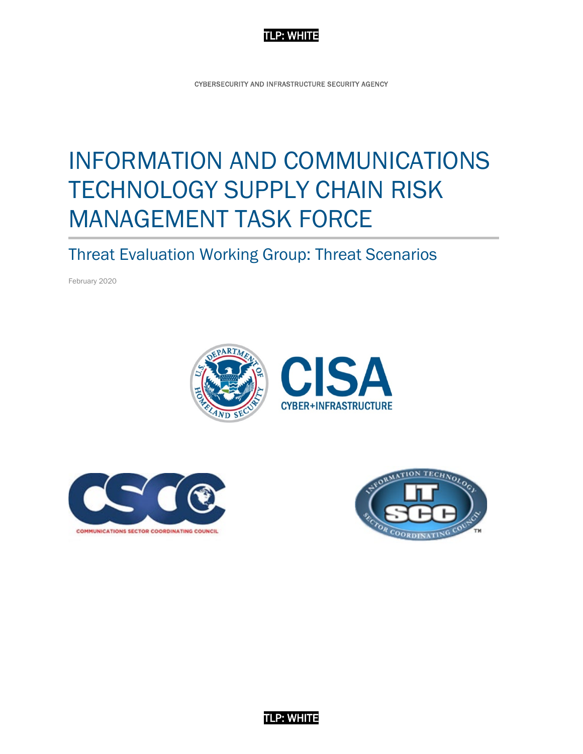

CYBERSECURITY AND INFRASTRUCTURE SECURITY AGENCY

# INFORMATION AND COMMUNICATIONS TECHNOLOGY SUPPLY CHAIN RISK MANAGEMENT TASK FORCE

# Threat Evaluation Working Group: Threat Scenarios

February 2020







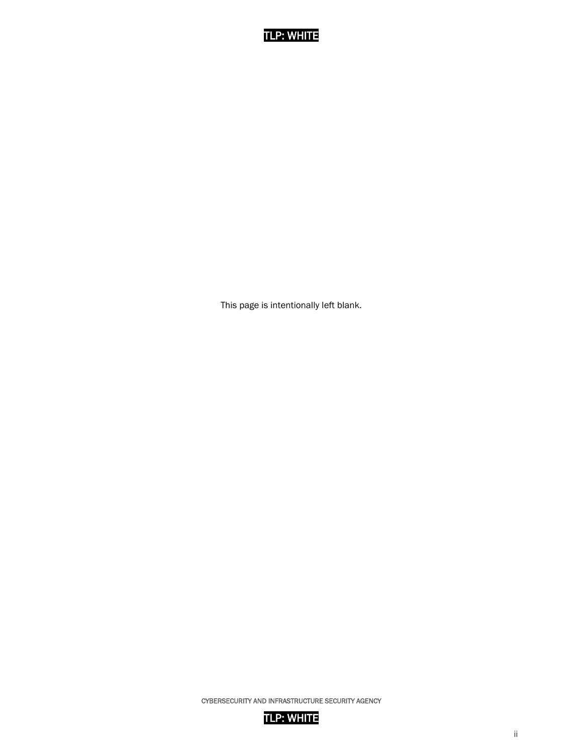This page is intentionally left blank.

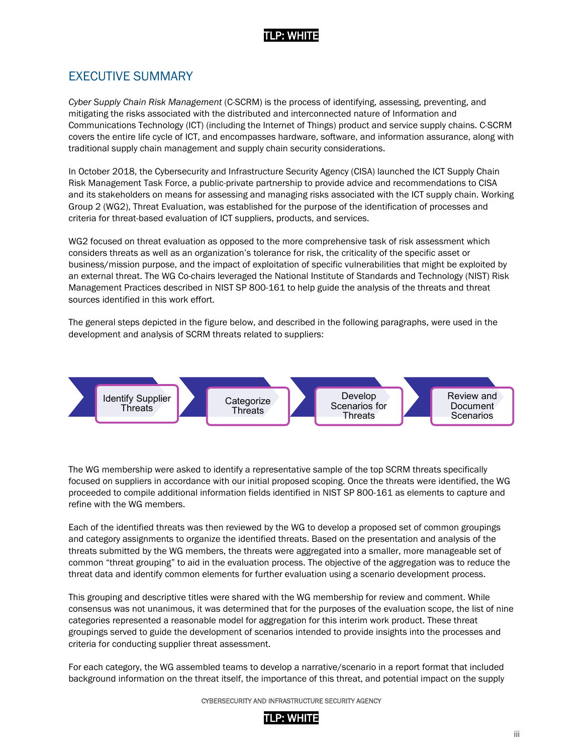### EXECUTIVE SUMMARY

*Cyber Supply Chain Risk Management* (C-SCRM) is the process of identifying, assessing, preventing, and mitigating the risks associated with the distributed and interconnected nature of Information and Communications Technology (ICT) (including the Internet of Things) product and service supply chains. C-SCRM covers the entire life cycle of ICT, and encompasses hardware, software, and information assurance, along with traditional supply chain management and supply chain security considerations.

In October 2018, the Cybersecurity and Infrastructure Security Agency (CISA) launched the ICT Supply Chain Risk Management Task Force, a public-private partnership to provide advice and recommendations to CISA and its stakeholders on means for assessing and managing risks associated with the ICT supply chain. Working Group 2 (WG2), Threat Evaluation, was established for the purpose of the identification of processes and criteria for threat-based evaluation of ICT suppliers, products, and services.

WG2 focused on threat evaluation as opposed to the more comprehensive task of risk assessment which considers threats as well as an organization's tolerance for risk, the criticality of the specific asset or business/mission purpose, and the impact of exploitation of specific vulnerabilities that might be exploited by an external threat. The WG Co-chairs leveraged the National Institute of Standards and Technology (NIST) Risk Management Practices described in NIST SP 800-161 to help guide the analysis of the threats and threat sources identified in this work effort.

The general steps depicted in the figure below, and described in the following paragraphs, were used in the development and analysis of SCRM threats related to suppliers:



The WG membership were asked to identify a representative sample of the top SCRM threats specifically focused on suppliers in accordance with our initial proposed scoping. Once the threats were identified, the WG proceeded to compile additional information fields identified in NIST SP 800-161 as elements to capture and refine with the WG members.

Each of the identified threats was then reviewed by the WG to develop a proposed set of common groupings and category assignments to organize the identified threats. Based on the presentation and analysis of the threats submitted by the WG members, the threats were aggregated into a smaller, more manageable set of common "threat grouping" to aid in the evaluation process. The objective of the aggregation was to reduce the threat data and identify common elements for further evaluation using a scenario development process.

This grouping and descriptive titles were shared with the WG membership for review and comment. While consensus was not unanimous, it was determined that for the purposes of the evaluation scope, the list of nine categories represented a reasonable model for aggregation for this interim work product. These threat groupings served to guide the development of scenarios intended to provide insights into the processes and criteria for conducting supplier threat assessment.

For each category, the WG assembled teams to develop a narrative/scenario in a report format that included background information on the threat itself, the importance of this threat, and potential impact on the supply

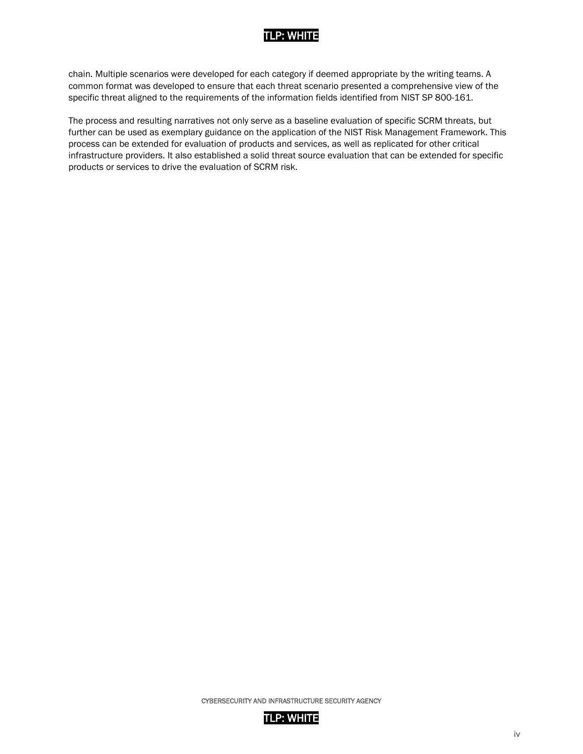chain. Multiple scenarios were developed for each category if deemed appropriate by the writing teams. A common format was developed to ensure that each threat scenario presented a comprehensive view of the specific threat aligned to the requirements of the information fields identified from NIST SP 800-161.

The process and resulting narratives not only serve as a baseline evaluation of specific SCRM threats, but further can be used as exemplary guidance on the application of the NIST Risk Management Framework. This process can be extended for evaluation of products and services, as well as replicated for other critical infrastructure providers. It also established a solid threat source evaluation that can be extended for specific products or services to drive the evaluation of SCRM risk.

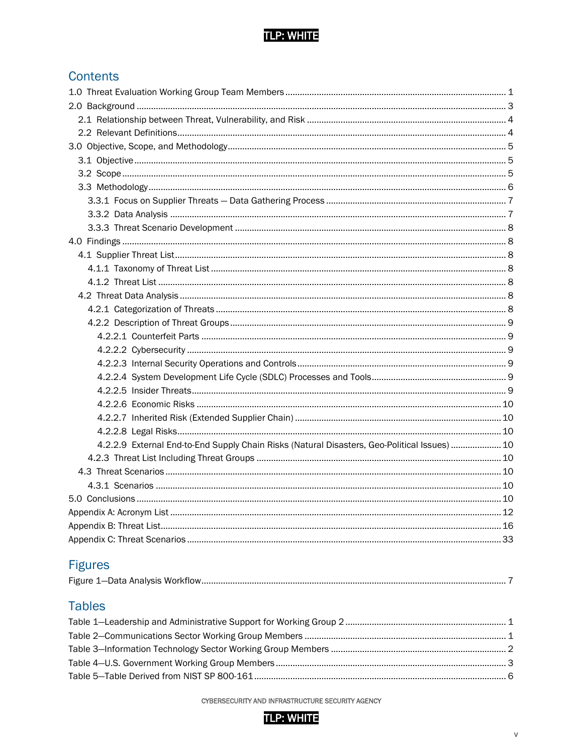# Contents

| 4.2.2.9 External End-to-End Supply Chain Risks (Natural Disasters, Geo-Political Issues)  10 |  |
|----------------------------------------------------------------------------------------------|--|
|                                                                                              |  |
|                                                                                              |  |
|                                                                                              |  |
|                                                                                              |  |
|                                                                                              |  |
|                                                                                              |  |
|                                                                                              |  |

# **Figures**

# **Tables**

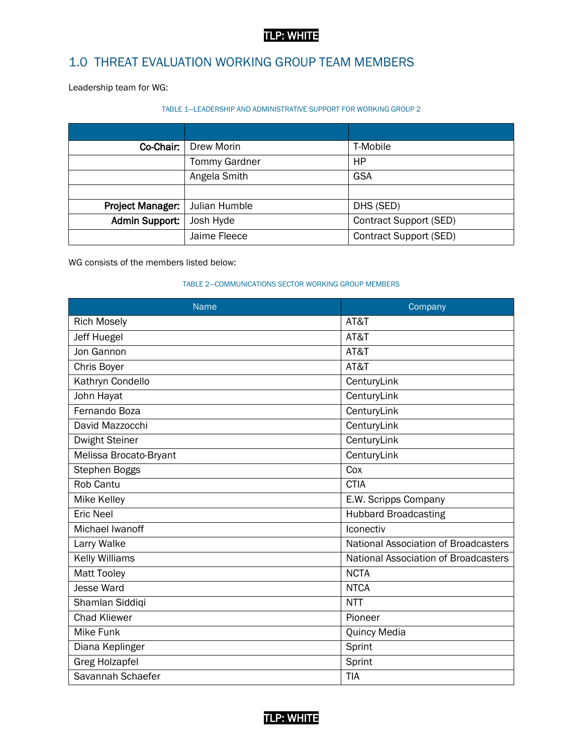# 1.0 THREAT EVALUATION WORKING GROUP TEAM MEMBERS

Leadership team for WG:

#### TABLE 1—LEADERSHIP AND ADMINISTRATIVE SUPPORT FOR WORKING GROUP 2

| Co-Chair:<br>Drew Morin |                      | T-Mobile               |
|-------------------------|----------------------|------------------------|
|                         | <b>Tommy Gardner</b> | HP                     |
|                         | Angela Smith         | <b>GSA</b>             |
|                         |                      |                        |
| <b>Project Manager:</b> | Julian Humble        | DHS (SED)              |
| <b>Admin Support:</b>   | Josh Hyde            | Contract Support (SED) |
|                         | Jaime Fleece         | Contract Support (SED) |

WG consists of the members listed below:

#### TABLE 2—COMMUNICATIONS SECTOR WORKING GROUP MEMBERS

| <b>Name</b>            | Company                              |
|------------------------|--------------------------------------|
| <b>Rich Mosely</b>     | AT&T                                 |
| Jeff Huegel            | AT&T                                 |
| Jon Gannon             | AT&T                                 |
| Chris Boyer            | AT&T                                 |
| Kathryn Condello       | CenturyLink                          |
| John Hayat             | CenturyLink                          |
| Fernando Boza          | CenturyLink                          |
| David Mazzocchi        | CenturyLink                          |
| <b>Dwight Steiner</b>  | CenturyLink                          |
| Melissa Brocato-Bryant | CenturyLink                          |
| <b>Stephen Boggs</b>   | Cox                                  |
| <b>Rob Cantu</b>       | <b>CTIA</b>                          |
| Mike Kelley            | E.W. Scripps Company                 |
| <b>Eric Neel</b>       | Hubbard Broadcasting                 |
| Michael Iwanoff        | Iconectiv                            |
| Larry Walke            | National Association of Broadcasters |
| Kelly Williams         | National Association of Broadcasters |
| <b>Matt Tooley</b>     | <b>NCTA</b>                          |
| <b>Jesse Ward</b>      | <b>NTCA</b>                          |
| Shamlan Siddiqi        | <b>NTT</b>                           |
| <b>Chad Kliewer</b>    | Pioneer                              |
| Mike Funk              | <b>Quincy Media</b>                  |
| Diana Keplinger        | Sprint                               |
| <b>Greg Holzapfel</b>  | Sprint                               |
| Savannah Schaefer      | <b>TIA</b>                           |

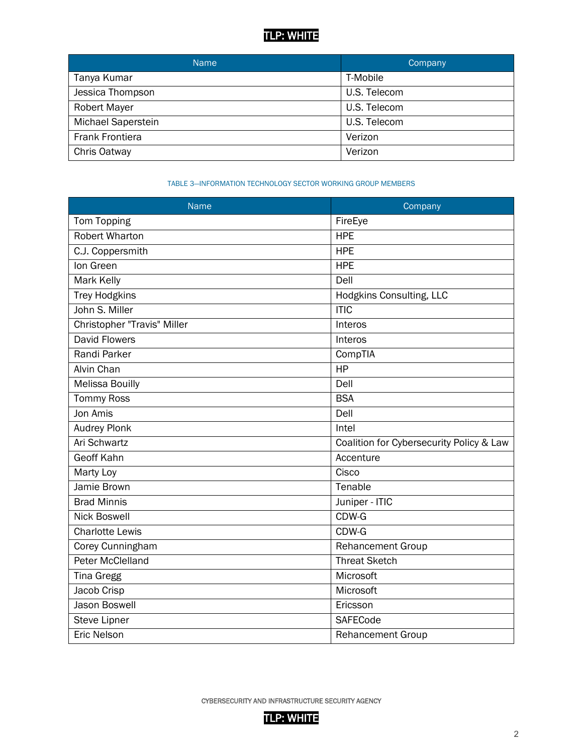| <b>Name</b>            | Company      |
|------------------------|--------------|
| Tanya Kumar            | T-Mobile     |
| Jessica Thompson       | U.S. Telecom |
| <b>Robert Mayer</b>    | U.S. Telecom |
| Michael Saperstein     | U.S. Telecom |
| <b>Frank Frontiera</b> | Verizon      |
| Chris Oatway           | Verizon      |

#### TABLE 3—INFORMATION TECHNOLOGY SECTOR WORKING GROUP MEMBERS

| <b>Name</b>                 | Company                                  |
|-----------------------------|------------------------------------------|
| Tom Topping                 | FireEye                                  |
| <b>Robert Wharton</b>       | <b>HPE</b>                               |
| C.J. Coppersmith            | <b>HPE</b>                               |
| Ion Green                   | <b>HPE</b>                               |
| Mark Kelly                  | Dell                                     |
| <b>Trey Hodgkins</b>        | Hodgkins Consulting, LLC                 |
| John S. Miller              | $\Pi$                                    |
| Christopher "Travis" Miller | Interos                                  |
| <b>David Flowers</b>        | Interos                                  |
| Randi Parker                | CompTIA                                  |
| Alvin Chan                  | <b>HP</b>                                |
| <b>Melissa Bouilly</b>      | Dell                                     |
| <b>Tommy Ross</b>           | <b>BSA</b>                               |
| Jon Amis                    | Dell                                     |
| <b>Audrey Plonk</b>         | Intel                                    |
| Ari Schwartz                | Coalition for Cybersecurity Policy & Law |
| Geoff Kahn                  | Accenture                                |
| Marty Loy                   | Cisco                                    |
| Jamie Brown                 | Tenable                                  |
| <b>Brad Minnis</b>          | Juniper - ITIC                           |
| <b>Nick Boswell</b>         | CDW-G                                    |
| <b>Charlotte Lewis</b>      | CDW-G                                    |
| Corey Cunningham            | <b>Rehancement Group</b>                 |
| <b>Peter McClelland</b>     | <b>Threat Sketch</b>                     |
| <b>Tina Gregg</b>           | Microsoft                                |
| Jacob Crisp                 | Microsoft                                |
| Jason Boswell               | Ericsson                                 |
| <b>Steve Lipner</b>         | SAFECode                                 |
| <b>Eric Nelson</b>          | <b>Rehancement Group</b>                 |

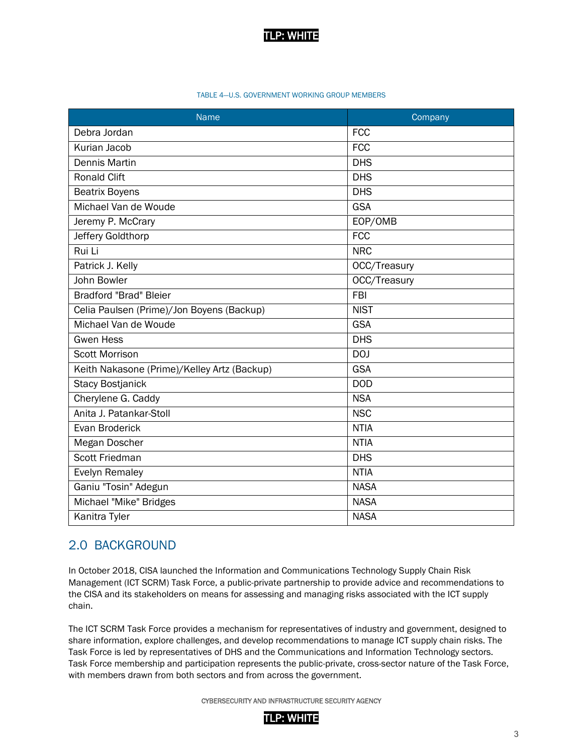#### TABLE 4—U.S. GOVERNMENT WORKING GROUP MEMBERS

| <b>Name</b>                                 | Company      |
|---------------------------------------------|--------------|
| Debra Jordan                                | <b>FCC</b>   |
| Kurian Jacob                                | <b>FCC</b>   |
| <b>Dennis Martin</b>                        | <b>DHS</b>   |
| <b>Ronald Clift</b>                         | <b>DHS</b>   |
| <b>Beatrix Boyens</b>                       | <b>DHS</b>   |
| Michael Van de Woude                        | <b>GSA</b>   |
| Jeremy P. McCrary                           | EOP/OMB      |
| Jeffery Goldthorp                           | <b>FCC</b>   |
| Rui Li                                      | <b>NRC</b>   |
| Patrick J. Kelly                            | OCC/Treasury |
| John Bowler                                 | OCC/Treasury |
| <b>Bradford "Brad" Bleier</b>               | <b>FBI</b>   |
| Celia Paulsen (Prime)/Jon Boyens (Backup)   | <b>NIST</b>  |
| Michael Van de Woude                        | <b>GSA</b>   |
| <b>Gwen Hess</b>                            | <b>DHS</b>   |
| <b>Scott Morrison</b>                       | <b>DOJ</b>   |
| Keith Nakasone (Prime)/Kelley Artz (Backup) | <b>GSA</b>   |
| <b>Stacy Bostjanick</b>                     | <b>DOD</b>   |
| Cherylene G. Caddy                          | <b>NSA</b>   |
| Anita J. Patankar-Stoll                     | <b>NSC</b>   |
| Evan Broderick                              | <b>NTIA</b>  |
| Megan Doscher                               | <b>NTIA</b>  |
| Scott Friedman                              | <b>DHS</b>   |
| <b>Evelyn Remaley</b>                       | <b>NTIA</b>  |
| Ganiu "Tosin" Adegun                        | <b>NASA</b>  |
| Michael "Mike" Bridges                      | <b>NASA</b>  |
| Kanitra Tyler                               | <b>NASA</b>  |

### 2.0 BACKGROUND

In October 2018, CISA launched the Information and Communications Technology Supply Chain Risk Management (ICT SCRM) Task Force, a public-private partnership to provide advice and recommendations to the CISA and its stakeholders on means for assessing and managing risks associated with the ICT supply chain.

The ICT SCRM Task Force provides a mechanism for representatives of industry and government, designed to share information, explore challenges, and develop recommendations to manage ICT supply chain risks. The Task Force is led by representatives of DHS and the Communications and Information Technology sectors. Task Force membership and participation represents the public-private, cross-sector nature of the Task Force, with members drawn from both sectors and from across the government.

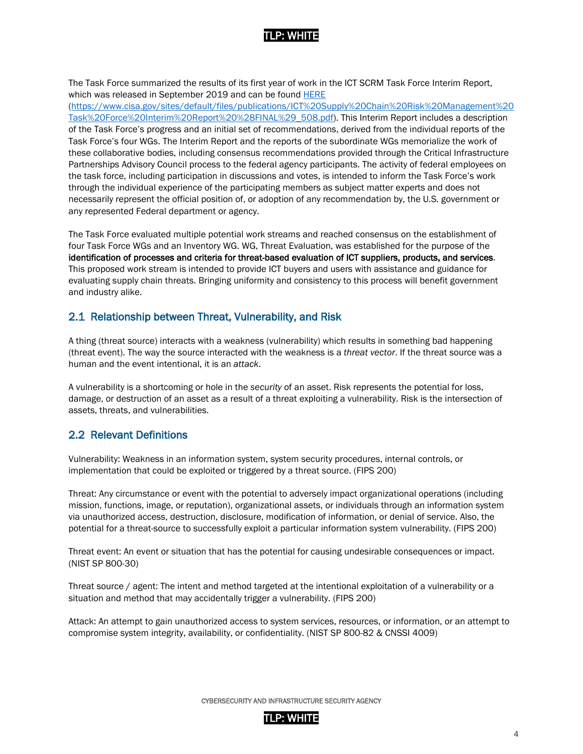The Task Force summarized the results of its first year of work in the ICT SCRM Task Force Interim Report, which was released in September 2019 and can be found **HERE** 

[\(https://www.cisa.gov/sites/default/files/publications/ICT%20Supply%20Chain%20Risk%20Management%20](https://www.cisa.gov/sites/default/files/publications/ICT%20Supply%20Chain%20Risk%20Management%20Task%20Force%20Interim%20Report%20%28FINAL%29_508.pdf) [Task%20Force%20Interim%20Report%20%28FINAL%29\\_508.pdf\)](https://www.cisa.gov/sites/default/files/publications/ICT%20Supply%20Chain%20Risk%20Management%20Task%20Force%20Interim%20Report%20%28FINAL%29_508.pdf). This Interim Report includes a description of the Task Force's progress and an initial set of recommendations, derived from the individual reports of the Task Force's four WGs. The Interim Report and the reports of the subordinate WGs memorialize the work of these collaborative bodies, including consensus recommendations provided through the Critical Infrastructure Partnerships Advisory Council process to the federal agency participants. The activity of federal employees on the task force, including participation in discussions and votes, is intended to inform the Task Force's work through the individual experience of the participating members as subject matter experts and does not necessarily represent the official position of, or adoption of any recommendation by, the U.S. government or any represented Federal department or agency.

The Task Force evaluated multiple potential work streams and reached consensus on the establishment of four Task Force WGs and an Inventory WG. WG, Threat Evaluation, was established for the purpose of the identification of processes and criteria for threat-based evaluation of ICT suppliers, products, and services. This proposed work stream is intended to provide ICT buyers and users with assistance and guidance for evaluating supply chain threats. Bringing uniformity and consistency to this process will benefit government and industry alike.

### 2.1 Relationship between Threat, Vulnerability, and Risk

A thing (threat source) interacts with a weakness (vulnerability) which results in something bad happening (threat event). The way the source interacted with the weakness is a *threat vector*. If the threat source was a human and the event intentional, it is an *attack*.

A vulnerability is a shortcoming or hole in the *security* of an asset. Risk represents the potential for loss, damage, or destruction of an asset as a result of a threat exploiting a vulnerability. Risk is the intersection of assets, threats, and vulnerabilities.

### 2.2 Relevant Definitions

Vulnerability: Weakness in an information system, system security procedures, internal controls, or implementation that could be exploited or triggered by a threat source. (FIPS 200)

Threat: Any circumstance or event with the potential to adversely impact organizational operations (including mission, functions, image, or reputation), organizational assets, or individuals through an information system via unauthorized access, destruction, disclosure, modification of information, or denial of service. Also, the potential for a threat-source to successfully exploit a particular information system vulnerability. (FIPS 200)

Threat event: An event or situation that has the potential for causing undesirable consequences or impact. (NIST SP 800-30)

Threat source / agent: The intent and method targeted at the intentional exploitation of a vulnerability or a situation and method that may accidentally trigger a vulnerability. (FIPS 200)

Attack: An attempt to gain unauthorized access to system services, resources, or information, or an attempt to compromise system integrity, availability, or confidentiality. (NIST SP 800-82 & CNSSI 4009)

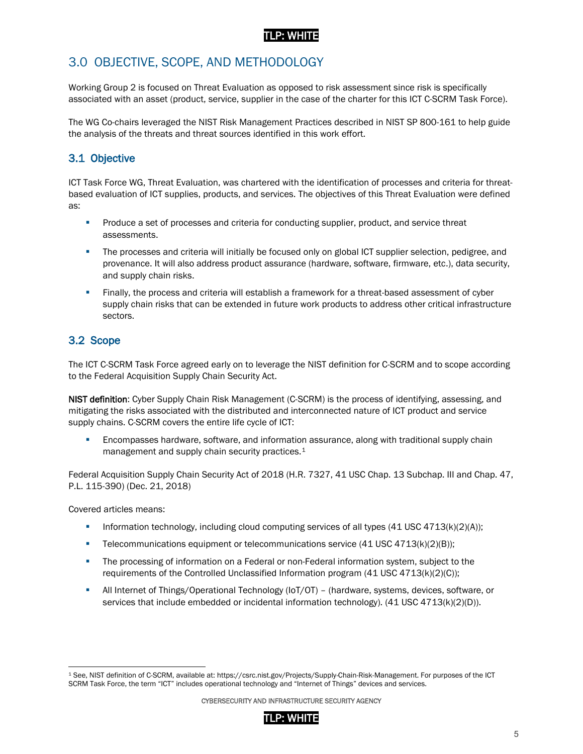# 3.0 OBJECTIVE, SCOPE, AND METHODOLOGY

Working Group 2 is focused on Threat Evaluation as opposed to risk assessment since risk is specifically associated with an asset (product, service, supplier in the case of the charter for this ICT C-SCRM Task Force).

The WG Co-chairs leveraged the NIST Risk Management Practices described in NIST SP 800-161 to help guide the analysis of the threats and threat sources identified in this work effort.

### 3.1 Objective

ICT Task Force WG, Threat Evaluation, was chartered with the identification of processes and criteria for threatbased evaluation of ICT supplies, products, and services. The objectives of this Threat Evaluation were defined as:

- **Produce a set of processes and criteria for conducting supplier, product, and service threat** assessments.
- **The processes and criteria will initially be focused only on global ICT supplier selection, pedigree, and** provenance. It will also address product assurance (hardware, software, firmware, etc.), data security, and supply chain risks.
- Finally, the process and criteria will establish a framework for a threat-based assessment of cyber supply chain risks that can be extended in future work products to address other critical infrastructure sectors.

### 3.2 Scope

The ICT C-SCRM Task Force agreed early on to leverage the NIST definition for C-SCRM and to scope according to the Federal Acquisition Supply Chain Security Act.

NIST definition: Cyber Supply Chain Risk Management (C-SCRM) is the process of identifying, assessing, and mitigating the risks associated with the distributed and interconnected nature of ICT product and service supply chains. C-SCRM covers the entire life cycle of ICT:

 Encompasses hardware, software, and information assurance, along with traditional supply chain management and supply chain security practices.<sup>[1](#page-9-0)</sup>

Federal Acquisition Supply Chain Security Act of 2018 (H.R. 7327, 41 USC Chap. 13 Subchap. III and Chap. 47, P.L. 115-390) (Dec. 21, 2018)

Covered articles means:

- **Information technology, including cloud computing services of all types (41 USC 4713(k)(2)(A));**
- **Telecommunications equipment or telecommunications service (41 USC 4713(k)(2)(B));**
- **The processing of information on a Federal or non-Federal information system, subject to the** requirements of the Controlled Unclassified Information program (41 USC 4713(k)(2)(C));
- All Internet of Things/Operational Technology (IoT/OT) (hardware, systems, devices, software, or services that include embedded or incidental information technology). (41 USC 4713(k)(2)(D)).



<span id="page-9-0"></span> $\overline{a}$ <sup>1</sup> See, NIST definition of C-SCRM, available at: https://csrc.nist.gov/Projects/Supply-Chain-Risk-Management. For purposes of the ICT SCRM Task Force, the term "ICT" includes operational technology and "Internet of Things" devices and services.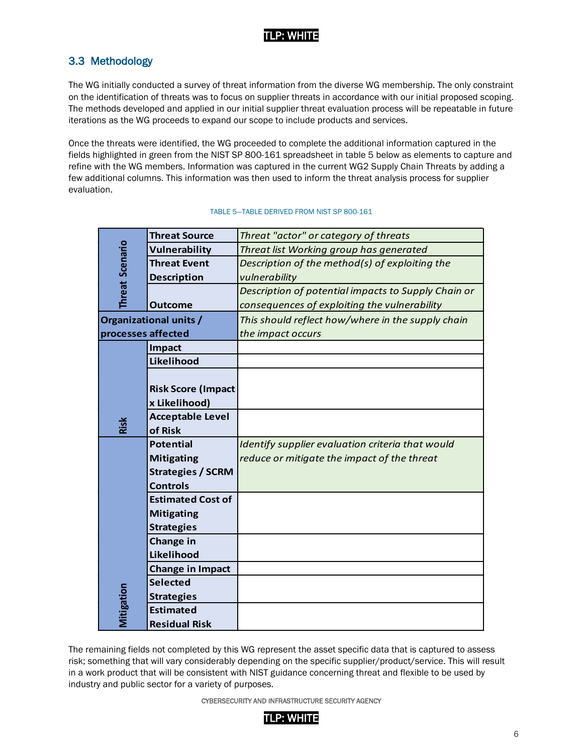### 3.3 Methodology

The WG initially conducted a survey of threat information from the diverse WG membership. The only constraint on the identification of threats was to focus on supplier threats in accordance with our initial proposed scoping. The methods developed and applied in our initial supplier threat evaluation process will be repeatable in future iterations as the WG proceeds to expand our scope to include products and services.

Once the threats were identified, the WG proceeded to complete the additional information captured in the fields highlighted in green from the NIST SP 800-161 spreadsheet in table 5 below as elements to capture and refine with the WG members. Information was captured in the current WG2 Supply Chain Threats by adding a few additional columns. This information was then used to inform the threat analysis process for supplier evaluation.

|                    | <b>Threat Source</b>       | Threat "actor" or category of threats               |
|--------------------|----------------------------|-----------------------------------------------------|
|                    | Vulnerability              | Threat list Working group has generated             |
| Threat Scenario    | <b>Threat Event</b>        | Description of the method(s) of exploiting the      |
|                    | <b>Description</b>         | vulnerability                                       |
|                    |                            | Description of potential impacts to Supply Chain or |
|                    | <b>Outcome</b>             | consequences of exploiting the vulnerability        |
|                    | Organizational units /     | This should reflect how/where in the supply chain   |
| processes affected |                            | the impact occurs                                   |
|                    | Impact                     |                                                     |
|                    | Likelihood                 |                                                     |
|                    |                            |                                                     |
|                    | <b>Risk Score (Impact)</b> |                                                     |
|                    | x Likelihood)              |                                                     |
|                    | <b>Acceptable Level</b>    |                                                     |
| Risk               | of Risk                    |                                                     |
|                    | <b>Potential</b>           | Identify supplier evaluation criteria that would    |
|                    | <b>Mitigating</b>          | reduce or mitigate the impact of the threat         |
|                    | <b>Strategies / SCRM</b>   |                                                     |
|                    | <b>Controls</b>            |                                                     |
|                    | <b>Estimated Cost of</b>   |                                                     |
|                    | <b>Mitigating</b>          |                                                     |
|                    | <b>Strategies</b>          |                                                     |
|                    | Change in                  |                                                     |
|                    | Likelihood                 |                                                     |
| Mitigation         | <b>Change in Impact</b>    |                                                     |
|                    | <b>Selected</b>            |                                                     |
|                    | <b>Strategies</b>          |                                                     |
|                    | <b>Estimated</b>           |                                                     |
|                    | <b>Residual Risk</b>       |                                                     |

#### TABLE 5—TABLE DERIVED FROM NIST SP 800-161

The remaining fields not completed by this WG represent the asset specific data that is captured to assess risk; something that will vary considerably depending on the specific supplier/product/service. This will result in a work product that will be consistent with NIST guidance concerning threat and flexible to be used by industry and public sector for a variety of purposes.

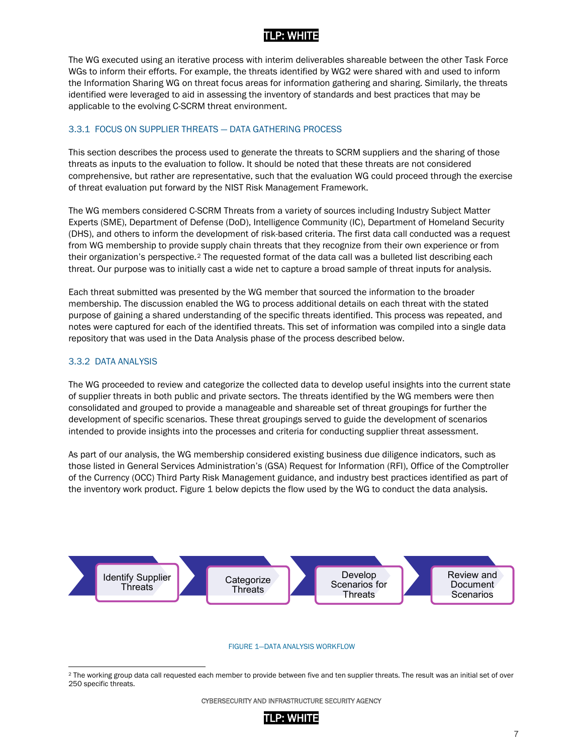The WG executed using an iterative process with interim deliverables shareable between the other Task Force WGs to inform their efforts. For example, the threats identified by WG2 were shared with and used to inform the Information Sharing WG on threat focus areas for information gathering and sharing. Similarly, the threats identified were leveraged to aid in assessing the inventory of standards and best practices that may be applicable to the evolving C-SCRM threat environment.

#### 3.3.1 FOCUS ON SUPPLIER THREATS — DATA GATHERING PROCESS

This section describes the process used to generate the threats to SCRM suppliers and the sharing of those threats as inputs to the evaluation to follow. It should be noted that these threats are not considered comprehensive, but rather are representative, such that the evaluation WG could proceed through the exercise of threat evaluation put forward by the NIST Risk Management Framework.

The WG members considered C-SCRM Threats from a variety of sources including Industry Subject Matter Experts (SME), Department of Defense (DoD), Intelligence Community (IC), Department of Homeland Security (DHS), and others to inform the development of risk-based criteria. The first data call conducted was a request from WG membership to provide supply chain threats that they recognize from their own experience or from their organization's perspective.[2](#page-11-0) The requested format of the data call was a bulleted list describing each threat. Our purpose was to initially cast a wide net to capture a broad sample of threat inputs for analysis.

Each threat submitted was presented by the WG member that sourced the information to the broader membership. The discussion enabled the WG to process additional details on each threat with the stated purpose of gaining a shared understanding of the specific threats identified. This process was repeated, and notes were captured for each of the identified threats. This set of information was compiled into a single data repository that was used in the Data Analysis phase of the process described below.

#### 3.3.2 DATA ANALYSIS

The WG proceeded to review and categorize the collected data to develop useful insights into the current state of supplier threats in both public and private sectors. The threats identified by the WG members were then consolidated and grouped to provide a manageable and shareable set of threat groupings for further the development of specific scenarios. These threat groupings served to guide the development of scenarios intended to provide insights into the processes and criteria for conducting supplier threat assessment.

As part of our analysis, the WG membership considered existing business due diligence indicators, such as those listed in General Services Administration's (GSA) Request for Information (RFI), Office of the Comptroller of the Currency (OCC) Third Party Risk Management guidance, and industry best practices identified as part of the inventory work product. Figure 1 below depicts the flow used by the WG to conduct the data analysis.



#### FIGURE 1—DATA ANALYSIS WORKFLOW



<span id="page-11-0"></span> $\overline{a}$ <sup>2</sup> The working group data call requested each member to provide between five and ten supplier threats. The result was an initial set of over 250 specific threats.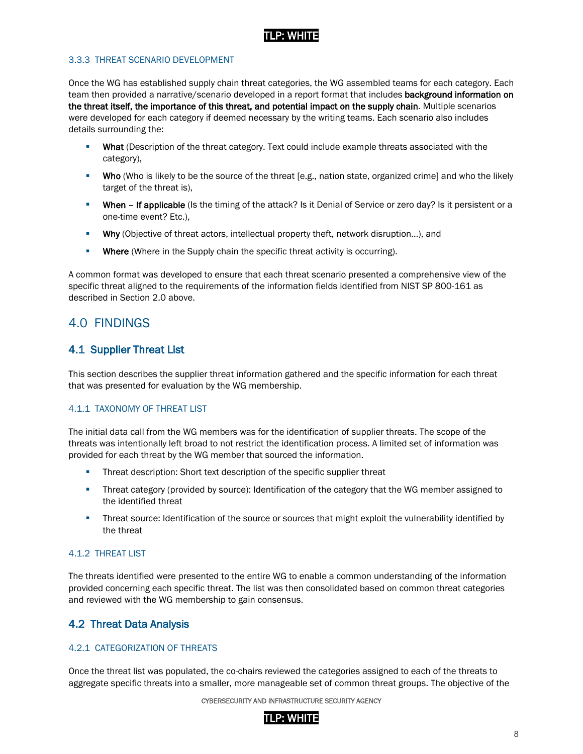#### 3.3.3 THREAT SCENARIO DEVELOPMENT

Once the WG has established supply chain threat categories, the WG assembled teams for each category. Each team then provided a narrative/scenario developed in a report format that includes background information on the threat itself, the importance of this threat, and potential impact on the supply chain. Multiple scenarios were developed for each category if deemed necessary by the writing teams. Each scenario also includes details surrounding the:

- **What** (Description of the threat category. Text could include example threats associated with the category),
- **Who** (Who is likely to be the source of the threat [e.g., nation state, organized crime] and who the likely target of the threat is),
- When If applicable (Is the timing of the attack? Is it Denial of Service or zero day? Is it persistent or a one-time event? Etc.),
- **Why** (Objective of threat actors, intellectual property theft, network disruption...), and
- **Where** (Where in the Supply chain the specific threat activity is occurring).

A common format was developed to ensure that each threat scenario presented a comprehensive view of the specific threat aligned to the requirements of the information fields identified from NIST SP 800-161 as described in Section 2.0 above.

# 4.0 FINDINGS

### 4.1 Supplier Threat List

This section describes the supplier threat information gathered and the specific information for each threat that was presented for evaluation by the WG membership.

#### 4.1.1 TAXONOMY OF THREAT LIST

The initial data call from the WG members was for the identification of supplier threats. The scope of the threats was intentionally left broad to not restrict the identification process. A limited set of information was provided for each threat by the WG member that sourced the information.

- Threat description: Short text description of the specific supplier threat
- Threat category (provided by source): Identification of the category that the WG member assigned to the identified threat
- Threat source: Identification of the source or sources that might exploit the vulnerability identified by the threat

#### 4.1.2 THREAT LIST

The threats identified were presented to the entire WG to enable a common understanding of the information provided concerning each specific threat. The list was then consolidated based on common threat categories and reviewed with the WG membership to gain consensus.

### 4.2 Threat Data Analysis

#### 4.2.1 CATEGORIZATION OF THREATS

Once the threat list was populated, the co-chairs reviewed the categories assigned to each of the threats to aggregate specific threats into a smaller, more manageable set of common threat groups. The objective of the

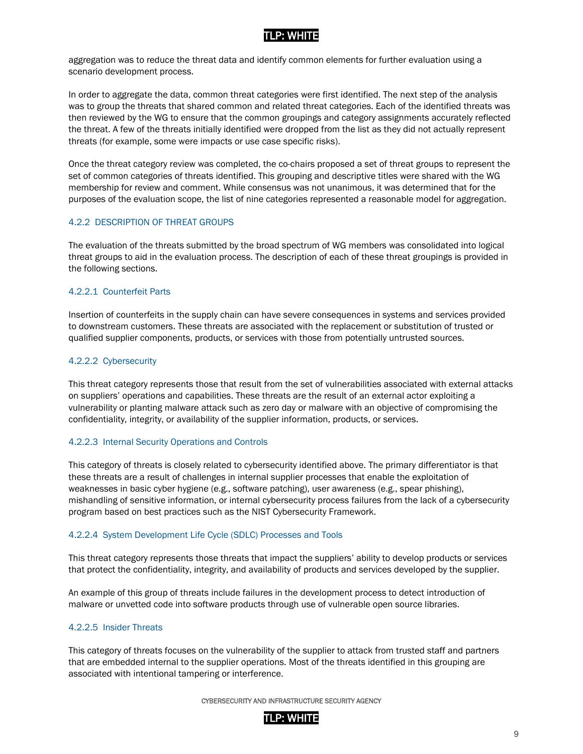aggregation was to reduce the threat data and identify common elements for further evaluation using a scenario development process.

In order to aggregate the data, common threat categories were first identified. The next step of the analysis was to group the threats that shared common and related threat categories. Each of the identified threats was then reviewed by the WG to ensure that the common groupings and category assignments accurately reflected the threat. A few of the threats initially identified were dropped from the list as they did not actually represent threats (for example, some were impacts or use case specific risks).

Once the threat category review was completed, the co-chairs proposed a set of threat groups to represent the set of common categories of threats identified. This grouping and descriptive titles were shared with the WG membership for review and comment. While consensus was not unanimous, it was determined that for the purposes of the evaluation scope, the list of nine categories represented a reasonable model for aggregation.

#### 4.2.2 DESCRIPTION OF THREAT GROUPS

The evaluation of the threats submitted by the broad spectrum of WG members was consolidated into logical threat groups to aid in the evaluation process. The description of each of these threat groupings is provided in the following sections.

#### 4.2.2.1 Counterfeit Parts

Insertion of counterfeits in the supply chain can have severe consequences in systems and services provided to downstream customers. These threats are associated with the replacement or substitution of trusted or qualified supplier components, products, or services with those from potentially untrusted sources.

#### 4.2.2.2 Cybersecurity

This threat category represents those that result from the set of vulnerabilities associated with external attacks on suppliers' operations and capabilities. These threats are the result of an external actor exploiting a vulnerability or planting malware attack such as zero day or malware with an objective of compromising the confidentiality, integrity, or availability of the supplier information, products, or services.

#### 4.2.2.3 Internal Security Operations and Controls

This category of threats is closely related to cybersecurity identified above. The primary differentiator is that these threats are a result of challenges in internal supplier processes that enable the exploitation of weaknesses in basic cyber hygiene (e.g., software patching), user awareness (e.g., spear phishing), mishandling of sensitive information, or internal cybersecurity process failures from the lack of a cybersecurity program based on best practices such as the NIST Cybersecurity Framework.

#### 4.2.2.4 System Development Life Cycle (SDLC) Processes and Tools

This threat category represents those threats that impact the suppliers' ability to develop products or services that protect the confidentiality, integrity, and availability of products and services developed by the supplier.

An example of this group of threats include failures in the development process to detect introduction of malware or unvetted code into software products through use of vulnerable open source libraries.

#### 4.2.2.5 Insider Threats

This category of threats focuses on the vulnerability of the supplier to attack from trusted staff and partners that are embedded internal to the supplier operations. Most of the threats identified in this grouping are associated with intentional tampering or interference.

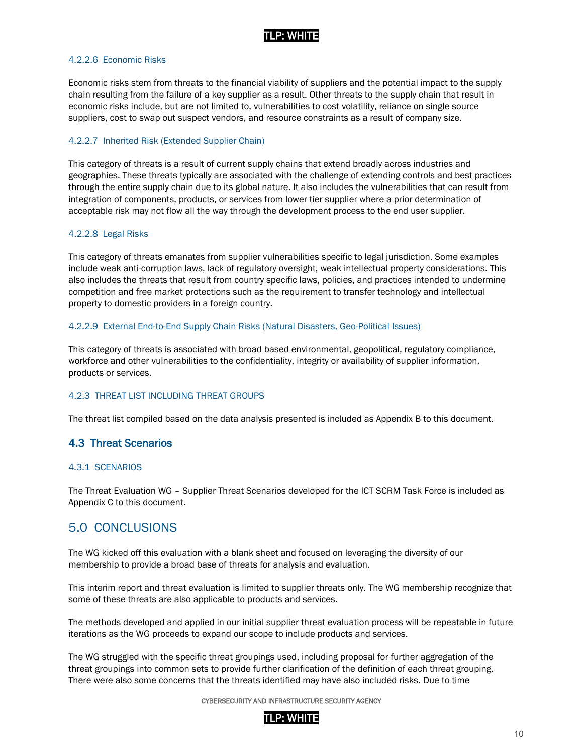#### 4.2.2.6 Economic Risks

Economic risks stem from threats to the financial viability of suppliers and the potential impact to the supply chain resulting from the failure of a key supplier as a result. Other threats to the supply chain that result in economic risks include, but are not limited to, vulnerabilities to cost volatility, reliance on single source suppliers, cost to swap out suspect vendors, and resource constraints as a result of company size.

#### 4.2.2.7 Inherited Risk (Extended Supplier Chain)

This category of threats is a result of current supply chains that extend broadly across industries and geographies. These threats typically are associated with the challenge of extending controls and best practices through the entire supply chain due to its global nature. It also includes the vulnerabilities that can result from integration of components, products, or services from lower tier supplier where a prior determination of acceptable risk may not flow all the way through the development process to the end user supplier.

#### 4.2.2.8 Legal Risks

This category of threats emanates from supplier vulnerabilities specific to legal jurisdiction. Some examples include weak anti-corruption laws, lack of regulatory oversight, weak intellectual property considerations. This also includes the threats that result from country specific laws, policies, and practices intended to undermine competition and free market protections such as the requirement to transfer technology and intellectual property to domestic providers in a foreign country.

#### 4.2.2.9 External End-to-End Supply Chain Risks (Natural Disasters, Geo-Political Issues)

This category of threats is associated with broad based environmental, geopolitical, regulatory compliance, workforce and other vulnerabilities to the confidentiality, integrity or availability of supplier information, products or services.

#### 4.2.3 THREAT LIST INCLUDING THREAT GROUPS

The threat list compiled based on the data analysis presented is included as Appendix B to this document.

#### 4.3 Threat Scenarios

#### 4.3.1 SCENARIOS

The Threat Evaluation WG – Supplier Threat Scenarios developed for the ICT SCRM Task Force is included as Appendix C to this document.

### 5.0 CONCLUSIONS

The WG kicked off this evaluation with a blank sheet and focused on leveraging the diversity of our membership to provide a broad base of threats for analysis and evaluation.

This interim report and threat evaluation is limited to supplier threats only. The WG membership recognize that some of these threats are also applicable to products and services.

The methods developed and applied in our initial supplier threat evaluation process will be repeatable in future iterations as the WG proceeds to expand our scope to include products and services.

The WG struggled with the specific threat groupings used, including proposal for further aggregation of the threat groupings into common sets to provide further clarification of the definition of each threat grouping. There were also some concerns that the threats identified may have also included risks. Due to time

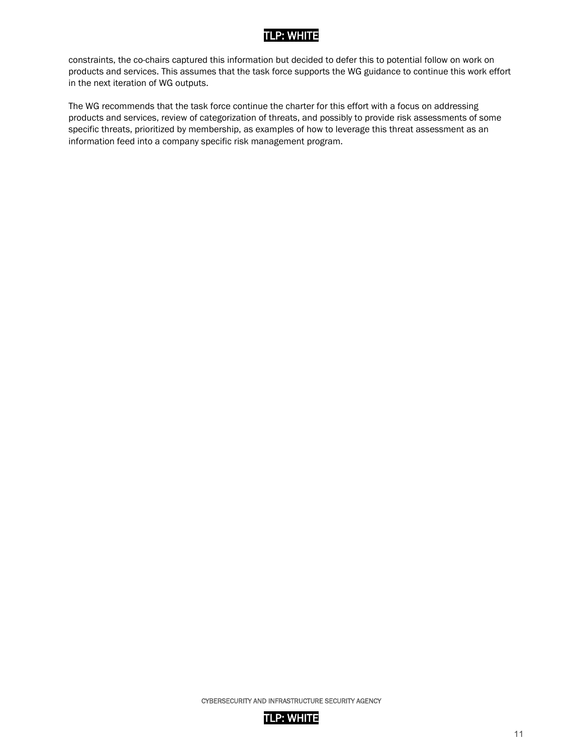constraints, the co-chairs captured this information but decided to defer this to potential follow on work on products and services. This assumes that the task force supports the WG guidance to continue this work effort in the next iteration of WG outputs.

The WG recommends that the task force continue the charter for this effort with a focus on addressing products and services, review of categorization of threats, and possibly to provide risk assessments of some specific threats, prioritized by membership, as examples of how to leverage this threat assessment as an information feed into a company specific risk management program.

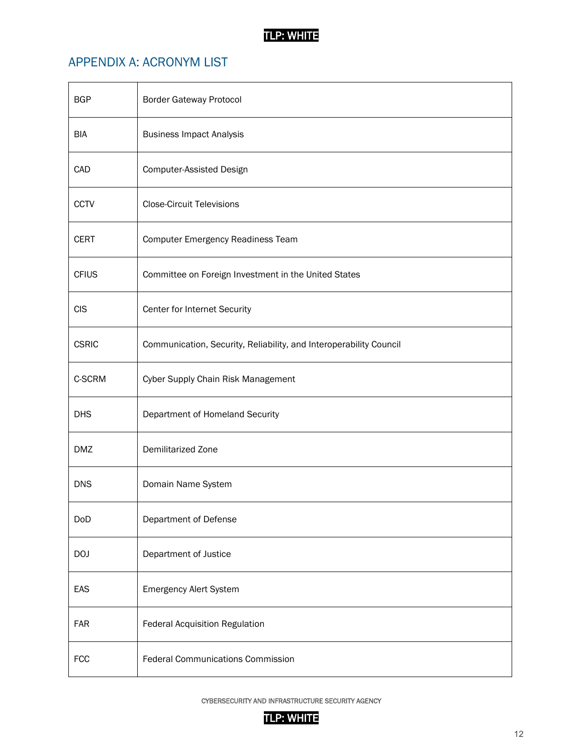# APPENDIX A: ACRONYM LIST

| <b>BGP</b>   | <b>Border Gateway Protocol</b>                                     |
|--------------|--------------------------------------------------------------------|
| <b>BIA</b>   | <b>Business Impact Analysis</b>                                    |
| CAD          | Computer-Assisted Design                                           |
| <b>CCTV</b>  | <b>Close-Circuit Televisions</b>                                   |
| <b>CERT</b>  | <b>Computer Emergency Readiness Team</b>                           |
| <b>CFIUS</b> | Committee on Foreign Investment in the United States               |
| <b>CIS</b>   | Center for Internet Security                                       |
| <b>CSRIC</b> | Communication, Security, Reliability, and Interoperability Council |
| C-SCRM       | Cyber Supply Chain Risk Management                                 |
| <b>DHS</b>   | Department of Homeland Security                                    |
| <b>DMZ</b>   | Demilitarized Zone                                                 |
| <b>DNS</b>   | Domain Name System                                                 |
| DoD          | Department of Defense                                              |
| <b>DOJ</b>   | Department of Justice                                              |
| EAS          | <b>Emergency Alert System</b>                                      |
| <b>FAR</b>   | <b>Federal Acquisition Regulation</b>                              |
| <b>FCC</b>   | <b>Federal Communications Commission</b>                           |

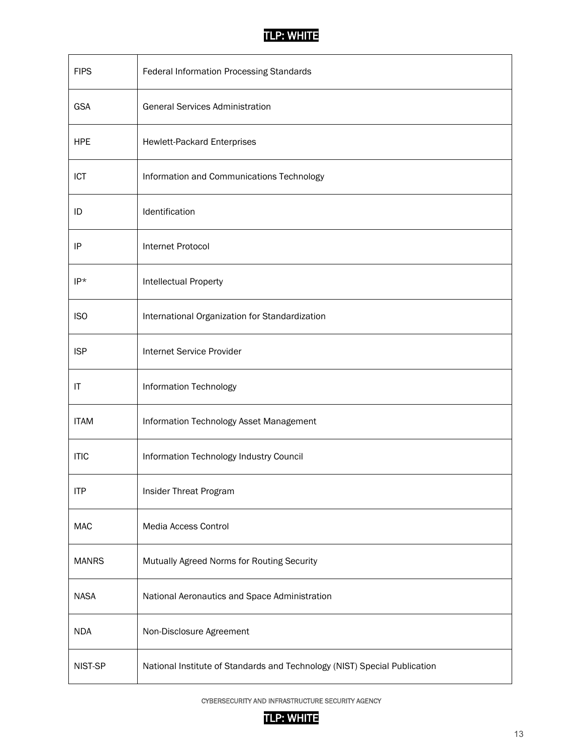| <b>FIPS</b>  | Federal Information Processing Standards                                  |
|--------------|---------------------------------------------------------------------------|
| <b>GSA</b>   | <b>General Services Administration</b>                                    |
| <b>HPE</b>   | Hewlett-Packard Enterprises                                               |
| ICT          | Information and Communications Technology                                 |
| ID           | Identification                                                            |
| IP           | Internet Protocol                                                         |
| IP*          | <b>Intellectual Property</b>                                              |
| <b>ISO</b>   | International Organization for Standardization                            |
| <b>ISP</b>   | <b>Internet Service Provider</b>                                          |
| IT           | Information Technology                                                    |
| <b>ITAM</b>  | Information Technology Asset Management                                   |
| <b>ITIC</b>  | Information Technology Industry Council                                   |
| <b>ITP</b>   | Insider Threat Program                                                    |
| <b>MAC</b>   | Media Access Control                                                      |
| <b>MANRS</b> | Mutually Agreed Norms for Routing Security                                |
| <b>NASA</b>  | National Aeronautics and Space Administration                             |
| <b>NDA</b>   | Non-Disclosure Agreement                                                  |
| NIST-SP      | National Institute of Standards and Technology (NIST) Special Publication |

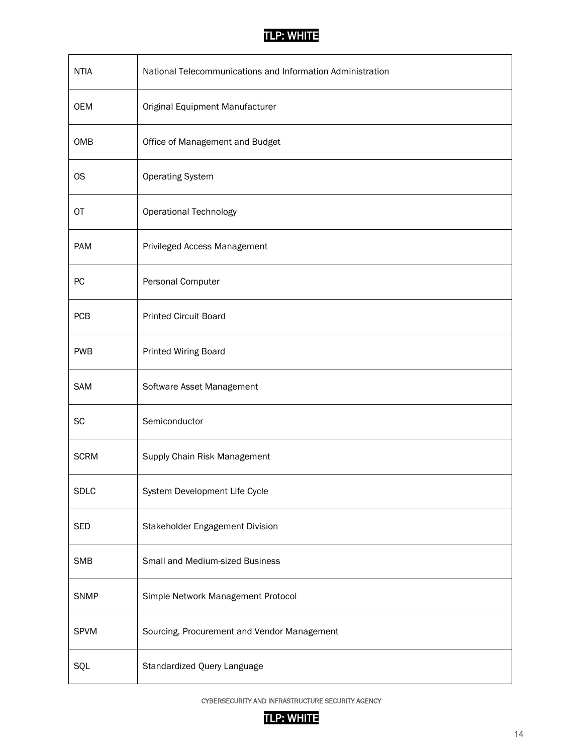| <b>NTIA</b> | National Telecommunications and Information Administration |
|-------------|------------------------------------------------------------|
| <b>OEM</b>  | Original Equipment Manufacturer                            |
| OMB         | Office of Management and Budget                            |
| 0S          | <b>Operating System</b>                                    |
| OT          | <b>Operational Technology</b>                              |
| <b>PAM</b>  | Privileged Access Management                               |
| PC          | Personal Computer                                          |
| PCB         | <b>Printed Circuit Board</b>                               |
| <b>PWB</b>  | <b>Printed Wiring Board</b>                                |
| SAM         | Software Asset Management                                  |
| <b>SC</b>   | Semiconductor                                              |
| <b>SCRM</b> | Supply Chain Risk Management                               |
| <b>SDLC</b> | System Development Life Cycle                              |
| <b>SED</b>  | Stakeholder Engagement Division                            |
| <b>SMB</b>  | Small and Medium-sized Business                            |
| <b>SNMP</b> | Simple Network Management Protocol                         |
| <b>SPVM</b> | Sourcing, Procurement and Vendor Management                |
| SQL         | Standardized Query Language                                |

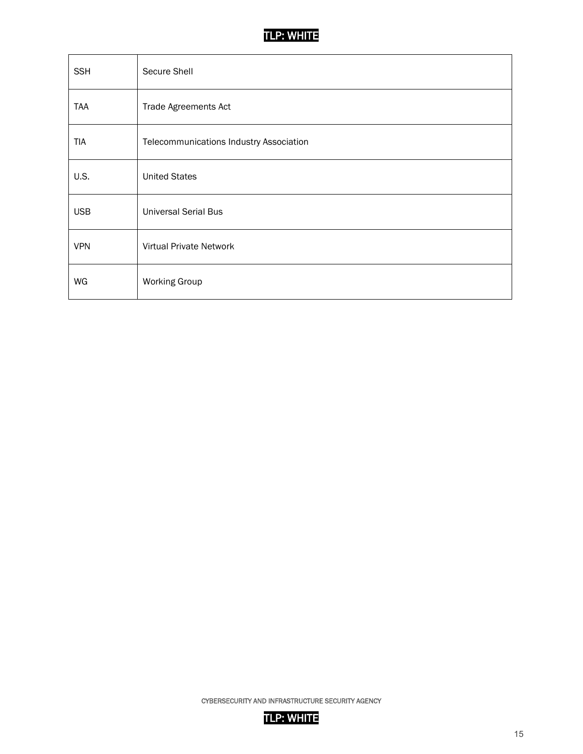| <b>SSH</b> | Secure Shell                            |
|------------|-----------------------------------------|
| TAA        | Trade Agreements Act                    |
| <b>TIA</b> | Telecommunications Industry Association |
| U.S.       | <b>United States</b>                    |
| <b>USB</b> | <b>Universal Serial Bus</b>             |
| <b>VPN</b> | <b>Virtual Private Network</b>          |
| WG         | <b>Working Group</b>                    |

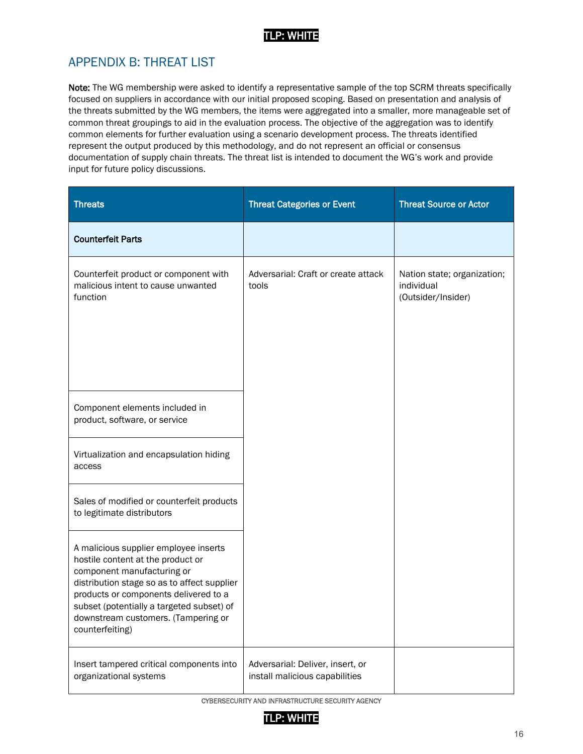# APPENDIX B: THREAT LIST

Note: The WG membership were asked to identify a representative sample of the top SCRM threats specifically focused on suppliers in accordance with our initial proposed scoping. Based on presentation and analysis of the threats submitted by the WG members, the items were aggregated into a smaller, more manageable set of common threat groupings to aid in the evaluation process. The objective of the aggregation was to identify common elements for further evaluation using a scenario development process. The threats identified represent the output produced by this methodology, and do not represent an official or consensus documentation of supply chain threats. The threat list is intended to document the WG's work and provide input for future policy discussions.

| <b>Threats</b>                                                                                                                                                                                                                                                                                          | <b>Threat Categories or Event</b>                                  | <b>Threat Source or Actor</b>                                   |
|---------------------------------------------------------------------------------------------------------------------------------------------------------------------------------------------------------------------------------------------------------------------------------------------------------|--------------------------------------------------------------------|-----------------------------------------------------------------|
| <b>Counterfeit Parts</b>                                                                                                                                                                                                                                                                                |                                                                    |                                                                 |
| Counterfeit product or component with<br>malicious intent to cause unwanted<br>function                                                                                                                                                                                                                 | Adversarial: Craft or create attack<br>tools                       | Nation state; organization;<br>individual<br>(Outsider/Insider) |
| Component elements included in<br>product, software, or service                                                                                                                                                                                                                                         |                                                                    |                                                                 |
| Virtualization and encapsulation hiding<br>access                                                                                                                                                                                                                                                       |                                                                    |                                                                 |
| Sales of modified or counterfeit products<br>to legitimate distributors                                                                                                                                                                                                                                 |                                                                    |                                                                 |
| A malicious supplier employee inserts<br>hostile content at the product or<br>component manufacturing or<br>distribution stage so as to affect supplier<br>products or components delivered to a<br>subset (potentially a targeted subset) of<br>downstream customers. (Tampering or<br>counterfeiting) |                                                                    |                                                                 |
| Insert tampered critical components into<br>organizational systems                                                                                                                                                                                                                                      | Adversarial: Deliver, insert, or<br>install malicious capabilities |                                                                 |

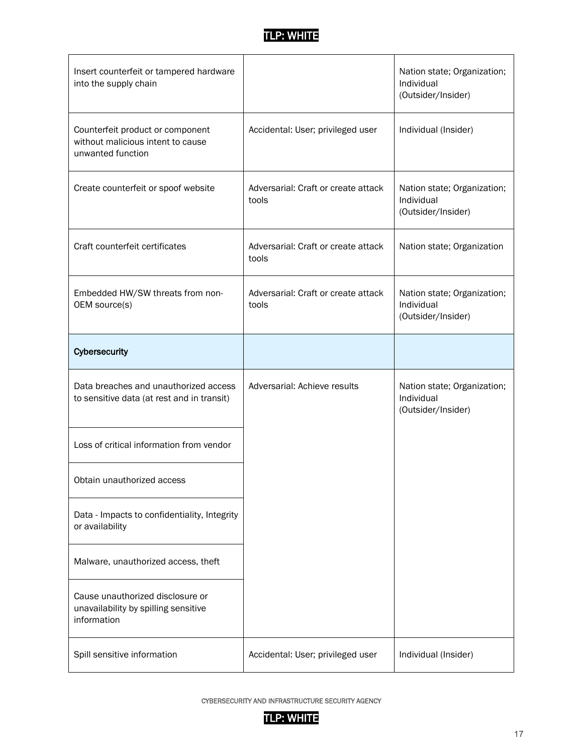| Insert counterfeit or tampered hardware<br>into the supply chain                           |                                              | Nation state; Organization;<br>Individual<br>(Outsider/Insider) |
|--------------------------------------------------------------------------------------------|----------------------------------------------|-----------------------------------------------------------------|
| Counterfeit product or component<br>without malicious intent to cause<br>unwanted function | Accidental: User; privileged user            | Individual (Insider)                                            |
| Create counterfeit or spoof website                                                        | Adversarial: Craft or create attack<br>tools | Nation state; Organization;<br>Individual<br>(Outsider/Insider) |
| Craft counterfeit certificates                                                             | Adversarial: Craft or create attack<br>tools | Nation state; Organization                                      |
| Embedded HW/SW threats from non-<br>OEM source(s)                                          | Adversarial: Craft or create attack<br>tools | Nation state; Organization;<br>Individual<br>(Outsider/Insider) |
| Cybersecurity                                                                              |                                              |                                                                 |
| Data breaches and unauthorized access<br>to sensitive data (at rest and in transit)        | Adversarial: Achieve results                 | Nation state; Organization;<br>Individual<br>(Outsider/Insider) |
| Loss of critical information from vendor                                                   |                                              |                                                                 |
| Obtain unauthorized access                                                                 |                                              |                                                                 |
| Data - Impacts to confidentiality, Integrity<br>or availability                            |                                              |                                                                 |
| Malware, unauthorized access, theft                                                        |                                              |                                                                 |
| Cause unauthorized disclosure or<br>unavailability by spilling sensitive<br>information    |                                              |                                                                 |
| Spill sensitive information                                                                | Accidental: User; privileged user            | Individual (Insider)                                            |

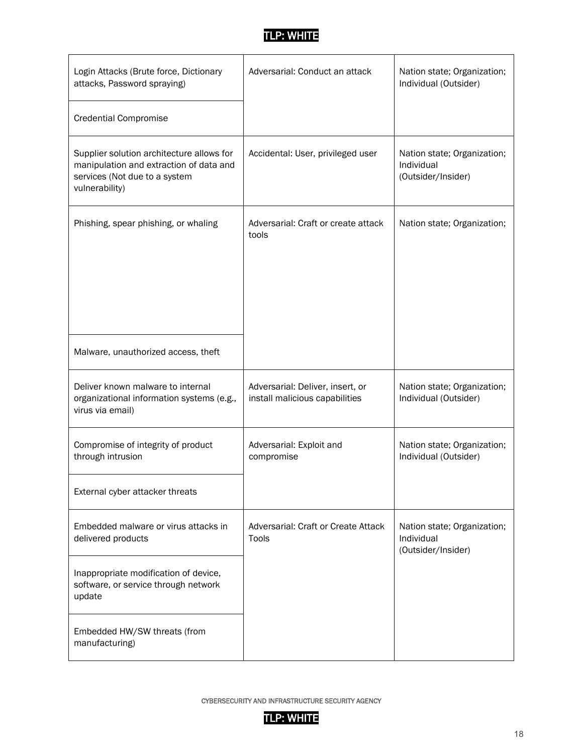| Login Attacks (Brute force, Dictionary<br>attacks, Password spraying)                                                                   | Adversarial: Conduct an attack                                     | Nation state; Organization;<br>Individual (Outsider)            |
|-----------------------------------------------------------------------------------------------------------------------------------------|--------------------------------------------------------------------|-----------------------------------------------------------------|
| <b>Credential Compromise</b>                                                                                                            |                                                                    |                                                                 |
| Supplier solution architecture allows for<br>manipulation and extraction of data and<br>services (Not due to a system<br>vulnerability) | Accidental: User, privileged user                                  | Nation state; Organization;<br>Individual<br>(Outsider/Insider) |
| Phishing, spear phishing, or whaling                                                                                                    | Adversarial: Craft or create attack<br>tools                       | Nation state; Organization;                                     |
| Malware, unauthorized access, theft                                                                                                     |                                                                    |                                                                 |
| Deliver known malware to internal<br>organizational information systems (e.g.,<br>virus via email)                                      | Adversarial: Deliver, insert, or<br>install malicious capabilities | Nation state; Organization;<br>Individual (Outsider)            |
| Compromise of integrity of product<br>through intrusion                                                                                 | Adversarial: Exploit and<br>compromise                             | Nation state; Organization;<br>Individual (Outsider)            |
| External cyber attacker threats                                                                                                         |                                                                    |                                                                 |
| Embedded malware or virus attacks in<br>delivered products                                                                              | Adversarial: Craft or Create Attack<br>Tools                       | Nation state; Organization;<br>Individual<br>(Outsider/Insider) |
| Inappropriate modification of device,<br>software, or service through network<br>update                                                 |                                                                    |                                                                 |
| Embedded HW/SW threats (from<br>manufacturing)                                                                                          |                                                                    |                                                                 |

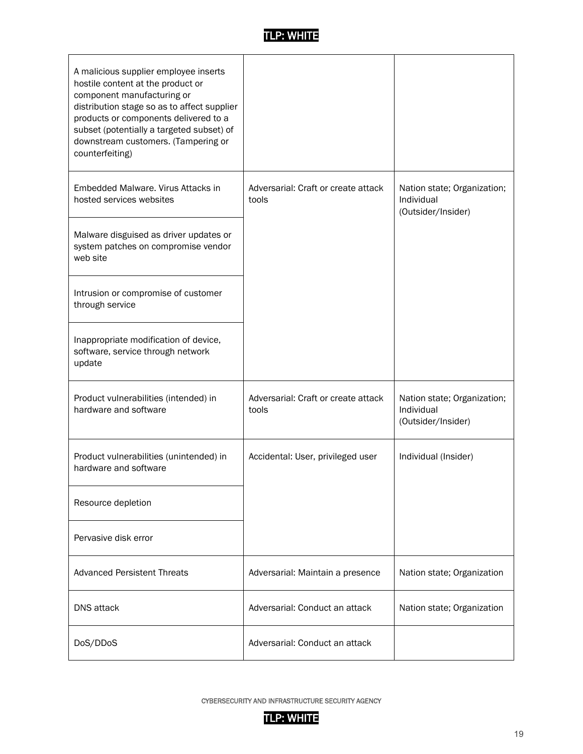| A malicious supplier employee inserts<br>hostile content at the product or<br>component manufacturing or<br>distribution stage so as to affect supplier<br>products or components delivered to a<br>subset (potentially a targeted subset) of<br>downstream customers. (Tampering or<br>counterfeiting) |                                              |                                                                 |
|---------------------------------------------------------------------------------------------------------------------------------------------------------------------------------------------------------------------------------------------------------------------------------------------------------|----------------------------------------------|-----------------------------------------------------------------|
| Embedded Malware. Virus Attacks in<br>hosted services websites                                                                                                                                                                                                                                          | Adversarial: Craft or create attack<br>tools | Nation state; Organization;<br>Individual<br>(Outsider/Insider) |
| Malware disguised as driver updates or<br>system patches on compromise vendor<br>web site                                                                                                                                                                                                               |                                              |                                                                 |
| Intrusion or compromise of customer<br>through service                                                                                                                                                                                                                                                  |                                              |                                                                 |
| Inappropriate modification of device,<br>software, service through network<br>update                                                                                                                                                                                                                    |                                              |                                                                 |
| Product vulnerabilities (intended) in<br>hardware and software                                                                                                                                                                                                                                          | Adversarial: Craft or create attack<br>tools | Nation state; Organization;<br>Individual<br>(Outsider/Insider) |
| Product vulnerabilities (unintended) in<br>hardware and software                                                                                                                                                                                                                                        | Accidental: User, privileged user            | Individual (Insider)                                            |
| Resource depletion                                                                                                                                                                                                                                                                                      |                                              |                                                                 |
| Pervasive disk error                                                                                                                                                                                                                                                                                    |                                              |                                                                 |
| <b>Advanced Persistent Threats</b>                                                                                                                                                                                                                                                                      | Adversarial: Maintain a presence             | Nation state; Organization                                      |
| <b>DNS</b> attack                                                                                                                                                                                                                                                                                       | Adversarial: Conduct an attack               | Nation state; Organization                                      |
| DoS/DDoS                                                                                                                                                                                                                                                                                                | Adversarial: Conduct an attack               |                                                                 |

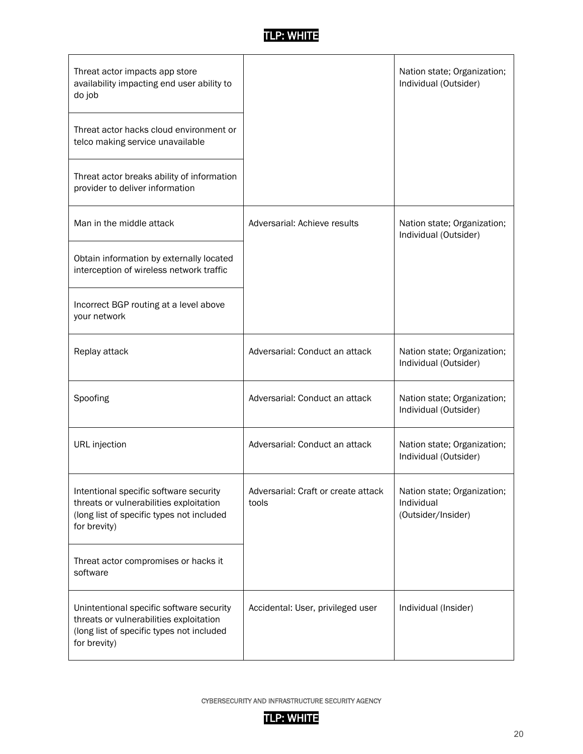| Threat actor impacts app store<br>availability impacting end user ability to<br>do job                                                           |                                              | Nation state; Organization;<br>Individual (Outsider)            |
|--------------------------------------------------------------------------------------------------------------------------------------------------|----------------------------------------------|-----------------------------------------------------------------|
| Threat actor hacks cloud environment or<br>telco making service unavailable                                                                      |                                              |                                                                 |
| Threat actor breaks ability of information<br>provider to deliver information                                                                    |                                              |                                                                 |
| Man in the middle attack                                                                                                                         | Adversarial: Achieve results                 | Nation state; Organization;<br>Individual (Outsider)            |
| Obtain information by externally located<br>interception of wireless network traffic                                                             |                                              |                                                                 |
| Incorrect BGP routing at a level above<br>your network                                                                                           |                                              |                                                                 |
| Replay attack                                                                                                                                    | Adversarial: Conduct an attack               | Nation state; Organization;<br>Individual (Outsider)            |
| Spoofing                                                                                                                                         | Adversarial: Conduct an attack               | Nation state; Organization;<br>Individual (Outsider)            |
| URL injection                                                                                                                                    | Adversarial: Conduct an attack               | Nation state; Organization;<br>Individual (Outsider)            |
| Intentional specific software security<br>threats or vulnerabilities exploitation<br>(long list of specific types not included<br>for brevity)   | Adversarial: Craft or create attack<br>tools | Nation state; Organization;<br>Individual<br>(Outsider/Insider) |
| Threat actor compromises or hacks it<br>software                                                                                                 |                                              |                                                                 |
| Unintentional specific software security<br>threats or vulnerabilities exploitation<br>(long list of specific types not included<br>for brevity) | Accidental: User, privileged user            | Individual (Insider)                                            |

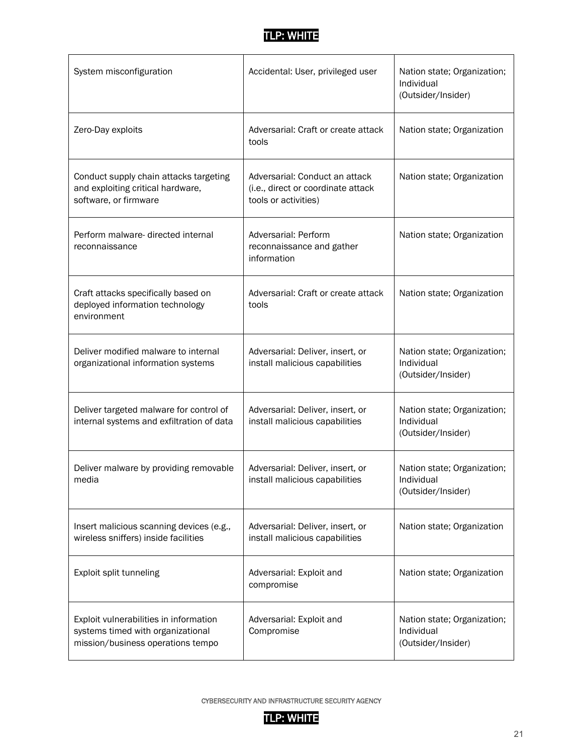| System misconfiguration                                                                                          | Accidental: User, privileged user                                                            | Nation state; Organization;<br>Individual<br>(Outsider/Insider) |
|------------------------------------------------------------------------------------------------------------------|----------------------------------------------------------------------------------------------|-----------------------------------------------------------------|
| Zero-Day exploits                                                                                                | Adversarial: Craft or create attack<br>tools                                                 | Nation state; Organization                                      |
| Conduct supply chain attacks targeting<br>and exploiting critical hardware,<br>software, or firmware             | Adversarial: Conduct an attack<br>(i.e., direct or coordinate attack<br>tools or activities) | Nation state; Organization                                      |
| Perform malware- directed internal<br>reconnaissance                                                             | Adversarial: Perform<br>reconnaissance and gather<br>information                             | Nation state; Organization                                      |
| Craft attacks specifically based on<br>deployed information technology<br>environment                            | Adversarial: Craft or create attack<br>tools                                                 | Nation state; Organization                                      |
| Deliver modified malware to internal<br>organizational information systems                                       | Adversarial: Deliver, insert, or<br>install malicious capabilities                           | Nation state; Organization;<br>Individual<br>(Outsider/Insider) |
| Deliver targeted malware for control of<br>internal systems and exfiltration of data                             | Adversarial: Deliver, insert, or<br>install malicious capabilities                           | Nation state; Organization;<br>Individual<br>(Outsider/Insider) |
| Deliver malware by providing removable<br>media                                                                  | Adversarial: Deliver, insert, or<br>install malicious capabilities                           | Nation state; Organization;<br>Individual<br>(Outsider/Insider) |
| Insert malicious scanning devices (e.g.,<br>wireless sniffers) inside facilities                                 | Adversarial: Deliver, insert, or<br>install malicious capabilities                           | Nation state; Organization                                      |
| Exploit split tunneling                                                                                          | Adversarial: Exploit and<br>compromise                                                       | Nation state; Organization                                      |
| Exploit vulnerabilities in information<br>systems timed with organizational<br>mission/business operations tempo | Adversarial: Exploit and<br>Compromise                                                       | Nation state; Organization;<br>Individual<br>(Outsider/Insider) |

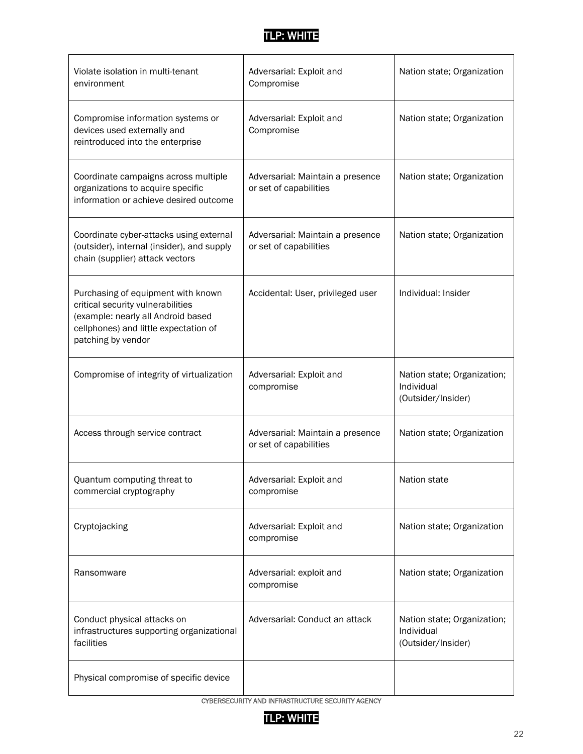| Violate isolation in multi-tenant<br>environment                                                                                                                             | Adversarial: Exploit and<br>Compromise                     | Nation state; Organization                                      |
|------------------------------------------------------------------------------------------------------------------------------------------------------------------------------|------------------------------------------------------------|-----------------------------------------------------------------|
| Compromise information systems or<br>devices used externally and<br>reintroduced into the enterprise                                                                         | Adversarial: Exploit and<br>Compromise                     | Nation state; Organization                                      |
| Coordinate campaigns across multiple<br>organizations to acquire specific<br>information or achieve desired outcome                                                          | Adversarial: Maintain a presence<br>or set of capabilities | Nation state; Organization                                      |
| Coordinate cyber-attacks using external<br>(outsider), internal (insider), and supply<br>chain (supplier) attack vectors                                                     | Adversarial: Maintain a presence<br>or set of capabilities | Nation state; Organization                                      |
| Purchasing of equipment with known<br>critical security vulnerabilities<br>(example: nearly all Android based<br>cellphones) and little expectation of<br>patching by vendor | Accidental: User, privileged user                          | Individual: Insider                                             |
| Compromise of integrity of virtualization                                                                                                                                    | Adversarial: Exploit and<br>compromise                     | Nation state; Organization;<br>Individual<br>(Outsider/Insider) |
| Access through service contract                                                                                                                                              | Adversarial: Maintain a presence<br>or set of capabilities | Nation state; Organization                                      |
| Quantum computing threat to<br>commercial cryptography                                                                                                                       | Adversarial: Exploit and<br>compromise                     | Nation state                                                    |
| Cryptojacking                                                                                                                                                                | Adversarial: Exploit and<br>compromise                     | Nation state; Organization                                      |
| Ransomware                                                                                                                                                                   | Adversarial: exploit and<br>compromise                     | Nation state; Organization                                      |
| Conduct physical attacks on<br>infrastructures supporting organizational<br>facilities                                                                                       | Adversarial: Conduct an attack                             | Nation state; Organization;<br>Individual<br>(Outsider/Insider) |
| Physical compromise of specific device                                                                                                                                       |                                                            |                                                                 |

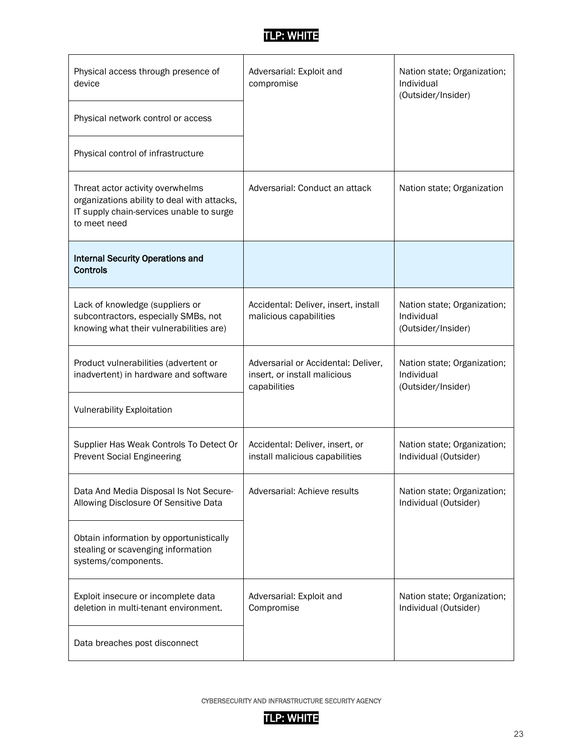| Physical access through presence of<br>device                                                                                               | Adversarial: Exploit and<br>compromise                                              | Nation state; Organization;<br>Individual<br>(Outsider/Insider) |
|---------------------------------------------------------------------------------------------------------------------------------------------|-------------------------------------------------------------------------------------|-----------------------------------------------------------------|
| Physical network control or access                                                                                                          |                                                                                     |                                                                 |
| Physical control of infrastructure                                                                                                          |                                                                                     |                                                                 |
| Threat actor activity overwhelms<br>organizations ability to deal with attacks,<br>IT supply chain-services unable to surge<br>to meet need | Adversarial: Conduct an attack                                                      | Nation state; Organization                                      |
| <b>Internal Security Operations and</b><br><b>Controls</b>                                                                                  |                                                                                     |                                                                 |
| Lack of knowledge (suppliers or<br>subcontractors, especially SMBs, not<br>knowing what their vulnerabilities are)                          | Accidental: Deliver, insert, install<br>malicious capabilities                      | Nation state; Organization;<br>Individual<br>(Outsider/Insider) |
| Product vulnerabilities (advertent or<br>inadvertent) in hardware and software                                                              | Adversarial or Accidental: Deliver,<br>insert, or install malicious<br>capabilities | Nation state; Organization;<br>Individual<br>(Outsider/Insider) |
| <b>Vulnerability Exploitation</b>                                                                                                           |                                                                                     |                                                                 |
| Supplier Has Weak Controls To Detect Or<br><b>Prevent Social Engineering</b>                                                                | Accidental: Deliver, insert, or<br>install malicious capabilities                   | Nation state; Organization;<br>Individual (Outsider)            |
| Data And Media Disposal Is Not Secure-<br>Allowing Disclosure Of Sensitive Data                                                             | Adversarial: Achieve results                                                        | Nation state; Organization;<br>Individual (Outsider)            |
| Obtain information by opportunistically<br>stealing or scavenging information<br>systems/components.                                        |                                                                                     |                                                                 |
| Exploit insecure or incomplete data<br>deletion in multi-tenant environment.                                                                | Adversarial: Exploit and<br>Compromise                                              | Nation state; Organization;<br>Individual (Outsider)            |
| Data breaches post disconnect                                                                                                               |                                                                                     |                                                                 |

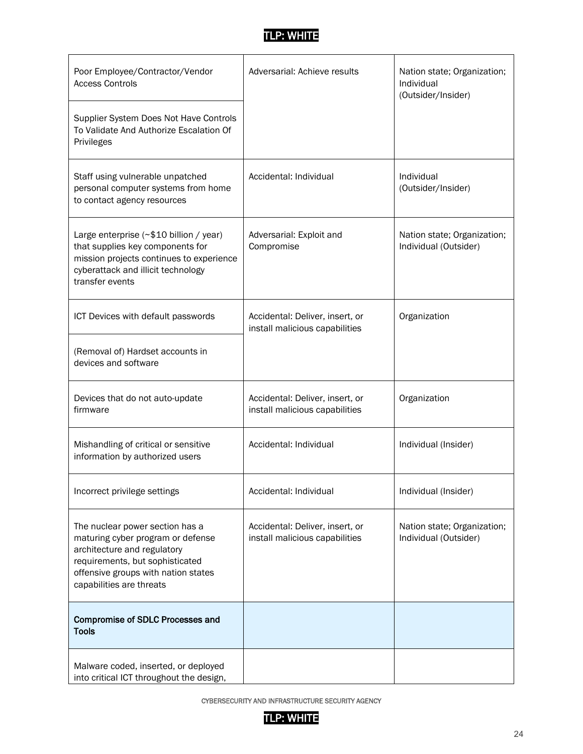| Poor Employee/Contractor/Vendor<br><b>Access Controls</b>                                                                                                                                                 | Adversarial: Achieve results                                      | Nation state; Organization;<br>Individual<br>(Outsider/Insider) |
|-----------------------------------------------------------------------------------------------------------------------------------------------------------------------------------------------------------|-------------------------------------------------------------------|-----------------------------------------------------------------|
| Supplier System Does Not Have Controls<br>To Validate And Authorize Escalation Of<br>Privileges                                                                                                           |                                                                   |                                                                 |
| Staff using vulnerable unpatched<br>personal computer systems from home<br>to contact agency resources                                                                                                    | Accidental: Individual                                            | Individual<br>(Outsider/Insider)                                |
| Large enterprise (~\$10 billion / year)<br>that supplies key components for<br>mission projects continues to experience<br>cyberattack and illicit technology<br>transfer events                          | Adversarial: Exploit and<br>Compromise                            | Nation state; Organization;<br>Individual (Outsider)            |
| ICT Devices with default passwords                                                                                                                                                                        | Accidental: Deliver, insert, or<br>install malicious capabilities | Organization                                                    |
| (Removal of) Hardset accounts in<br>devices and software                                                                                                                                                  |                                                                   |                                                                 |
| Devices that do not auto-update<br>firmware                                                                                                                                                               | Accidental: Deliver, insert, or<br>install malicious capabilities | Organization                                                    |
| Mishandling of critical or sensitive<br>information by authorized users                                                                                                                                   | Accidental: Individual                                            | Individual (Insider)                                            |
| Incorrect privilege settings                                                                                                                                                                              | Accidental: Individual                                            | Individual (Insider)                                            |
| The nuclear power section has a<br>maturing cyber program or defense<br>architecture and regulatory<br>requirements, but sophisticated<br>offensive groups with nation states<br>capabilities are threats | Accidental: Deliver, insert, or<br>install malicious capabilities | Nation state; Organization;<br>Individual (Outsider)            |
| <b>Compromise of SDLC Processes and</b><br><b>Tools</b>                                                                                                                                                   |                                                                   |                                                                 |
| Malware coded, inserted, or deployed<br>into critical ICT throughout the design,                                                                                                                          |                                                                   |                                                                 |

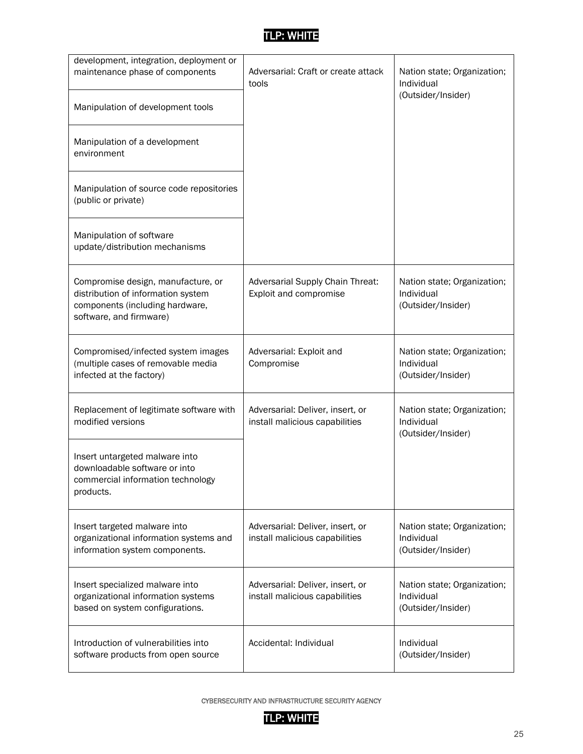| development, integration, deployment or<br>maintenance phase of components                                                             | Adversarial: Craft or create attack<br>tools                       | Nation state; Organization;<br>Individual                       |
|----------------------------------------------------------------------------------------------------------------------------------------|--------------------------------------------------------------------|-----------------------------------------------------------------|
| Manipulation of development tools                                                                                                      |                                                                    | (Outsider/Insider)                                              |
| Manipulation of a development<br>environment                                                                                           |                                                                    |                                                                 |
| Manipulation of source code repositories<br>(public or private)                                                                        |                                                                    |                                                                 |
| Manipulation of software<br>update/distribution mechanisms                                                                             |                                                                    |                                                                 |
| Compromise design, manufacture, or<br>distribution of information system<br>components (including hardware,<br>software, and firmware) | Adversarial Supply Chain Threat:<br>Exploit and compromise         | Nation state; Organization;<br>Individual<br>(Outsider/Insider) |
| Compromised/infected system images<br>(multiple cases of removable media<br>infected at the factory)                                   | Adversarial: Exploit and<br>Compromise                             | Nation state; Organization;<br>Individual<br>(Outsider/Insider) |
| Replacement of legitimate software with<br>modified versions                                                                           | Adversarial: Deliver, insert, or<br>install malicious capabilities | Nation state; Organization;<br>Individual<br>(Outsider/Insider) |
| Insert untargeted malware into<br>downloadable software or into<br>commercial information technology<br>products.                      |                                                                    |                                                                 |
| Insert targeted malware into<br>organizational information systems and<br>information system components.                               | Adversarial: Deliver, insert, or<br>install malicious capabilities | Nation state; Organization;<br>Individual<br>(Outsider/Insider) |
| Insert specialized malware into<br>organizational information systems<br>based on system configurations.                               | Adversarial: Deliver, insert, or<br>install malicious capabilities | Nation state; Organization;<br>Individual<br>(Outsider/Insider) |
| Introduction of vulnerabilities into<br>software products from open source                                                             | Accidental: Individual                                             | Individual<br>(Outsider/Insider)                                |

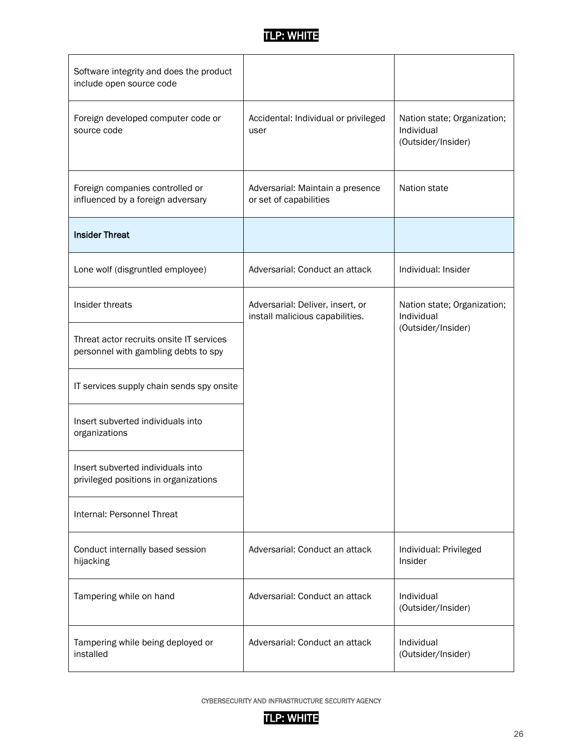| Software integrity and does the product<br>include open source code              |                                                                     |                                                                 |
|----------------------------------------------------------------------------------|---------------------------------------------------------------------|-----------------------------------------------------------------|
| Foreign developed computer code or<br>source code                                | Accidental: Individual or privileged<br>user                        | Nation state; Organization;<br>Individual<br>(Outsider/Insider) |
| Foreign companies controlled or<br>influenced by a foreign adversary             | Adversarial: Maintain a presence<br>or set of capabilities          | Nation state                                                    |
| <b>Insider Threat</b>                                                            |                                                                     |                                                                 |
| Lone wolf (disgruntled employee)                                                 | Adversarial: Conduct an attack                                      | Individual: Insider                                             |
| Insider threats                                                                  | Adversarial: Deliver, insert, or<br>install malicious capabilities. | Nation state; Organization;<br>Individual                       |
| Threat actor recruits onsite IT services<br>personnel with gambling debts to spy |                                                                     | (Outsider/Insider)                                              |
| IT services supply chain sends spy onsite                                        |                                                                     |                                                                 |
| Insert subverted individuals into<br>organizations                               |                                                                     |                                                                 |
| Insert subverted individuals into<br>privileged positions in organizations       |                                                                     |                                                                 |
| Internal: Personnel Threat                                                       |                                                                     |                                                                 |
| Conduct internally based session<br>hijacking                                    | Adversarial: Conduct an attack                                      | Individual: Privileged<br>Insider                               |
| Tampering while on hand                                                          | Adversarial: Conduct an attack                                      | Individual<br>(Outsider/Insider)                                |
| Tampering while being deployed or<br>installed                                   | Adversarial: Conduct an attack                                      | Individual<br>(Outsider/Insider)                                |

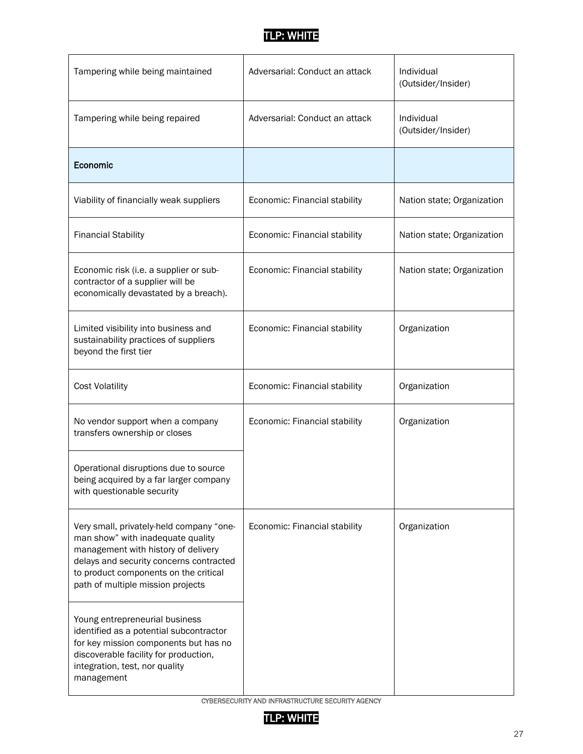| Tampering while being maintained                                                                                                                                                                                                              | Adversarial: Conduct an attack | Individual<br>(Outsider/Insider) |
|-----------------------------------------------------------------------------------------------------------------------------------------------------------------------------------------------------------------------------------------------|--------------------------------|----------------------------------|
| Tampering while being repaired                                                                                                                                                                                                                | Adversarial: Conduct an attack | Individual<br>(Outsider/Insider) |
| Economic                                                                                                                                                                                                                                      |                                |                                  |
| Viability of financially weak suppliers                                                                                                                                                                                                       | Economic: Financial stability  | Nation state; Organization       |
| <b>Financial Stability</b>                                                                                                                                                                                                                    | Economic: Financial stability  | Nation state; Organization       |
| Economic risk (i.e. a supplier or sub-<br>contractor of a supplier will be<br>economically devastated by a breach).                                                                                                                           | Economic: Financial stability  | Nation state; Organization       |
| Limited visibility into business and<br>sustainability practices of suppliers<br>beyond the first tier                                                                                                                                        | Economic: Financial stability  | Organization                     |
| <b>Cost Volatility</b>                                                                                                                                                                                                                        | Economic: Financial stability  | Organization                     |
| No vendor support when a company<br>transfers ownership or closes                                                                                                                                                                             | Economic: Financial stability  | Organization                     |
| Operational disruptions due to source<br>being acquired by a far larger company<br>with questionable security                                                                                                                                 |                                |                                  |
| Very small, privately-held company "one-<br>man show" with inadequate quality<br>management with history of delivery<br>delays and security concerns contracted<br>to product components on the critical<br>path of multiple mission projects | Economic: Financial stability  | Organization                     |
| Young entrepreneurial business<br>identified as a potential subcontractor<br>for key mission components but has no<br>discoverable facility for production,<br>integration, test, nor quality<br>management                                   |                                |                                  |

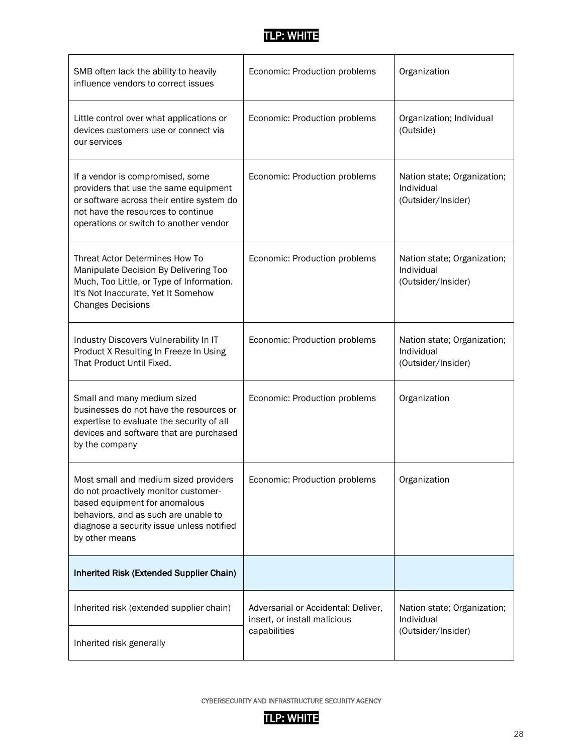| SMB often lack the ability to heavily<br>influence vendors to correct issues                                                                                                                                          | Economic: Production problems                                                       | Organization                                                    |
|-----------------------------------------------------------------------------------------------------------------------------------------------------------------------------------------------------------------------|-------------------------------------------------------------------------------------|-----------------------------------------------------------------|
| Little control over what applications or<br>devices customers use or connect via<br>our services                                                                                                                      | Economic: Production problems                                                       | Organization; Individual<br>(Outside)                           |
| If a vendor is compromised, some<br>providers that use the same equipment<br>or software across their entire system do<br>not have the resources to continue<br>operations or switch to another vendor                | Economic: Production problems                                                       | Nation state; Organization;<br>Individual<br>(Outsider/Insider) |
| Threat Actor Determines How To<br>Manipulate Decision By Delivering Too<br>Much, Too Little, or Type of Information.<br>It's Not Inaccurate, Yet It Somehow<br><b>Changes Decisions</b>                               | Economic: Production problems                                                       | Nation state; Organization;<br>Individual<br>(Outsider/Insider) |
| Industry Discovers Vulnerability In IT<br>Product X Resulting In Freeze In Using<br>That Product Until Fixed.                                                                                                         | Economic: Production problems                                                       | Nation state; Organization;<br>Individual<br>(Outsider/Insider) |
| Small and many medium sized<br>businesses do not have the resources or<br>expertise to evaluate the security of all<br>devices and software that are purchased<br>by the company                                      | Economic: Production problems                                                       | Organization                                                    |
| Most small and medium sized providers<br>do not proactively monitor customer-<br>based equipment for anomalous<br>behaviors, and as such are unable to<br>diagnose a security issue unless notified<br>by other means | Economic: Production problems                                                       | Organization                                                    |
| Inherited Risk (Extended Supplier Chain)                                                                                                                                                                              |                                                                                     |                                                                 |
| Inherited risk (extended supplier chain)<br>Inherited risk generally                                                                                                                                                  | Adversarial or Accidental: Deliver,<br>insert, or install malicious<br>capabilities | Nation state; Organization;<br>Individual<br>(Outsider/Insider) |
|                                                                                                                                                                                                                       |                                                                                     |                                                                 |

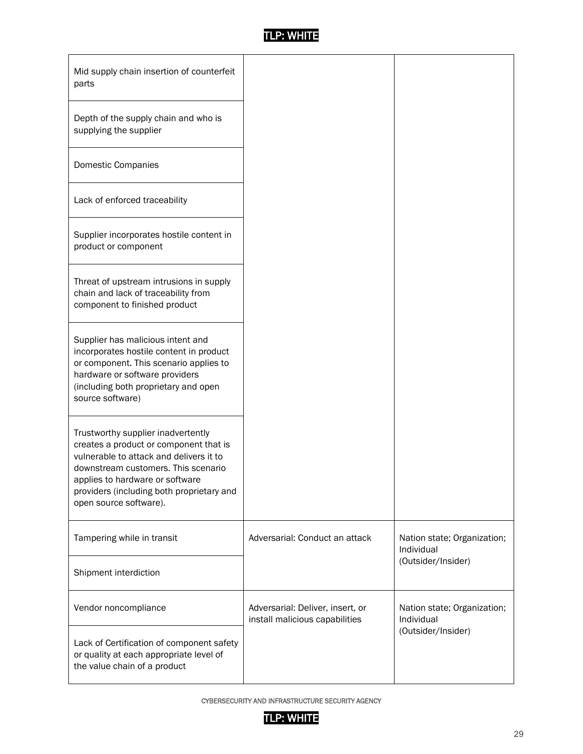| Mid supply chain insertion of counterfeit<br>parts                                                                                                                                                                                                                       |                                                                    |                                                                 |
|--------------------------------------------------------------------------------------------------------------------------------------------------------------------------------------------------------------------------------------------------------------------------|--------------------------------------------------------------------|-----------------------------------------------------------------|
| Depth of the supply chain and who is<br>supplying the supplier                                                                                                                                                                                                           |                                                                    |                                                                 |
| Domestic Companies                                                                                                                                                                                                                                                       |                                                                    |                                                                 |
| Lack of enforced traceability                                                                                                                                                                                                                                            |                                                                    |                                                                 |
| Supplier incorporates hostile content in<br>product or component                                                                                                                                                                                                         |                                                                    |                                                                 |
| Threat of upstream intrusions in supply<br>chain and lack of traceability from<br>component to finished product                                                                                                                                                          |                                                                    |                                                                 |
| Supplier has malicious intent and<br>incorporates hostile content in product<br>or component. This scenario applies to<br>hardware or software providers<br>(including both proprietary and open<br>source software)                                                     |                                                                    |                                                                 |
| Trustworthy supplier inadvertently<br>creates a product or component that is<br>vulnerable to attack and delivers it to<br>downstream customers. This scenario<br>applies to hardware or software<br>providers (including both proprietary and<br>open source software). |                                                                    |                                                                 |
| Tampering while in transit                                                                                                                                                                                                                                               | Adversarial: Conduct an attack                                     | Nation state; Organization;<br>Individual                       |
| Shipment interdiction                                                                                                                                                                                                                                                    |                                                                    | (Outsider/Insider)                                              |
| Vendor noncompliance                                                                                                                                                                                                                                                     | Adversarial: Deliver, insert, or<br>install malicious capabilities | Nation state; Organization;<br>Individual<br>(Outsider/Insider) |
| Lack of Certification of component safety<br>or quality at each appropriate level of<br>the value chain of a product                                                                                                                                                     |                                                                    |                                                                 |

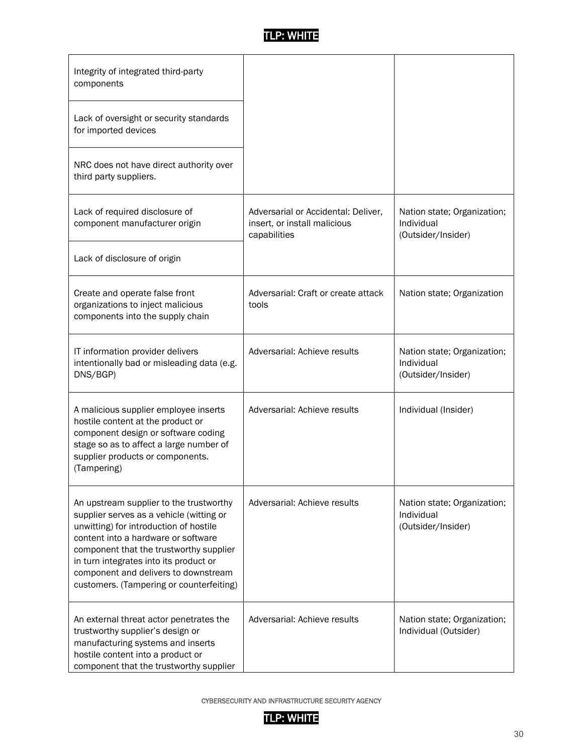| Integrity of integrated third-party<br>components                                                                                                                                                                                                                                                                                             |                                                                                     |                                                                 |
|-----------------------------------------------------------------------------------------------------------------------------------------------------------------------------------------------------------------------------------------------------------------------------------------------------------------------------------------------|-------------------------------------------------------------------------------------|-----------------------------------------------------------------|
| Lack of oversight or security standards<br>for imported devices                                                                                                                                                                                                                                                                               |                                                                                     |                                                                 |
| NRC does not have direct authority over<br>third party suppliers.                                                                                                                                                                                                                                                                             |                                                                                     |                                                                 |
| Lack of required disclosure of<br>component manufacturer origin                                                                                                                                                                                                                                                                               | Adversarial or Accidental: Deliver,<br>insert, or install malicious<br>capabilities | Nation state; Organization;<br>Individual<br>(Outsider/Insider) |
| Lack of disclosure of origin                                                                                                                                                                                                                                                                                                                  |                                                                                     |                                                                 |
| Create and operate false front<br>organizations to inject malicious<br>components into the supply chain                                                                                                                                                                                                                                       | Adversarial: Craft or create attack<br>tools                                        | Nation state; Organization                                      |
| IT information provider delivers<br>intentionally bad or misleading data (e.g.<br>DNS/BGP)                                                                                                                                                                                                                                                    | Adversarial: Achieve results                                                        | Nation state; Organization;<br>Individual<br>(Outsider/Insider) |
| A malicious supplier employee inserts<br>hostile content at the product or<br>component design or software coding<br>stage so as to affect a large number of<br>supplier products or components.<br>(Tampering)                                                                                                                               | Adversarial: Achieve results                                                        | Individual (Insider)                                            |
| An upstream supplier to the trustworthy<br>supplier serves as a vehicle (witting or<br>unwitting) for introduction of hostile<br>content into a hardware or software<br>component that the trustworthy supplier<br>in turn integrates into its product or<br>component and delivers to downstream<br>customers. (Tampering or counterfeiting) | Adversarial: Achieve results                                                        | Nation state; Organization;<br>Individual<br>(Outsider/Insider) |
| An external threat actor penetrates the<br>trustworthy supplier's design or<br>manufacturing systems and inserts<br>hostile content into a product or<br>component that the trustworthy supplier                                                                                                                                              | Adversarial: Achieve results                                                        | Nation state; Organization;<br>Individual (Outsider)            |

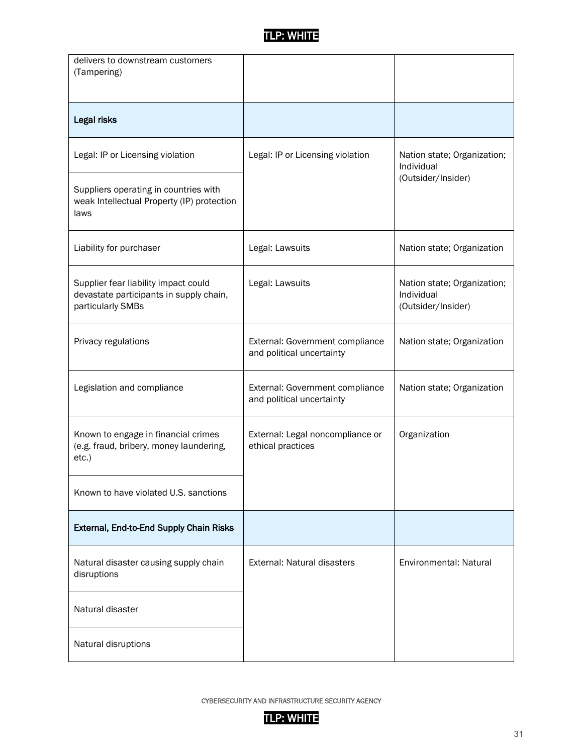| delivers to downstream customers<br>(Tampering)                                                      |                                                              |                                                                 |
|------------------------------------------------------------------------------------------------------|--------------------------------------------------------------|-----------------------------------------------------------------|
| Legal risks                                                                                          |                                                              |                                                                 |
| Legal: IP or Licensing violation                                                                     | Legal: IP or Licensing violation                             | Nation state; Organization;<br>Individual<br>(Outsider/Insider) |
| Suppliers operating in countries with<br>weak Intellectual Property (IP) protection<br>laws          |                                                              |                                                                 |
| Liability for purchaser                                                                              | Legal: Lawsuits                                              | Nation state; Organization                                      |
| Supplier fear liability impact could<br>devastate participants in supply chain,<br>particularly SMBs | Legal: Lawsuits                                              | Nation state; Organization;<br>Individual<br>(Outsider/Insider) |
| Privacy regulations                                                                                  | External: Government compliance<br>and political uncertainty | Nation state; Organization                                      |
| Legislation and compliance                                                                           | External: Government compliance<br>and political uncertainty | Nation state; Organization                                      |
| Known to engage in financial crimes<br>(e.g. fraud, bribery, money laundering,<br>etc.)              | External: Legal noncompliance or<br>ethical practices        | Organization                                                    |
| Known to have violated U.S. sanctions                                                                |                                                              |                                                                 |
| External, End-to-End Supply Chain Risks                                                              |                                                              |                                                                 |
| Natural disaster causing supply chain<br>disruptions                                                 | External: Natural disasters                                  | Environmental: Natural                                          |
| Natural disaster                                                                                     |                                                              |                                                                 |
| Natural disruptions                                                                                  |                                                              |                                                                 |

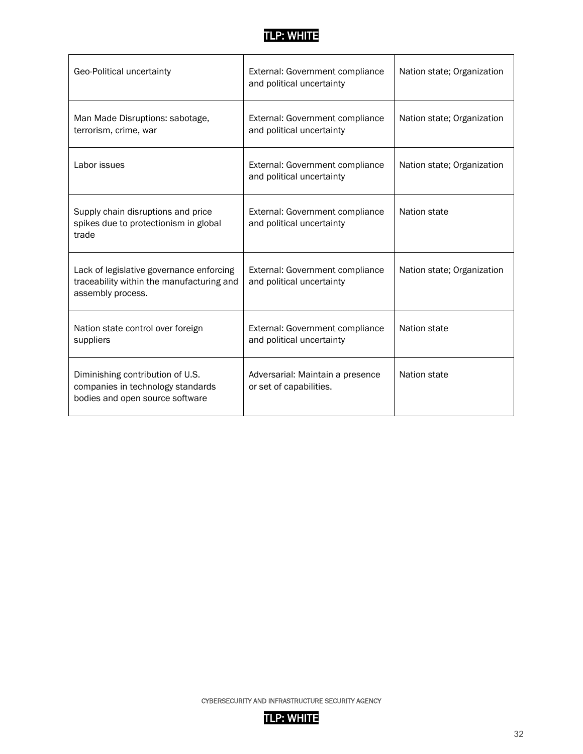| Geo-Political uncertainty                                                                                  | External: Government compliance<br>and political uncertainty | Nation state; Organization |
|------------------------------------------------------------------------------------------------------------|--------------------------------------------------------------|----------------------------|
| Man Made Disruptions: sabotage,<br>terrorism, crime, war                                                   | External: Government compliance<br>and political uncertainty | Nation state; Organization |
| Labor issues                                                                                               | External: Government compliance<br>and political uncertainty | Nation state; Organization |
| Supply chain disruptions and price<br>spikes due to protectionism in global<br>trade                       | External: Government compliance<br>and political uncertainty | Nation state               |
| Lack of legislative governance enforcing<br>traceability within the manufacturing and<br>assembly process. | External: Government compliance<br>and political uncertainty | Nation state; Organization |
| Nation state control over foreign<br>suppliers                                                             | External: Government compliance<br>and political uncertainty | Nation state               |
| Diminishing contribution of U.S.<br>companies in technology standards<br>bodies and open source software   | Adversarial: Maintain a presence<br>or set of capabilities.  | Nation state               |

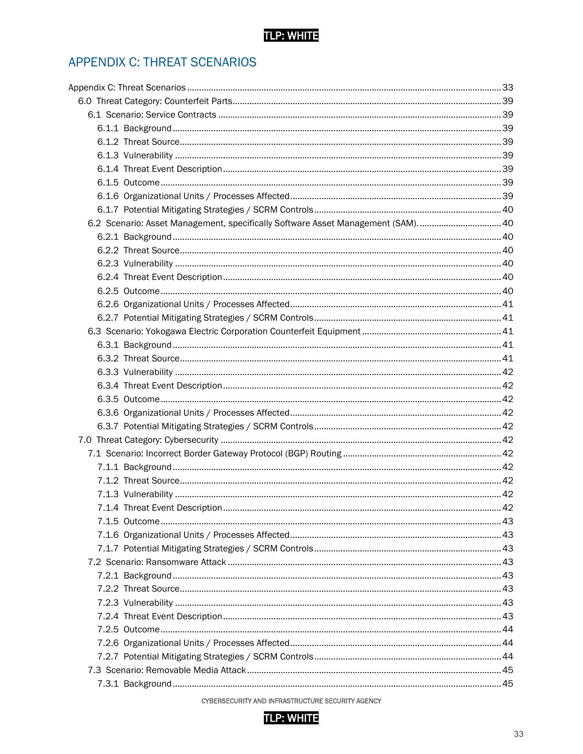# APPENDIX C: THREAT SCENARIOS

| 6.2 Scenario: Asset Management, specifically Software Asset Management (SAM)40 |  |
|--------------------------------------------------------------------------------|--|
|                                                                                |  |
|                                                                                |  |
|                                                                                |  |
|                                                                                |  |
|                                                                                |  |
|                                                                                |  |
|                                                                                |  |
|                                                                                |  |
|                                                                                |  |
|                                                                                |  |
|                                                                                |  |
|                                                                                |  |
|                                                                                |  |
|                                                                                |  |
|                                                                                |  |
|                                                                                |  |
|                                                                                |  |
|                                                                                |  |
|                                                                                |  |
|                                                                                |  |
|                                                                                |  |
|                                                                                |  |
|                                                                                |  |
|                                                                                |  |
|                                                                                |  |
|                                                                                |  |
|                                                                                |  |
|                                                                                |  |
|                                                                                |  |
|                                                                                |  |
|                                                                                |  |
|                                                                                |  |
|                                                                                |  |
|                                                                                |  |
|                                                                                |  |

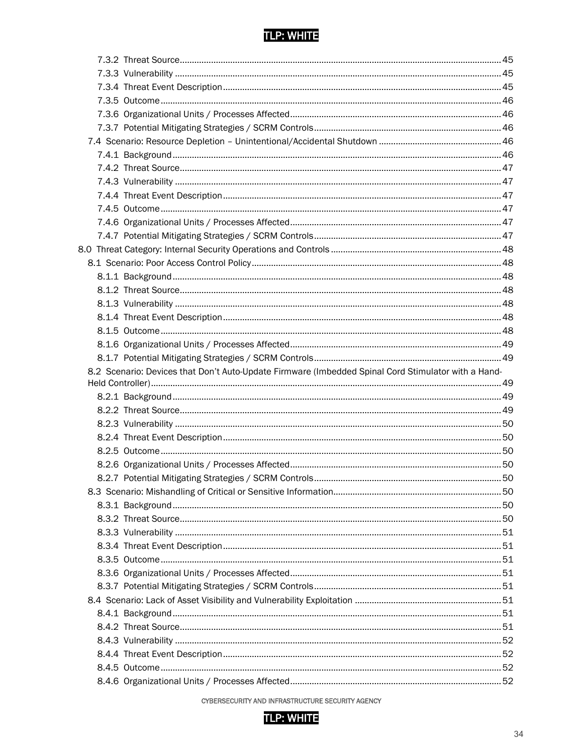| 8.2 Scenario: Devices that Don't Auto-Update Firmware (Imbedded Spinal Cord Stimulator with a Hand- |    |
|-----------------------------------------------------------------------------------------------------|----|
|                                                                                                     |    |
|                                                                                                     |    |
|                                                                                                     |    |
|                                                                                                     |    |
|                                                                                                     |    |
|                                                                                                     |    |
|                                                                                                     |    |
|                                                                                                     |    |
| 8.2.7 Potential Mitigating Strategies / SCRM Controls                                               | 50 |
|                                                                                                     |    |
|                                                                                                     |    |
|                                                                                                     |    |
|                                                                                                     |    |
|                                                                                                     |    |
|                                                                                                     |    |
|                                                                                                     |    |
|                                                                                                     |    |
|                                                                                                     |    |
|                                                                                                     |    |
|                                                                                                     |    |
|                                                                                                     |    |
|                                                                                                     |    |
|                                                                                                     |    |

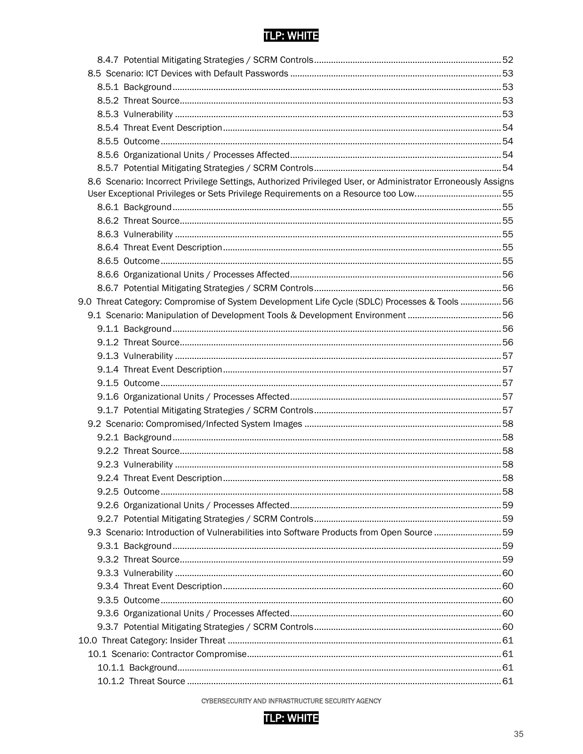| 8.6 Scenario: Incorrect Privilege Settings, Authorized Privileged User, or Administrator Erroneously Assigns |    |
|--------------------------------------------------------------------------------------------------------------|----|
| User Exceptional Privileges or Sets Privilege Requirements on a Resource too Low55                           |    |
|                                                                                                              |    |
|                                                                                                              |    |
|                                                                                                              |    |
|                                                                                                              |    |
|                                                                                                              |    |
|                                                                                                              |    |
|                                                                                                              |    |
| 9.0 Threat Category: Compromise of System Development Life Cycle (SDLC) Processes & Tools  56                |    |
|                                                                                                              |    |
|                                                                                                              |    |
|                                                                                                              |    |
|                                                                                                              |    |
|                                                                                                              |    |
|                                                                                                              |    |
|                                                                                                              |    |
|                                                                                                              |    |
|                                                                                                              |    |
|                                                                                                              |    |
|                                                                                                              |    |
|                                                                                                              |    |
| 9.2.4 Threat Event Description                                                                               | 58 |
|                                                                                                              |    |
|                                                                                                              |    |
|                                                                                                              |    |
| 9.3 Scenario: Introduction of Vulnerabilities into Software Products from Open Source  59                    |    |
|                                                                                                              |    |
|                                                                                                              |    |
|                                                                                                              |    |
|                                                                                                              |    |
|                                                                                                              |    |
|                                                                                                              |    |
|                                                                                                              |    |
|                                                                                                              |    |
|                                                                                                              |    |
|                                                                                                              |    |
|                                                                                                              |    |

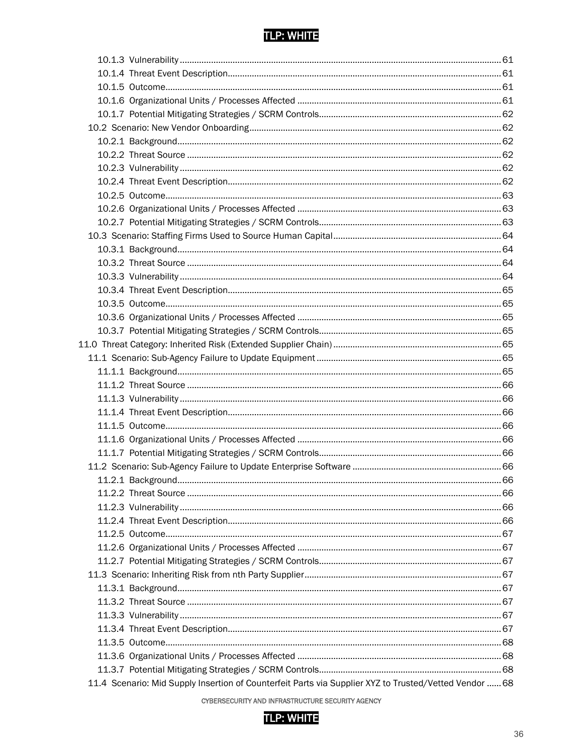| 11.4 Scenario: Mid Supply Insertion of Counterfeit Parts via Supplier XYZ to Trusted/Vetted Vendor  68 |  |
|--------------------------------------------------------------------------------------------------------|--|

CYBERSECURITY AND INFRASTRUCTURE SECURITY AGENCY

# **TLP: WHITE**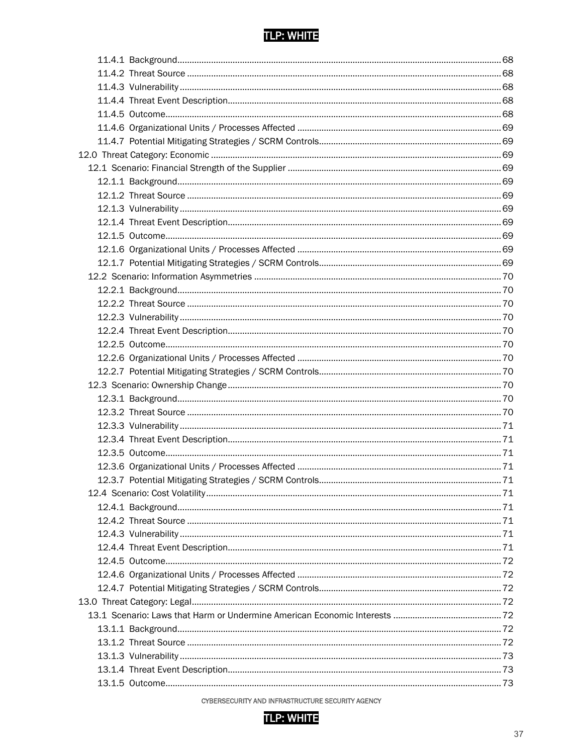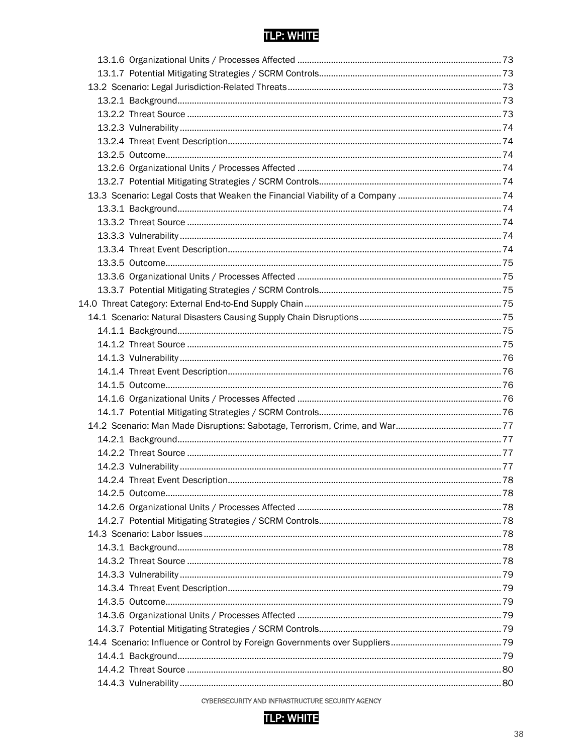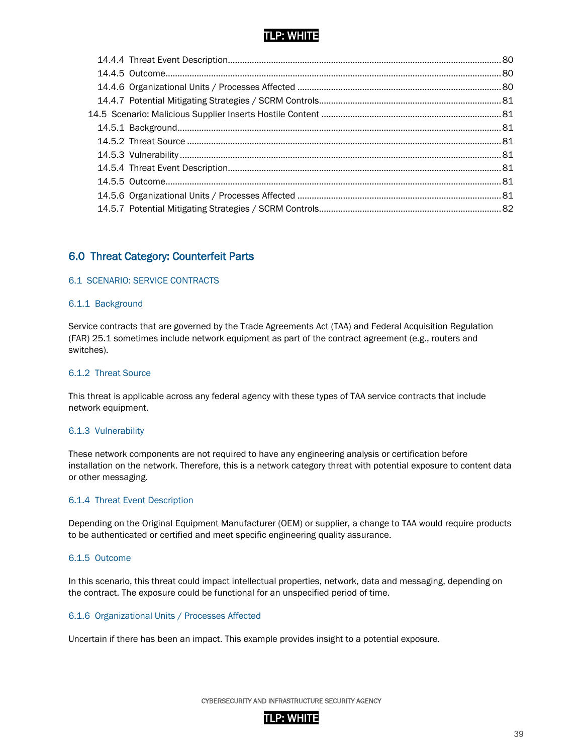## 6.0 Threat Category: Counterfeit Parts

## 6.1 SCENARIO: SERVICE CONTRACTS

## 6.1.1 Background

Service contracts that are governed by the Trade Agreements Act (TAA) and Federal Acquisition Regulation (FAR) 25.1 sometimes include network equipment as part of the contract agreement (e.g., routers and switches).

#### 6.1.2 Threat Source

This threat is applicable across any federal agency with these types of TAA service contracts that include network equipment.

#### 6.1.3 Vulnerability

These network components are not required to have any engineering analysis or certification before installation on the network. Therefore, this is a network category threat with potential exposure to content data or other messaging.

## 6.1.4 Threat Event Description

Depending on the Original Equipment Manufacturer (OEM) or supplier, a change to TAA would require products to be authenticated or certified and meet specific engineering quality assurance.

## 6.1.5 Outcome

In this scenario, this threat could impact intellectual properties, network, data and messaging, depending on the contract. The exposure could be functional for an unspecified period of time.

## 6.1.6 Organizational Units / Processes Affected

Uncertain if there has been an impact. This example provides insight to a potential exposure.

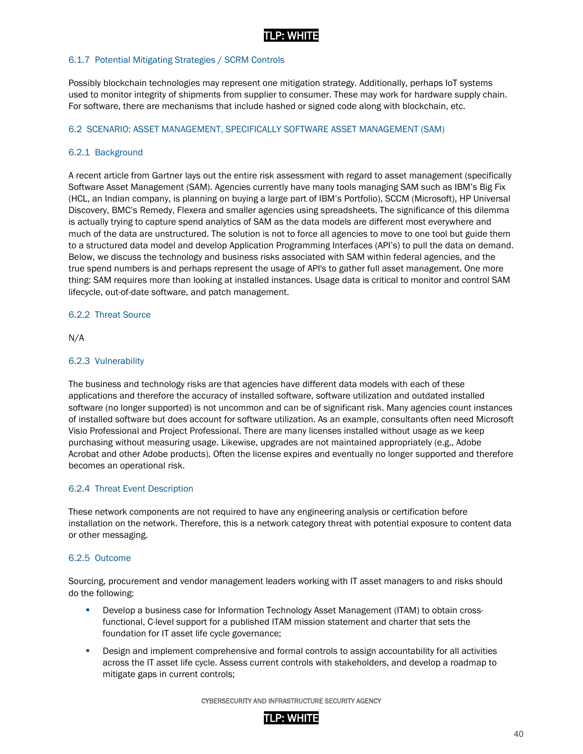## 6.1.7 Potential Mitigating Strategies / SCRM Controls

Possibly blockchain technologies may represent one mitigation strategy. Additionally, perhaps IoT systems used to monitor integrity of shipments from supplier to consumer. These may work for hardware supply chain. For software, there are mechanisms that include hashed or signed code along with blockchain, etc.

## 6.2 SCENARIO: ASSET MANAGEMENT, SPECIFICALLY SOFTWARE ASSET MANAGEMENT (SAM)

## 6.2.1 Background

A recent article from Gartner lays out the entire risk assessment with regard to asset management (specifically Software Asset Management (SAM). Agencies currently have many tools managing SAM such as IBM's Big Fix (HCL, an Indian company, is planning on buying a large part of IBM's Portfolio), SCCM (Microsoft), HP Universal Discovery, BMC's Remedy, Flexera and smaller agencies using spreadsheets. The significance of this dilemma is actually trying to capture spend analytics of SAM as the data models are different most everywhere and much of the data are unstructured. The solution is not to force all agencies to move to one tool but guide them to a structured data model and develop Application Programming Interfaces (API's) to pull the data on demand. Below, we discuss the technology and business risks associated with SAM within federal agencies, and the true spend numbers is and perhaps represent the usage of API's to gather full asset management. One more thing: SAM requires more than looking at installed instances. Usage data is critical to monitor and control SAM lifecycle, out-of-date software, and patch management.

## 6.2.2 Threat Source

N/A

#### 6.2.3 Vulnerability

The business and technology risks are that agencies have different data models with each of these applications and therefore the accuracy of installed software, software utilization and outdated installed software (no longer supported) is not uncommon and can be of significant risk. Many agencies count instances of installed software but does account for software utilization. As an example, consultants often need Microsoft Visio Professional and Project Professional. There are many licenses installed without usage as we keep purchasing without measuring usage. Likewise, upgrades are not maintained appropriately (e.g., Adobe Acrobat and other Adobe products). Often the license expires and eventually no longer supported and therefore becomes an operational risk.

## 6.2.4 Threat Event Description

These network components are not required to have any engineering analysis or certification before installation on the network. Therefore, this is a network category threat with potential exposure to content data or other messaging.

#### 6.2.5 Outcome

Sourcing, procurement and vendor management leaders working with IT asset managers to and risks should do the following:

- Develop a business case for Information Technology Asset Management (ITAM) to obtain crossfunctional, C-level support for a published ITAM mission statement and charter that sets the foundation for IT asset life cycle governance;
- Design and implement comprehensive and formal controls to assign accountability for all activities across the IT asset life cycle. Assess current controls with stakeholders, and develop a roadmap to mitigate gaps in current controls;

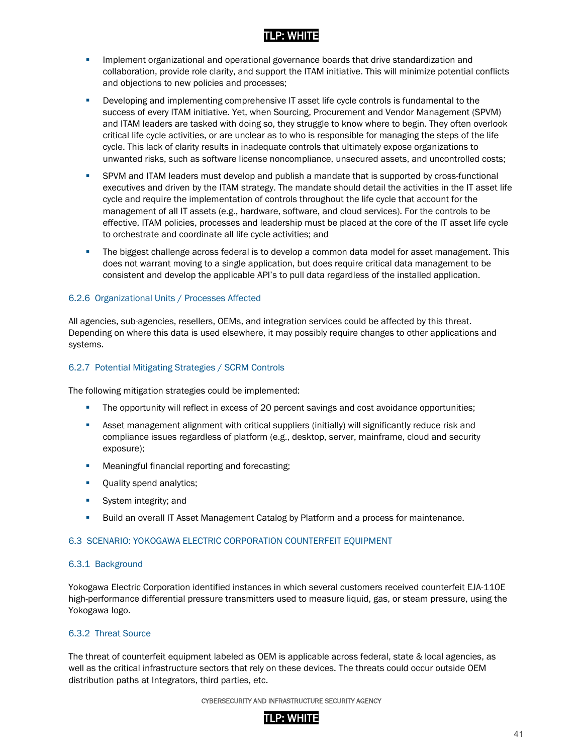- **Implement organizational and operational governance boards that drive standardization and** collaboration, provide role clarity, and support the ITAM initiative. This will minimize potential conflicts and objections to new policies and processes;
- **•** Developing and implementing comprehensive IT asset life cycle controls is fundamental to the success of every ITAM initiative. Yet, when Sourcing, Procurement and Vendor Management (SPVM) and ITAM leaders are tasked with doing so, they struggle to know where to begin. They often overlook critical life cycle activities, or are unclear as to who is responsible for managing the steps of the life cycle. This lack of clarity results in inadequate controls that ultimately expose organizations to unwanted risks, such as software license noncompliance, unsecured assets, and uncontrolled costs;
- SPVM and ITAM leaders must develop and publish a mandate that is supported by cross-functional executives and driven by the ITAM strategy. The mandate should detail the activities in the IT asset life cycle and require the implementation of controls throughout the life cycle that account for the management of all IT assets (e.g., hardware, software, and cloud services). For the controls to be effective, ITAM policies, processes and leadership must be placed at the core of the IT asset life cycle to orchestrate and coordinate all life cycle activities; and
- **The biggest challenge across federal is to develop a common data model for asset management. This** does not warrant moving to a single application, but does require critical data management to be consistent and develop the applicable API's to pull data regardless of the installed application.

## 6.2.6 Organizational Units / Processes Affected

All agencies, sub-agencies, resellers, OEMs, and integration services could be affected by this threat. Depending on where this data is used elsewhere, it may possibly require changes to other applications and systems.

## 6.2.7 Potential Mitigating Strategies / SCRM Controls

The following mitigation strategies could be implemented:

- The opportunity will reflect in excess of 20 percent savings and cost avoidance opportunities;
- Asset management alignment with critical suppliers (initially) will significantly reduce risk and compliance issues regardless of platform (e.g., desktop, server, mainframe, cloud and security exposure);
- **•** Meaningful financial reporting and forecasting;
- **•** Ouality spend analytics;
- System integrity; and
- Build an overall IT Asset Management Catalog by Platform and a process for maintenance.

## 6.3 SCENARIO: YOKOGAWA ELECTRIC CORPORATION COUNTERFEIT EQUIPMENT

## 6.3.1 Background

Yokogawa Electric Corporation identified instances in which several customers received counterfeit EJA-110E high-performance differential pressure transmitters used to measure liquid, gas, or steam pressure, using the Yokogawa logo.

## 6.3.2 Threat Source

The threat of counterfeit equipment labeled as OEM is applicable across federal, state & local agencies, as well as the critical infrastructure sectors that rely on these devices. The threats could occur outside OEM distribution paths at Integrators, third parties, etc.

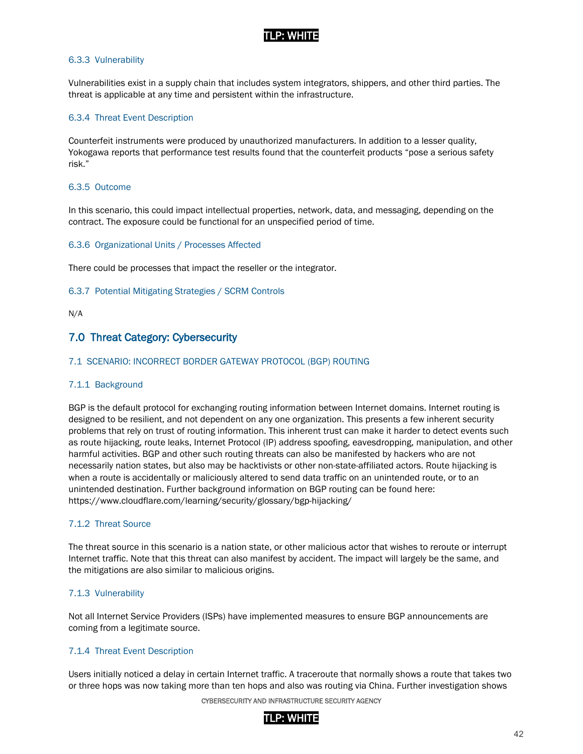## 6.3.3 Vulnerability

Vulnerabilities exist in a supply chain that includes system integrators, shippers, and other third parties. The threat is applicable at any time and persistent within the infrastructure.

#### 6.3.4 Threat Event Description

Counterfeit instruments were produced by unauthorized manufacturers. In addition to a lesser quality, Yokogawa reports that performance test results found that the counterfeit products "pose a serious safety risk."

#### 6.3.5 Outcome

In this scenario, this could impact intellectual properties, network, data, and messaging, depending on the contract. The exposure could be functional for an unspecified period of time.

#### 6.3.6 Organizational Units / Processes Affected

There could be processes that impact the reseller or the integrator.

#### 6.3.7 Potential Mitigating Strategies / SCRM Controls

N/A

## 7.0 Threat Category: Cybersecurity

#### 7.1 SCENARIO: INCORRECT BORDER GATEWAY PROTOCOL (BGP) ROUTING

#### 7.1.1 Background

BGP is the default protocol for exchanging routing information between Internet domains. Internet routing is designed to be resilient, and not dependent on any one organization. This presents a few inherent security problems that rely on trust of routing information. This inherent trust can make it harder to detect events such as route hijacking, route leaks, Internet Protocol (IP) address spoofing, eavesdropping, manipulation, and other harmful activities. BGP and other such routing threats can also be manifested by hackers who are not necessarily nation states, but also may be hacktivists or other non-state-affiliated actors. Route hijacking is when a route is accidentally or maliciously altered to send data traffic on an unintended route, or to an unintended destination. Further background information on BGP routing can be found here: https://www.cloudflare.com/learning/security/glossary/bgp-hijacking/

#### 7.1.2 Threat Source

The threat source in this scenario is a nation state, or other malicious actor that wishes to reroute or interrupt Internet traffic. Note that this threat can also manifest by accident. The impact will largely be the same, and the mitigations are also similar to malicious origins.

#### 7.1.3 Vulnerability

Not all Internet Service Providers (ISPs) have implemented measures to ensure BGP announcements are coming from a legitimate source.

## 7.1.4 Threat Event Description

Users initially noticed a delay in certain Internet traffic. A traceroute that normally shows a route that takes two or three hops was now taking more than ten hops and also was routing via China. Further investigation shows

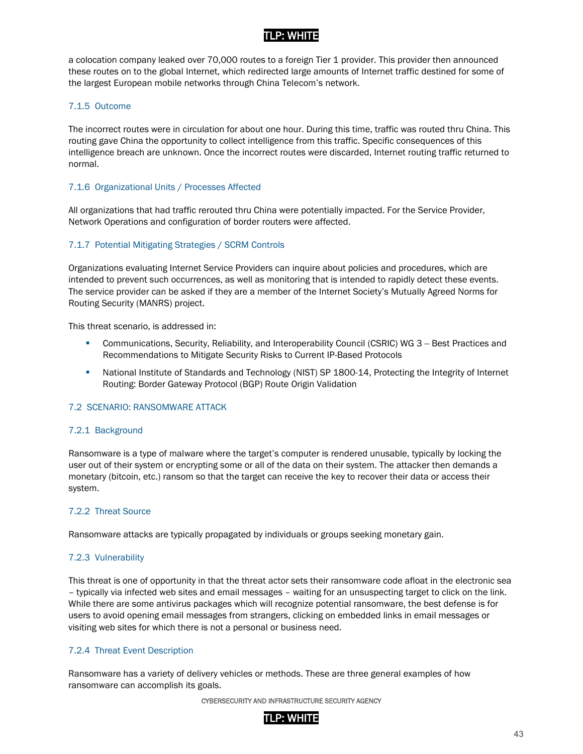a colocation company leaked over 70,000 routes to a foreign Tier 1 provider. This provider then announced these routes on to the global Internet, which redirected large amounts of Internet traffic destined for some of the largest European mobile networks through China Telecom's network.

## 7.1.5 Outcome

The incorrect routes were in circulation for about one hour. During this time, traffic was routed thru China. This routing gave China the opportunity to collect intelligence from this traffic. Specific consequences of this intelligence breach are unknown. Once the incorrect routes were discarded, Internet routing traffic returned to normal.

## 7.1.6 Organizational Units / Processes Affected

All organizations that had traffic rerouted thru China were potentially impacted. For the Service Provider, Network Operations and configuration of border routers were affected.

## 7.1.7 Potential Mitigating Strategies / SCRM Controls

Organizations evaluating Internet Service Providers can inquire about policies and procedures, which are intended to prevent such occurrences, as well as monitoring that is intended to rapidly detect these events. The service provider can be asked if they are a member of the Internet Society's Mutually Agreed Norms for Routing Security (MANRS) project.

This threat scenario, is addressed in:

- Communications, Security, Reliability, and Interoperability Council (CSRIC) WG 3 -- Best Practices and Recommendations to Mitigate Security Risks to Current IP-Based Protocols
- National Institute of Standards and Technology (NIST) SP 1800-14, Protecting the Integrity of Internet Routing: Border Gateway Protocol (BGP) Route Origin Validation

## 7.2 SCENARIO: RANSOMWARE ATTACK

## 7.2.1 Background

Ransomware is a type of malware where the target's computer is rendered unusable, typically by locking the user out of their system or encrypting some or all of the data on their system. The attacker then demands a monetary (bitcoin, etc.) ransom so that the target can receive the key to recover their data or access their system.

## 7.2.2 Threat Source

Ransomware attacks are typically propagated by individuals or groups seeking monetary gain.

## 7.2.3 Vulnerability

This threat is one of opportunity in that the threat actor sets their ransomware code afloat in the electronic sea – typically via infected web sites and email messages – waiting for an unsuspecting target to click on the link. While there are some antivirus packages which will recognize potential ransomware, the best defense is for users to avoid opening email messages from strangers, clicking on embedded links in email messages or visiting web sites for which there is not a personal or business need.

## 7.2.4 Threat Event Description

Ransomware has a variety of delivery vehicles or methods. These are three general examples of how ransomware can accomplish its goals.

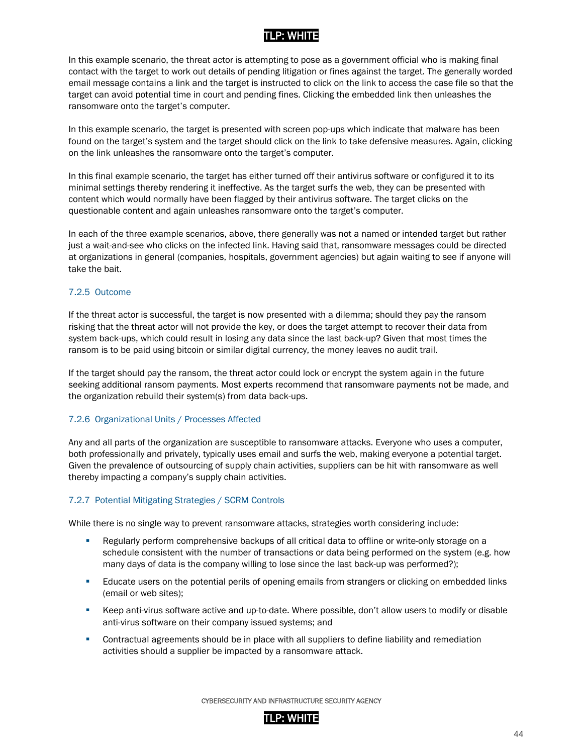In this example scenario, the threat actor is attempting to pose as a government official who is making final contact with the target to work out details of pending litigation or fines against the target. The generally worded email message contains a link and the target is instructed to click on the link to access the case file so that the target can avoid potential time in court and pending fines. Clicking the embedded link then unleashes the ransomware onto the target's computer.

In this example scenario, the target is presented with screen pop-ups which indicate that malware has been found on the target's system and the target should click on the link to take defensive measures. Again, clicking on the link unleashes the ransomware onto the target's computer.

In this final example scenario, the target has either turned off their antivirus software or configured it to its minimal settings thereby rendering it ineffective. As the target surfs the web, they can be presented with content which would normally have been flagged by their antivirus software. The target clicks on the questionable content and again unleashes ransomware onto the target's computer.

In each of the three example scenarios, above, there generally was not a named or intended target but rather just a wait-and-see who clicks on the infected link. Having said that, ransomware messages could be directed at organizations in general (companies, hospitals, government agencies) but again waiting to see if anyone will take the bait.

## 7.2.5 Outcome

If the threat actor is successful, the target is now presented with a dilemma; should they pay the ransom risking that the threat actor will not provide the key, or does the target attempt to recover their data from system back-ups, which could result in losing any data since the last back-up? Given that most times the ransom is to be paid using bitcoin or similar digital currency, the money leaves no audit trail.

If the target should pay the ransom, the threat actor could lock or encrypt the system again in the future seeking additional ransom payments. Most experts recommend that ransomware payments not be made, and the organization rebuild their system(s) from data back-ups.

## 7.2.6 Organizational Units / Processes Affected

Any and all parts of the organization are susceptible to ransomware attacks. Everyone who uses a computer, both professionally and privately, typically uses email and surfs the web, making everyone a potential target. Given the prevalence of outsourcing of supply chain activities, suppliers can be hit with ransomware as well thereby impacting a company's supply chain activities.

## 7.2.7 Potential Mitigating Strategies / SCRM Controls

While there is no single way to prevent ransomware attacks, strategies worth considering include:

- Regularly perform comprehensive backups of all critical data to offline or write-only storage on a schedule consistent with the number of transactions or data being performed on the system (e.g. how many days of data is the company willing to lose since the last back-up was performed?);
- Educate users on the potential perils of opening emails from strangers or clicking on embedded links (email or web sites);
- Keep anti-virus software active and up-to-date. Where possible, don't allow users to modify or disable anti-virus software on their company issued systems; and
- **Contractual agreements should be in place with all suppliers to define liability and remediation** activities should a supplier be impacted by a ransomware attack.

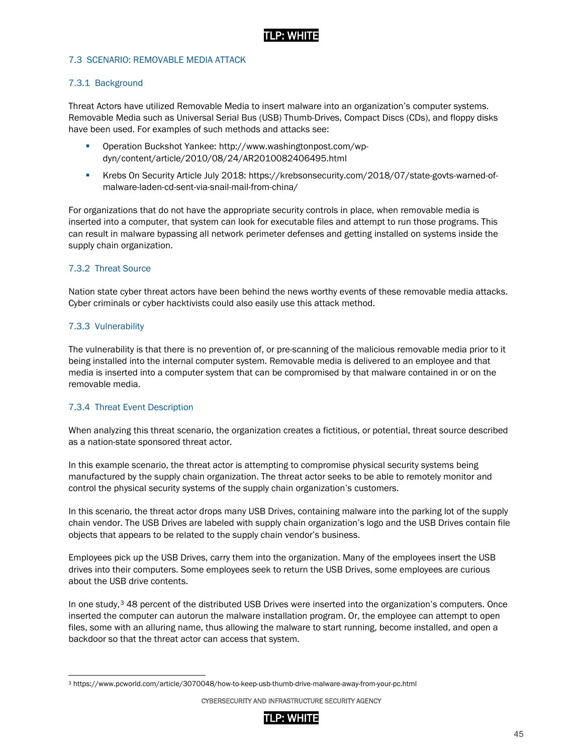## 7.3 SCENARIO: REMOVABLE MEDIA ATTACK

#### 7.3.1 Background

Threat Actors have utilized Removable Media to insert malware into an organization's computer systems. Removable Media such as Universal Serial Bus (USB) Thumb-Drives, Compact Discs (CDs), and floppy disks have been used. For examples of such methods and attacks see:

- Operation Buckshot Yankee: http://www.washingtonpost.com/wpdyn/content/article/2010/08/24/AR2010082406495.html
- Krebs On Security Article July 2018: https://krebsonsecurity.com/2018/07/state-govts-warned-ofmalware-laden-cd-sent-via-snail-mail-from-china/

For organizations that do not have the appropriate security controls in place, when removable media is inserted into a computer, that system can look for executable files and attempt to run those programs. This can result in malware bypassing all network perimeter defenses and getting installed on systems inside the supply chain organization.

## 7.3.2 Threat Source

Nation state cyber threat actors have been behind the news worthy events of these removable media attacks. Cyber criminals or cyber hacktivists could also easily use this attack method.

#### 7.3.3 Vulnerability

The vulnerability is that there is no prevention of, or pre-scanning of the malicious removable media prior to it being installed into the internal computer system. Removable media is delivered to an employee and that media is inserted into a computer system that can be compromised by that malware contained in or on the removable media.

## 7.3.4 Threat Event Description

When analyzing this threat scenario, the organization creates a fictitious, or potential, threat source described as a nation-state sponsored threat actor.

In this example scenario, the threat actor is attempting to compromise physical security systems being manufactured by the supply chain organization. The threat actor seeks to be able to remotely monitor and control the physical security systems of the supply chain organization's customers.

In this scenario, the threat actor drops many USB Drives, containing malware into the parking lot of the supply chain vendor. The USB Drives are labeled with supply chain organization's logo and the USB Drives contain file objects that appears to be related to the supply chain vendor's business.

Employees pick up the USB Drives, carry them into the organization. Many of the employees insert the USB drives into their computers. Some employees seek to return the USB Drives, some employees are curious about the USB drive contents.

In one study, $3\,48$  $3\,48$  percent of the distributed USB Drives were inserted into the organization's computers. Once inserted the computer can autorun the malware installation program. Or, the employee can attempt to open files, some with an alluring name, thus allowing the malware to start running, become installed, and open a backdoor so that the threat actor can access that system.



<span id="page-49-0"></span> <sup>3</sup> https://www.pcworld.com/article/3070048/how-to-keep-usb-thumb-drive-malware-away-from-your-pc.html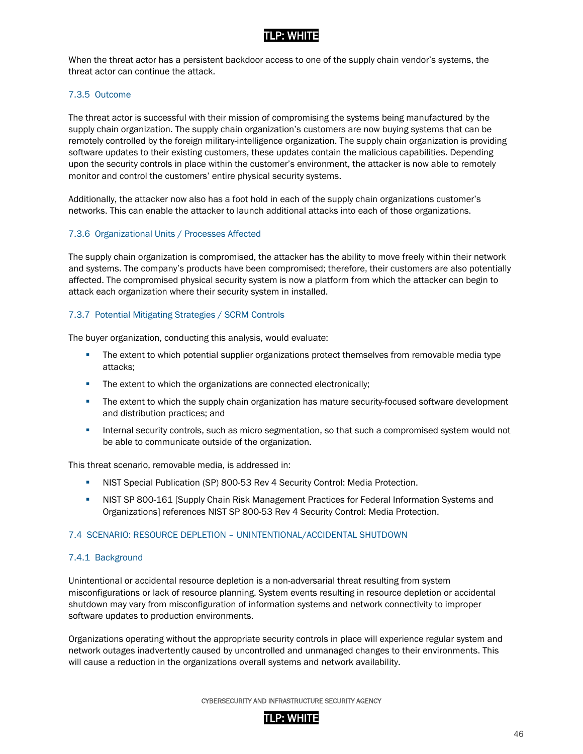When the threat actor has a persistent backdoor access to one of the supply chain vendor's systems, the threat actor can continue the attack.

## 7.3.5 Outcome

The threat actor is successful with their mission of compromising the systems being manufactured by the supply chain organization. The supply chain organization's customers are now buying systems that can be remotely controlled by the foreign military-intelligence organization. The supply chain organization is providing software updates to their existing customers, these updates contain the malicious capabilities. Depending upon the security controls in place within the customer's environment, the attacker is now able to remotely monitor and control the customers' entire physical security systems.

Additionally, the attacker now also has a foot hold in each of the supply chain organizations customer's networks. This can enable the attacker to launch additional attacks into each of those organizations.

## 7.3.6 Organizational Units / Processes Affected

The supply chain organization is compromised, the attacker has the ability to move freely within their network and systems. The company's products have been compromised; therefore, their customers are also potentially affected. The compromised physical security system is now a platform from which the attacker can begin to attack each organization where their security system in installed.

## 7.3.7 Potential Mitigating Strategies / SCRM Controls

The buyer organization, conducting this analysis, would evaluate:

- The extent to which potential supplier organizations protect themselves from removable media type attacks;
- The extent to which the organizations are connected electronically;
- **The extent to which the supply chain organization has mature security-focused software development** and distribution practices; and
- **Internal security controls, such as micro segmentation, so that such a compromised system would not** be able to communicate outside of the organization.

This threat scenario, removable media, is addressed in:

- NIST Special Publication (SP) 800-53 Rev 4 Security Control: Media Protection.
- **NIST SP 800-161 [Supply Chain Risk Management Practices for Federal Information Systems and** Organizations] references NIST SP 800-53 Rev 4 Security Control: Media Protection.

## 7.4 SCENARIO: RESOURCE DEPLETION – UNINTENTIONAL/ACCIDENTAL SHUTDOWN

## 7.4.1 Background

Unintentional or accidental resource depletion is a non-adversarial threat resulting from system misconfigurations or lack of resource planning. System events resulting in resource depletion or accidental shutdown may vary from misconfiguration of information systems and network connectivity to improper software updates to production environments.

Organizations operating without the appropriate security controls in place will experience regular system and network outages inadvertently caused by uncontrolled and unmanaged changes to their environments. This will cause a reduction in the organizations overall systems and network availability.

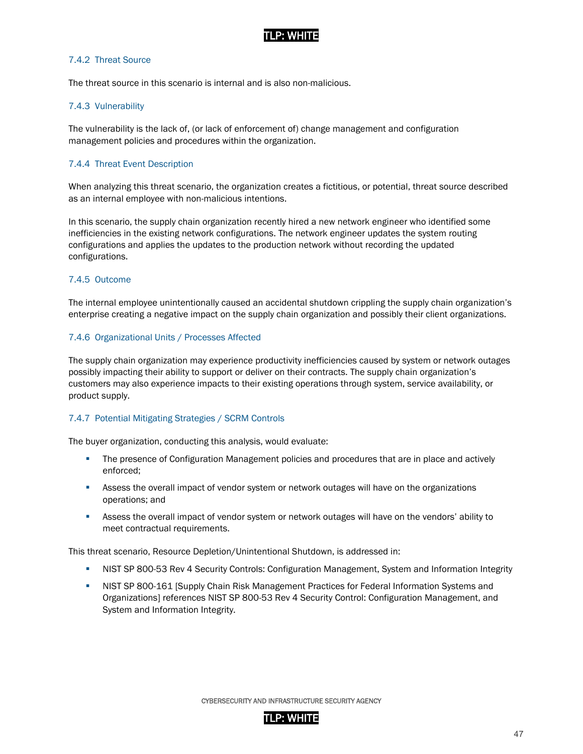#### 7.4.2 Threat Source

The threat source in this scenario is internal and is also non-malicious.

## 7.4.3 Vulnerability

The vulnerability is the lack of, (or lack of enforcement of) change management and configuration management policies and procedures within the organization.

## 7.4.4 Threat Event Description

When analyzing this threat scenario, the organization creates a fictitious, or potential, threat source described as an internal employee with non-malicious intentions.

In this scenario, the supply chain organization recently hired a new network engineer who identified some inefficiencies in the existing network configurations. The network engineer updates the system routing configurations and applies the updates to the production network without recording the updated configurations.

## 7.4.5 Outcome

The internal employee unintentionally caused an accidental shutdown crippling the supply chain organization's enterprise creating a negative impact on the supply chain organization and possibly their client organizations.

## 7.4.6 Organizational Units / Processes Affected

The supply chain organization may experience productivity inefficiencies caused by system or network outages possibly impacting their ability to support or deliver on their contracts. The supply chain organization's customers may also experience impacts to their existing operations through system, service availability, or product supply.

## 7.4.7 Potential Mitigating Strategies / SCRM Controls

The buyer organization, conducting this analysis, would evaluate:

- **The presence of Configuration Management policies and procedures that are in place and actively** enforced;
- **Assess the overall impact of vendor system or network outages will have on the organizations** operations; and
- Assess the overall impact of vendor system or network outages will have on the vendors' ability to meet contractual requirements.

This threat scenario, Resource Depletion/Unintentional Shutdown, is addressed in:

- NIST SP 800-53 Rev 4 Security Controls: Configuration Management, System and Information Integrity
- **NIST SP 800-161 [Supply Chain Risk Management Practices for Federal Information Systems and** Organizations] references NIST SP 800-53 Rev 4 Security Control: Configuration Management, and System and Information Integrity.

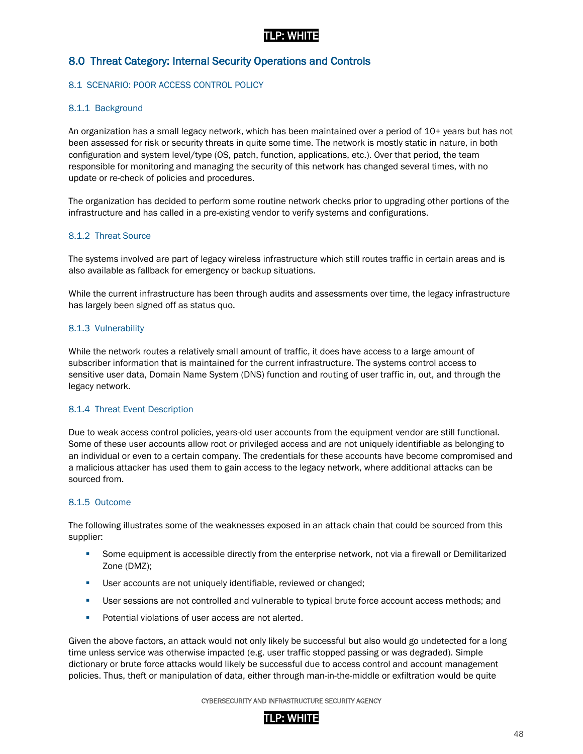## 8.0 Threat Category: Internal Security Operations and Controls

## 8.1 SCENARIO: POOR ACCESS CONTROL POLICY

## 8.1.1 Background

An organization has a small legacy network, which has been maintained over a period of 10+ years but has not been assessed for risk or security threats in quite some time. The network is mostly static in nature, in both configuration and system level/type (OS, patch, function, applications, etc.). Over that period, the team responsible for monitoring and managing the security of this network has changed several times, with no update or re-check of policies and procedures.

The organization has decided to perform some routine network checks prior to upgrading other portions of the infrastructure and has called in a pre-existing vendor to verify systems and configurations.

## 8.1.2 Threat Source

The systems involved are part of legacy wireless infrastructure which still routes traffic in certain areas and is also available as fallback for emergency or backup situations.

While the current infrastructure has been through audits and assessments over time, the legacy infrastructure has largely been signed off as status quo.

## 8.1.3 Vulnerability

While the network routes a relatively small amount of traffic, it does have access to a large amount of subscriber information that is maintained for the current infrastructure. The systems control access to sensitive user data, Domain Name System (DNS) function and routing of user traffic in, out, and through the legacy network.

## 8.1.4 Threat Event Description

Due to weak access control policies, years-old user accounts from the equipment vendor are still functional. Some of these user accounts allow root or privileged access and are not uniquely identifiable as belonging to an individual or even to a certain company. The credentials for these accounts have become compromised and a malicious attacker has used them to gain access to the legacy network, where additional attacks can be sourced from.

## 8.1.5 Outcome

The following illustrates some of the weaknesses exposed in an attack chain that could be sourced from this supplier:

- Some equipment is accessible directly from the enterprise network, not via a firewall or Demilitarized Zone (DMZ);
- **User accounts are not uniquely identifiable, reviewed or changed;**
- User sessions are not controlled and vulnerable to typical brute force account access methods; and
- **Potential violations of user access are not alerted.**

Given the above factors, an attack would not only likely be successful but also would go undetected for a long time unless service was otherwise impacted (e.g. user traffic stopped passing or was degraded). Simple dictionary or brute force attacks would likely be successful due to access control and account management policies. Thus, theft or manipulation of data, either through man-in-the-middle or exfiltration would be quite

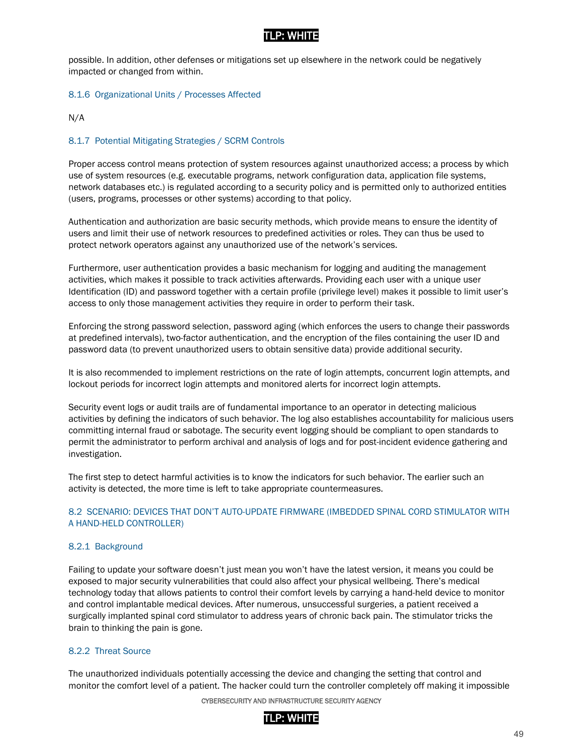possible. In addition, other defenses or mitigations set up elsewhere in the network could be negatively impacted or changed from within.

## 8.1.6 Organizational Units / Processes Affected

N/A

## 8.1.7 Potential Mitigating Strategies / SCRM Controls

Proper access control means protection of system resources against unauthorized access; a process by which use of system resources (e.g. executable programs, network configuration data, application file systems, network databases etc.) is regulated according to a security policy and is permitted only to authorized entities (users, programs, processes or other systems) according to that policy.

Authentication and authorization are basic security methods, which provide means to ensure the identity of users and limit their use of network resources to predefined activities or roles. They can thus be used to protect network operators against any unauthorized use of the network's services.

Furthermore, user authentication provides a basic mechanism for logging and auditing the management activities, which makes it possible to track activities afterwards. Providing each user with a unique user Identification (ID) and password together with a certain profile (privilege level) makes it possible to limit user's access to only those management activities they require in order to perform their task.

Enforcing the strong password selection, password aging (which enforces the users to change their passwords at predefined intervals), two-factor authentication, and the encryption of the files containing the user ID and password data (to prevent unauthorized users to obtain sensitive data) provide additional security.

It is also recommended to implement restrictions on the rate of login attempts, concurrent login attempts, and lockout periods for incorrect login attempts and monitored alerts for incorrect login attempts.

Security event logs or audit trails are of fundamental importance to an operator in detecting malicious activities by defining the indicators of such behavior. The log also establishes accountability for malicious users committing internal fraud or sabotage. The security event logging should be compliant to open standards to permit the administrator to perform archival and analysis of logs and for post-incident evidence gathering and investigation.

The first step to detect harmful activities is to know the indicators for such behavior. The earlier such an activity is detected, the more time is left to take appropriate countermeasures.

## 8.2 SCENARIO: DEVICES THAT DON'T AUTO-UPDATE FIRMWARE (IMBEDDED SPINAL CORD STIMULATOR WITH A HAND-HELD CONTROLLER)

## 8.2.1 Background

Failing to update your software doesn't just mean you won't have the latest version, it means you could be exposed to major security vulnerabilities that could also affect your physical wellbeing. There's medical technology today that allows patients to control their comfort levels by carrying a hand-held device to monitor and control implantable medical devices. After numerous, unsuccessful surgeries, a patient received a surgically implanted spinal cord stimulator to address years of chronic back pain. The stimulator tricks the brain to thinking the pain is gone.

## 8.2.2 Threat Source

The unauthorized individuals potentially accessing the device and changing the setting that control and monitor the comfort level of a patient. The hacker could turn the controller completely off making it impossible

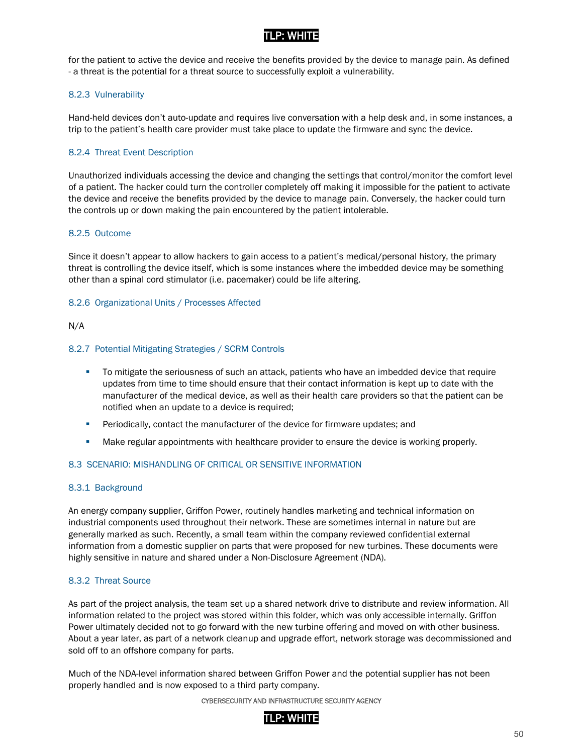for the patient to active the device and receive the benefits provided by the device to manage pain. As defined - a threat is the potential for a threat source to successfully exploit a vulnerability.

## 8.2.3 Vulnerability

Hand-held devices don't auto-update and requires live conversation with a help desk and, in some instances, a trip to the patient's health care provider must take place to update the firmware and sync the device.

## 8.2.4 Threat Event Description

Unauthorized individuals accessing the device and changing the settings that control/monitor the comfort level of a patient. The hacker could turn the controller completely off making it impossible for the patient to activate the device and receive the benefits provided by the device to manage pain. Conversely, the hacker could turn the controls up or down making the pain encountered by the patient intolerable.

## 8.2.5 Outcome

Since it doesn't appear to allow hackers to gain access to a patient's medical/personal history, the primary threat is controlling the device itself, which is some instances where the imbedded device may be something other than a spinal cord stimulator (i.e. pacemaker) could be life altering.

## 8.2.6 Organizational Units / Processes Affected

#### N/A

#### 8.2.7 Potential Mitigating Strategies / SCRM Controls

- To mitigate the seriousness of such an attack, patients who have an imbedded device that require updates from time to time should ensure that their contact information is kept up to date with the manufacturer of the medical device, as well as their health care providers so that the patient can be notified when an update to a device is required;
- **Periodically, contact the manufacturer of the device for firmware updates; and**
- **Make regular appointments with healthcare provider to ensure the device is working properly.**

## 8.3 SCENARIO: MISHANDLING OF CRITICAL OR SENSITIVE INFORMATION

#### 8.3.1 Background

An energy company supplier, Griffon Power, routinely handles marketing and technical information on industrial components used throughout their network. These are sometimes internal in nature but are generally marked as such. Recently, a small team within the company reviewed confidential external information from a domestic supplier on parts that were proposed for new turbines. These documents were highly sensitive in nature and shared under a Non-Disclosure Agreement (NDA).

#### 8.3.2 Threat Source

As part of the project analysis, the team set up a shared network drive to distribute and review information. All information related to the project was stored within this folder, which was only accessible internally. Griffon Power ultimately decided not to go forward with the new turbine offering and moved on with other business. About a year later, as part of a network cleanup and upgrade effort, network storage was decommissioned and sold off to an offshore company for parts.

Much of the NDA-level information shared between Griffon Power and the potential supplier has not been properly handled and is now exposed to a third party company.

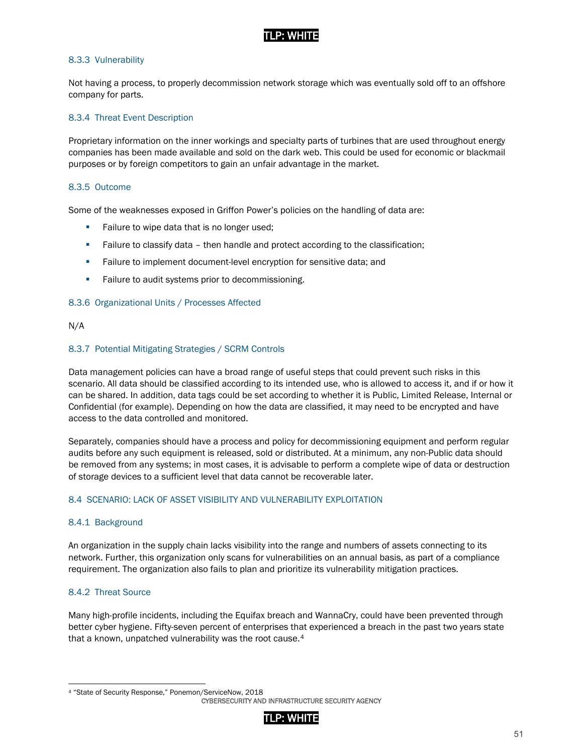## 8.3.3 Vulnerability

Not having a process, to properly decommission network storage which was eventually sold off to an offshore company for parts.

#### 8.3.4 Threat Event Description

Proprietary information on the inner workings and specialty parts of turbines that are used throughout energy companies has been made available and sold on the dark web. This could be used for economic or blackmail purposes or by foreign competitors to gain an unfair advantage in the market.

#### 8.3.5 Outcome

Some of the weaknesses exposed in Griffon Power's policies on the handling of data are:

- **Failure to wipe data that is no longer used;**
- **Failure to classify data then handle and protect according to the classification;**
- **Failure to implement document-level encryption for sensitive data; and**
- **Failure to audit systems prior to decommissioning.**

## 8.3.6 Organizational Units / Processes Affected

#### N/A

#### 8.3.7 Potential Mitigating Strategies / SCRM Controls

Data management policies can have a broad range of useful steps that could prevent such risks in this scenario. All data should be classified according to its intended use, who is allowed to access it, and if or how it can be shared. In addition, data tags could be set according to whether it is Public, Limited Release, Internal or Confidential (for example). Depending on how the data are classified, it may need to be encrypted and have access to the data controlled and monitored.

Separately, companies should have a process and policy for decommissioning equipment and perform regular audits before any such equipment is released, sold or distributed. At a minimum, any non-Public data should be removed from any systems; in most cases, it is advisable to perform a complete wipe of data or destruction of storage devices to a sufficient level that data cannot be recoverable later.

## 8.4 SCENARIO: LACK OF ASSET VISIBILITY AND VULNERABILITY EXPLOITATION

#### 8.4.1 Background

An organization in the supply chain lacks visibility into the range and numbers of assets connecting to its network. Further, this organization only scans for vulnerabilities on an annual basis, as part of a compliance requirement. The organization also fails to plan and prioritize its vulnerability mitigation practices.

## 8.4.2 Threat Source

Many high-profile incidents, including the Equifax breach and WannaCry, could have been prevented through better cyber hygiene. Fifty-seven percent of enterprises that experienced a breach in the past two years state that a known, unpatched vulnerability was the root cause.<sup>[4](#page-55-0)</sup>



<span id="page-55-0"></span> <sup>4</sup> "State of Security Response," Ponemon/ServiceNow, 2018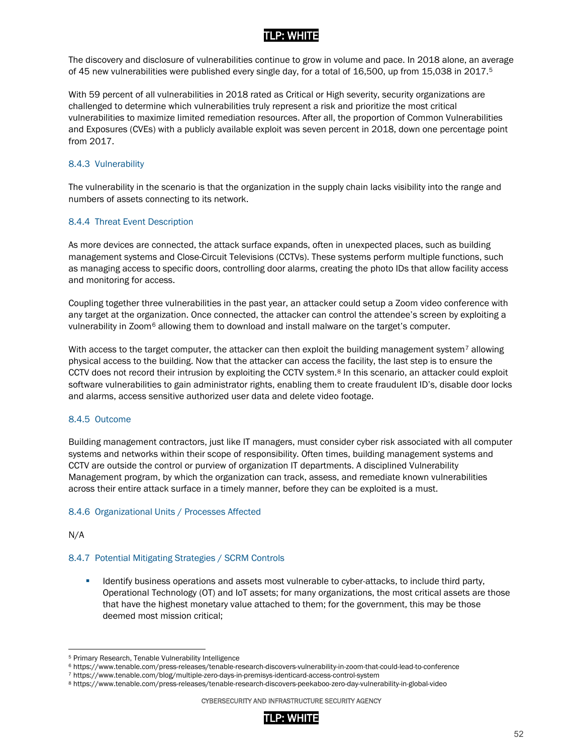The discovery and disclosure of vulnerabilities continue to grow in volume and pace. In 2018 alone, an average of 4[5](#page-56-0) new vulnerabilities were published every single day, for a total of 16,500, up from 15,038 in 2017.<sup>5</sup>

With 59 percent of all vulnerabilities in 2018 rated as Critical or High severity, security organizations are challenged to determine which vulnerabilities truly represent a risk and prioritize the most critical vulnerabilities to maximize limited remediation resources. After all, the proportion of Common Vulnerabilities and Exposures (CVEs) with a publicly available exploit was seven percent in 2018, down one percentage point from 2017.

## 8.4.3 Vulnerability

The vulnerability in the scenario is that the organization in the supply chain lacks visibility into the range and numbers of assets connecting to its network.

## 8.4.4 Threat Event Description

As more devices are connected, the attack surface expands, often in unexpected places, such as building management systems and Close-Circuit Televisions (CCTVs). These systems perform multiple functions, such as managing access to specific doors, controlling door alarms, creating the photo IDs that allow facility access and monitoring for access.

Coupling together three vulnerabilities in the past year, an attacker could setup a Zoom video conference with any target at the organization. Once connected, the attacker can control the attendee's screen by exploiting a vulnerability in Zoom<sup>[6](#page-56-1)</sup> allowing them to download and install malware on the target's computer.

With access to the target computer, the attacker can then exploit the building management system<sup>[7](#page-56-2)</sup> allowing physical access to the building. Now that the attacker can access the facility, the last step is to ensure the CCTV does not record their intrusion by exploiting the CCTV system.[8](#page-56-3) In this scenario, an attacker could exploit software vulnerabilities to gain administrator rights, enabling them to create fraudulent ID's, disable door locks and alarms, access sensitive authorized user data and delete video footage.

## 8.4.5 Outcome

Building management contractors, just like IT managers, must consider cyber risk associated with all computer systems and networks within their scope of responsibility. Often times, building management systems and CCTV are outside the control or purview of organization IT departments. A disciplined Vulnerability Management program, by which the organization can track, assess, and remediate known vulnerabilities across their entire attack surface in a timely manner, before they can be exploited is a must.

## 8.4.6 Organizational Units / Processes Affected

N/A

## 8.4.7 Potential Mitigating Strategies / SCRM Controls

 Identify business operations and assets most vulnerable to cyber-attacks, to include third party, Operational Technology (OT) and IoT assets; for many organizations, the most critical assets are those that have the highest monetary value attached to them; for the government, this may be those deemed most mission critical;



<span id="page-56-0"></span> <sup>5</sup> Primary Research, Tenable Vulnerability Intelligence

<span id="page-56-1"></span><sup>6</sup> https://www.tenable.com/press-releases/tenable-research-discovers-vulnerability-in-zoom-that-could-lead-to-conference

<span id="page-56-2"></span><sup>7</sup> https://www.tenable.com/blog/multiple-zero-days-in-premisys-identicard-access-control-system

<span id="page-56-3"></span><sup>8</sup> https://www.tenable.com/press-releases/tenable-research-discovers-peekaboo-zero-day-vulnerability-in-global-video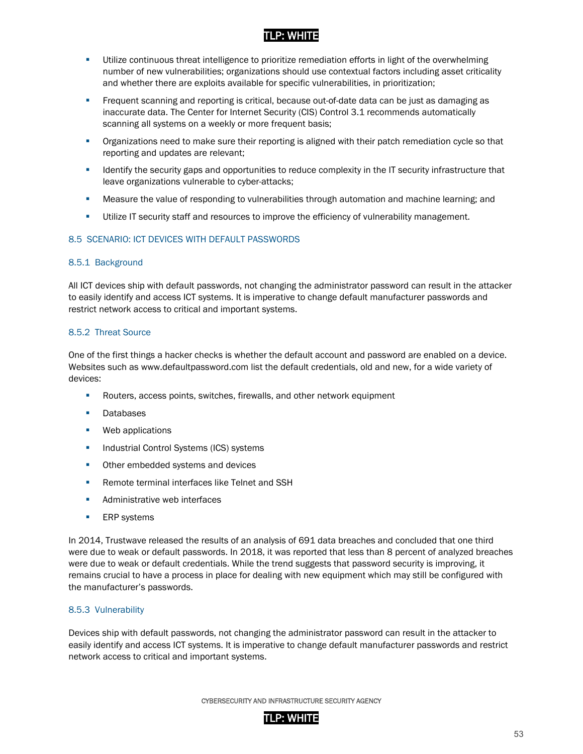- Utilize continuous threat intelligence to prioritize remediation efforts in light of the overwhelming number of new vulnerabilities; organizations should use contextual factors including asset criticality and whether there are exploits available for specific vulnerabilities, in prioritization;
- Frequent scanning and reporting is critical, because out-of-date data can be just as damaging as inaccurate data. The Center for Internet Security (CIS) Control 3.1 recommends automatically scanning all systems on a weekly or more frequent basis;
- Organizations need to make sure their reporting is aligned with their patch remediation cycle so that reporting and updates are relevant;
- **IDENTIFY 11 Identify the security gaps and opportunities to reduce complexity in the IT security infrastructure that** leave organizations vulnerable to cyber-attacks;
- **Measure the value of responding to vulnerabilities through automation and machine learning; and**
- **Utilize IT security staff and resources to improve the efficiency of vulnerability management.**

## 8.5 SCENARIO: ICT DEVICES WITH DEFAULT PASSWORDS

## 8.5.1 Background

All ICT devices ship with default passwords, not changing the administrator password can result in the attacker to easily identify and access ICT systems. It is imperative to change default manufacturer passwords and restrict network access to critical and important systems.

## 8.5.2 Threat Source

One of the first things a hacker checks is whether the default account and password are enabled on a device. Websites such as www.defaultpassword.com list the default credentials, old and new, for a wide variety of devices:

- Routers, access points, switches, firewalls, and other network equipment
- **Databases**
- **Web applications**
- **Industrial Control Systems (ICS) systems**
- **•** Other embedded systems and devices
- **Remote terminal interfaces like Telnet and SSH**
- **Administrative web interfaces**
- **ERP** systems

In 2014, Trustwave released the results of an analysis of 691 data breaches and concluded that one third were due to weak or default passwords. In 2018, it was reported that less than 8 percent of analyzed breaches were due to weak or default credentials. While the trend suggests that password security is improving, it remains crucial to have a process in place for dealing with new equipment which may still be configured with the manufacturer's passwords.

## 8.5.3 Vulnerability

Devices ship with default passwords, not changing the administrator password can result in the attacker to easily identify and access ICT systems. It is imperative to change default manufacturer passwords and restrict network access to critical and important systems.

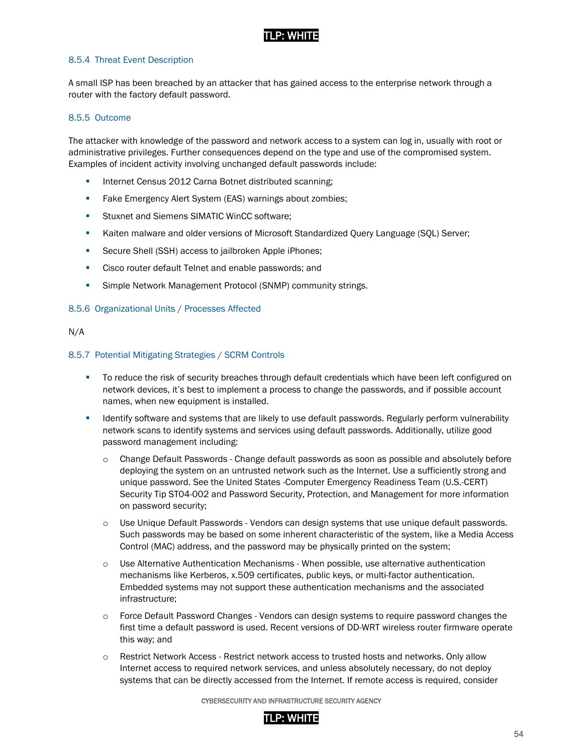#### 8.5.4 Threat Event Description

A small ISP has been breached by an attacker that has gained access to the enterprise network through a router with the factory default password.

#### 8.5.5 Outcome

The attacker with knowledge of the password and network access to a system can log in, usually with root or administrative privileges. Further consequences depend on the type and use of the compromised system. Examples of incident activity involving unchanged default passwords include:

- Internet Census 2012 Carna Botnet distributed scanning;
- **Fake Emergency Alert System (EAS) warnings about zombies;**
- **Stuxnet and Siemens SIMATIC WinCC software;**
- Kaiten malware and older versions of Microsoft Standardized Query Language (SQL) Server;
- **Secure Shell (SSH) access to jailbroken Apple iPhones;**
- **EXECT:** Cisco router default Telnet and enable passwords; and
- **Simple Network Management Protocol (SNMP) community strings.**

#### 8.5.6 Organizational Units / Processes Affected

#### N/A

#### 8.5.7 Potential Mitigating Strategies / SCRM Controls

- **The To reduce the risk of security breaches through default credentials which have been left configured on** network devices, it's best to implement a process to change the passwords, and if possible account names, when new equipment is installed.
- **IDED 19 IDENT Software and systems that are likely to use default passwords. Regularly perform vulnerability** network scans to identify systems and services using default passwords. Additionally, utilize good password management including:
	- o Change Default Passwords Change default passwords as soon as possible and absolutely before deploying the system on an untrusted network such as the Internet. Use a sufficiently strong and unique password. See the United States -Computer Emergency Readiness Team (U.S.-CERT) Security Tip ST04-002 and Password Security, Protection, and Management for more information on password security;
	- o Use Unique Default Passwords Vendors can design systems that use unique default passwords. Such passwords may be based on some inherent characteristic of the system, like a Media Access Control (MAC) address, and the password may be physically printed on the system;
	- o Use Alternative Authentication Mechanisms When possible, use alternative authentication mechanisms like Kerberos, x.509 certificates, public keys, or multi-factor authentication. Embedded systems may not support these authentication mechanisms and the associated infrastructure;
	- o Force Default Password Changes Vendors can design systems to require password changes the first time a default password is used. Recent versions of DD-WRT wireless router firmware operate this way; and
	- o Restrict Network Access Restrict network access to trusted hosts and networks. Only allow Internet access to required network services, and unless absolutely necessary, do not deploy systems that can be directly accessed from the Internet. If remote access is required, consider

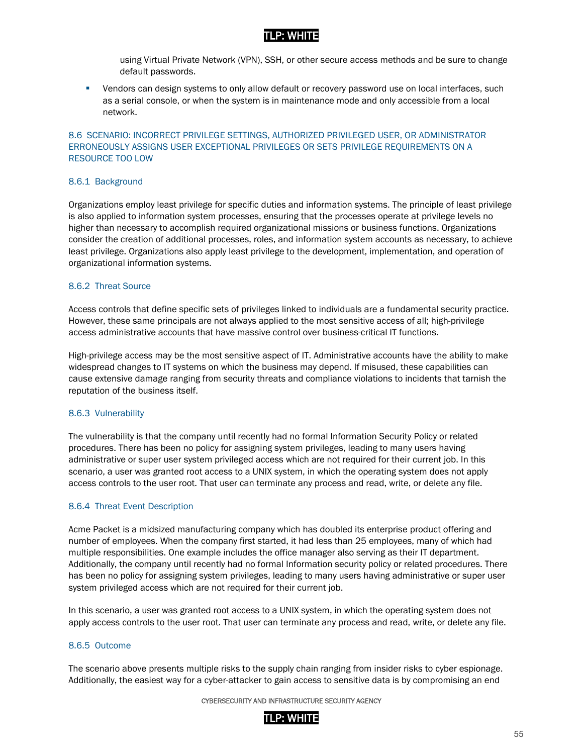using Virtual Private Network (VPN), SSH, or other secure access methods and be sure to change default passwords.

**•** Vendors can design systems to only allow default or recovery password use on local interfaces, such as a serial console, or when the system is in maintenance mode and only accessible from a local network.

## 8.6 SCENARIO: INCORRECT PRIVILEGE SETTINGS, AUTHORIZED PRIVILEGED USER, OR ADMINISTRATOR ERRONEOUSLY ASSIGNS USER EXCEPTIONAL PRIVILEGES OR SETS PRIVILEGE REQUIREMENTS ON A RESOURCE TOO LOW

#### 8.6.1 Background

Organizations employ least privilege for specific duties and information systems. The principle of least privilege is also applied to information system processes, ensuring that the processes operate at privilege levels no higher than necessary to accomplish required organizational missions or business functions. Organizations consider the creation of additional processes, roles, and information system accounts as necessary, to achieve least privilege. Organizations also apply least privilege to the development, implementation, and operation of organizational information systems.

#### 8.6.2 Threat Source

Access controls that define specific sets of privileges linked to individuals are a fundamental security practice. However, these same principals are not always applied to the most sensitive access of all; high-privilege access administrative accounts that have massive control over business-critical IT functions.

High-privilege access may be the most sensitive aspect of IT. Administrative accounts have the ability to make widespread changes to IT systems on which the business may depend. If misused, these capabilities can cause extensive damage ranging from security threats and compliance violations to incidents that tarnish the reputation of the business itself.

#### 8.6.3 Vulnerability

The vulnerability is that the company until recently had no formal Information Security Policy or related procedures. There has been no policy for assigning system privileges, leading to many users having administrative or super user system privileged access which are not required for their current job. In this scenario, a user was granted root access to a UNIX system, in which the operating system does not apply access controls to the user root. That user can terminate any process and read, write, or delete any file.

## 8.6.4 Threat Event Description

Acme Packet is a midsized manufacturing company which has doubled its enterprise product offering and number of employees. When the company first started, it had less than 25 employees, many of which had multiple responsibilities. One example includes the office manager also serving as their IT department. Additionally, the company until recently had no formal Information security policy or related procedures. There has been no policy for assigning system privileges, leading to many users having administrative or super user system privileged access which are not required for their current job.

In this scenario, a user was granted root access to a UNIX system, in which the operating system does not apply access controls to the user root. That user can terminate any process and read, write, or delete any file.

#### 8.6.5 Outcome

The scenario above presents multiple risks to the supply chain ranging from insider risks to cyber espionage. Additionally, the easiest way for a cyber-attacker to gain access to sensitive data is by compromising an end

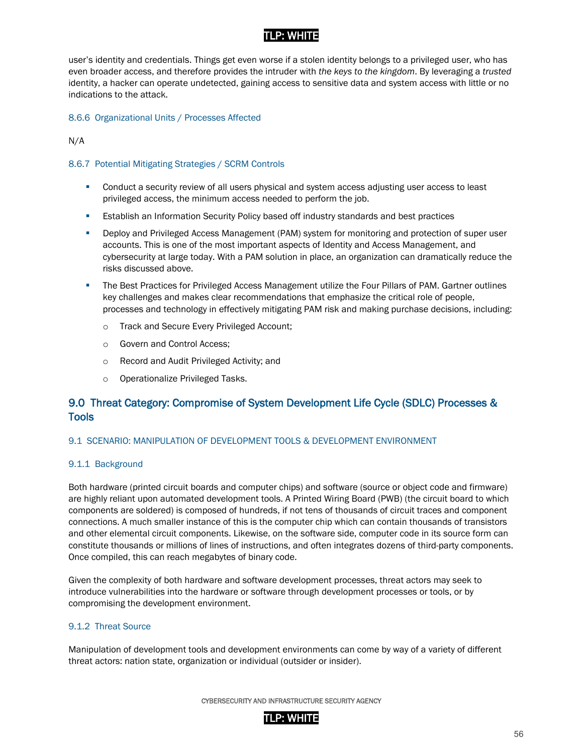user's identity and credentials. Things get even worse if a stolen identity belongs to a privileged user, who has even broader access, and therefore provides the intruder with *the keys to the kingdom*. By leveraging a *trusted* identity, a hacker can operate undetected, gaining access to sensitive data and system access with little or no indications to the attack.

## 8.6.6 Organizational Units / Processes Affected

N/A

## 8.6.7 Potential Mitigating Strategies / SCRM Controls

- **Conduct a security review of all users physical and system access adjusting user access to least** privileged access, the minimum access needed to perform the job.
- **Establish an Information Security Policy based off industry standards and best practices**
- Deploy and Privileged Access Management (PAM) system for monitoring and protection of super user accounts. This is one of the most important aspects of Identity and Access Management, and cybersecurity at large today. With a PAM solution in place, an organization can dramatically reduce the risks discussed above.
- **The Best Practices for Privileged Access Management utilize the Four Pillars of PAM. Gartner outlines** key challenges and makes clear recommendations that emphasize the critical role of people, processes and technology in effectively mitigating PAM risk and making purchase decisions, including:
	- o Track and Secure Every Privileged Account;
	- o Govern and Control Access;
	- o Record and Audit Privileged Activity; and
	- o Operationalize Privileged Tasks.

## 9.0 Threat Category: Compromise of System Development Life Cycle (SDLC) Processes & **Tools**

## 9.1 SCENARIO: MANIPULATION OF DEVELOPMENT TOOLS & DEVELOPMENT ENVIRONMENT

## 9.1.1 Background

Both hardware (printed circuit boards and computer chips) and software (source or object code and firmware) are highly reliant upon automated development tools. A Printed Wiring Board (PWB) (the circuit board to which components are soldered) is composed of hundreds, if not tens of thousands of circuit traces and component connections. A much smaller instance of this is the computer chip which can contain thousands of transistors and other elemental circuit components. Likewise, on the software side, computer code in its source form can constitute thousands or millions of lines of instructions, and often integrates dozens of third-party components. Once compiled, this can reach megabytes of binary code.

Given the complexity of both hardware and software development processes, threat actors may seek to introduce vulnerabilities into the hardware or software through development processes or tools, or by compromising the development environment.

## 9.1.2 Threat Source

Manipulation of development tools and development environments can come by way of a variety of different threat actors: nation state, organization or individual (outsider or insider).

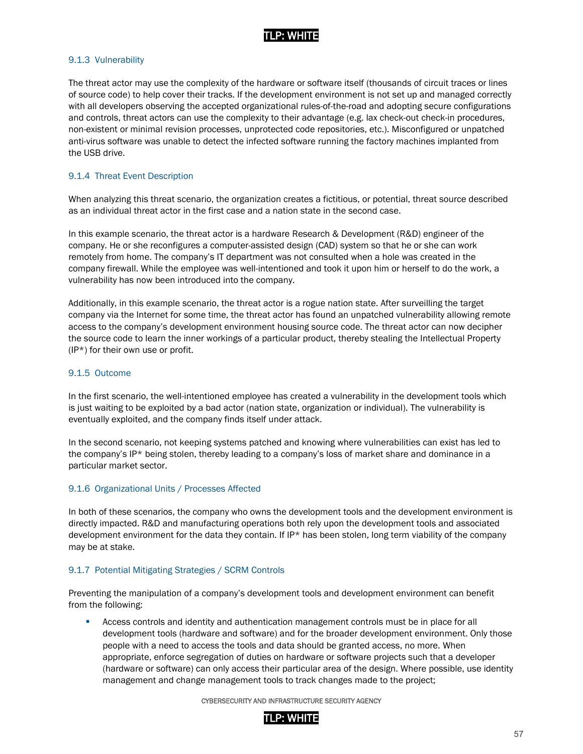#### 9.1.3 Vulnerability

The threat actor may use the complexity of the hardware or software itself (thousands of circuit traces or lines of source code) to help cover their tracks. If the development environment is not set up and managed correctly with all developers observing the accepted organizational rules-of-the-road and adopting secure configurations and controls, threat actors can use the complexity to their advantage (e.g. lax check-out check-in procedures, non-existent or minimal revision processes, unprotected code repositories, etc.). Misconfigured or unpatched anti-virus software was unable to detect the infected software running the factory machines implanted from the USB drive.

#### 9.1.4 Threat Event Description

When analyzing this threat scenario, the organization creates a fictitious, or potential, threat source described as an individual threat actor in the first case and a nation state in the second case.

In this example scenario, the threat actor is a hardware Research & Development (R&D) engineer of the company. He or she reconfigures a computer-assisted design (CAD) system so that he or she can work remotely from home. The company's IT department was not consulted when a hole was created in the company firewall. While the employee was well-intentioned and took it upon him or herself to do the work, a vulnerability has now been introduced into the company.

Additionally, in this example scenario, the threat actor is a rogue nation state. After surveilling the target company via the Internet for some time, the threat actor has found an unpatched vulnerability allowing remote access to the company's development environment housing source code. The threat actor can now decipher the source code to learn the inner workings of a particular product, thereby stealing the Intellectual Property (IP\*) for their own use or profit.

#### 9.1.5 Outcome

In the first scenario, the well-intentioned employee has created a vulnerability in the development tools which is just waiting to be exploited by a bad actor (nation state, organization or individual). The vulnerability is eventually exploited, and the company finds itself under attack.

In the second scenario, not keeping systems patched and knowing where vulnerabilities can exist has led to the company's IP\* being stolen, thereby leading to a company's loss of market share and dominance in a particular market sector.

#### 9.1.6 Organizational Units / Processes Affected

In both of these scenarios, the company who owns the development tools and the development environment is directly impacted. R&D and manufacturing operations both rely upon the development tools and associated development environment for the data they contain. If IP\* has been stolen, long term viability of the company may be at stake.

#### 9.1.7 Potential Mitigating Strategies / SCRM Controls

Preventing the manipulation of a company's development tools and development environment can benefit from the following:

 Access controls and identity and authentication management controls must be in place for all development tools (hardware and software) and for the broader development environment. Only those people with a need to access the tools and data should be granted access, no more. When appropriate, enforce segregation of duties on hardware or software projects such that a developer (hardware or software) can only access their particular area of the design. Where possible, use identity management and change management tools to track changes made to the project;

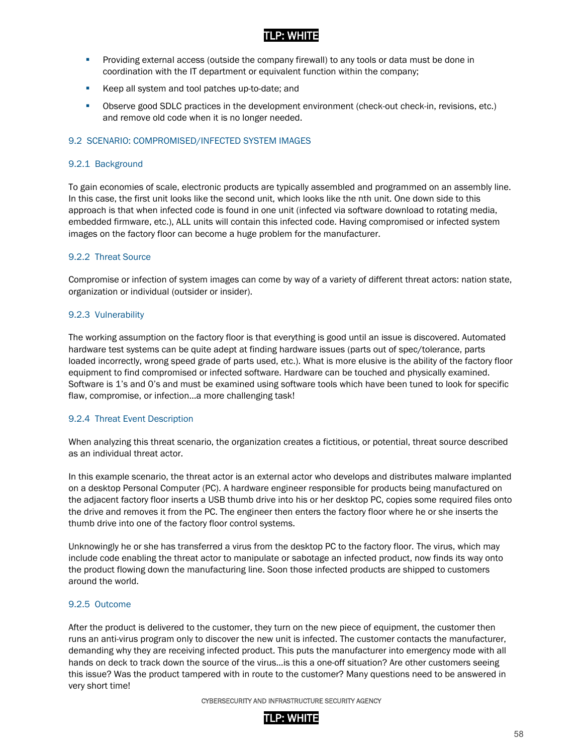- **Providing external access (outside the company firewall) to any tools or data must be done in** coordination with the IT department or equivalent function within the company;
- Keep all system and tool patches up-to-date; and
- Observe good SDLC practices in the development environment (check-out check-in, revisions, etc.) and remove old code when it is no longer needed.

## 9.2 SCENARIO: COMPROMISED/INFECTED SYSTEM IMAGES

## 9.2.1 Background

To gain economies of scale, electronic products are typically assembled and programmed on an assembly line. In this case, the first unit looks like the second unit, which looks like the nth unit. One down side to this approach is that when infected code is found in one unit (infected via software download to rotating media, embedded firmware, etc.), ALL units will contain this infected code. Having compromised or infected system images on the factory floor can become a huge problem for the manufacturer.

## 9.2.2 Threat Source

Compromise or infection of system images can come by way of a variety of different threat actors: nation state, organization or individual (outsider or insider).

## 9.2.3 Vulnerability

The working assumption on the factory floor is that everything is good until an issue is discovered. Automated hardware test systems can be quite adept at finding hardware issues (parts out of spec/tolerance, parts loaded incorrectly, wrong speed grade of parts used, etc.). What is more elusive is the ability of the factory floor equipment to find compromised or infected software. Hardware can be touched and physically examined. Software is 1's and 0's and must be examined using software tools which have been tuned to look for specific flaw, compromise, or infection…a more challenging task!

## 9.2.4 Threat Event Description

When analyzing this threat scenario, the organization creates a fictitious, or potential, threat source described as an individual threat actor.

In this example scenario, the threat actor is an external actor who develops and distributes malware implanted on a desktop Personal Computer (PC). A hardware engineer responsible for products being manufactured on the adjacent factory floor inserts a USB thumb drive into his or her desktop PC, copies some required files onto the drive and removes it from the PC. The engineer then enters the factory floor where he or she inserts the thumb drive into one of the factory floor control systems.

Unknowingly he or she has transferred a virus from the desktop PC to the factory floor. The virus, which may include code enabling the threat actor to manipulate or sabotage an infected product, now finds its way onto the product flowing down the manufacturing line. Soon those infected products are shipped to customers around the world.

## 9.2.5 Outcome

After the product is delivered to the customer, they turn on the new piece of equipment, the customer then runs an anti-virus program only to discover the new unit is infected. The customer contacts the manufacturer, demanding why they are receiving infected product. This puts the manufacturer into emergency mode with all hands on deck to track down the source of the virus…is this a one-off situation? Are other customers seeing this issue? Was the product tampered with in route to the customer? Many questions need to be answered in very short time!

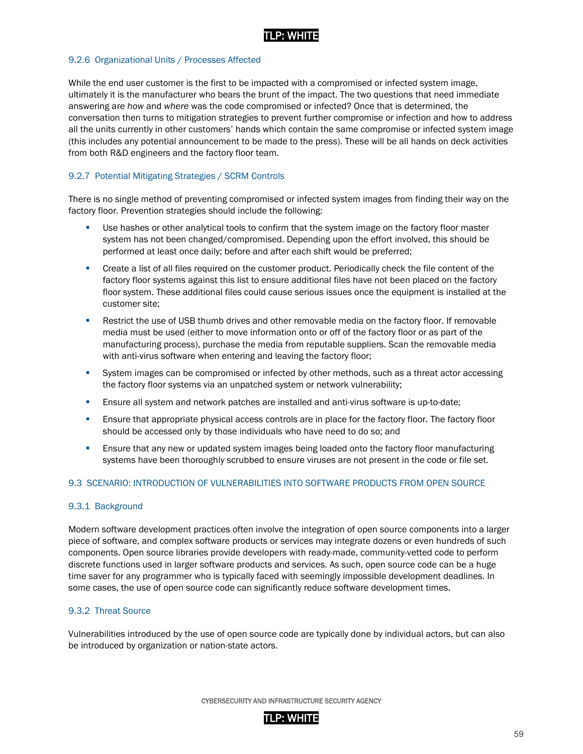## 9.2.6 Organizational Units / Processes Affected

While the end user customer is the first to be impacted with a compromised or infected system image, ultimately it is the manufacturer who bears the brunt of the impact. The two questions that need immediate answering are *how* and *where* was the code compromised or infected? Once that is determined, the conversation then turns to mitigation strategies to prevent further compromise or infection and how to address all the units currently in other customers' hands which contain the same compromise or infected system image (this includes any potential announcement to be made to the press). These will be all hands on deck activities from both R&D engineers and the factory floor team.

## 9.2.7 Potential Mitigating Strategies / SCRM Controls

There is no single method of preventing compromised or infected system images from finding their way on the factory floor. Prevention strategies should include the following:

- **Use hashes or other analytical tools to confirm that the system image on the factory floor master** system has not been changed/compromised. Depending upon the effort involved, this should be performed at least once daily; before and after each shift would be preferred;
- Create a list of all files required on the customer product. Periodically check the file content of the factory floor systems against this list to ensure additional files have not been placed on the factory floor system. These additional files could cause serious issues once the equipment is installed at the customer site;
- **Restrict the use of USB thumb drives and other removable media on the factory floor. If removable** media must be used (either to move information onto or off of the factory floor or as part of the manufacturing process), purchase the media from reputable suppliers. Scan the removable media with anti-virus software when entering and leaving the factory floor;
- System images can be compromised or infected by other methods, such as a threat actor accessing the factory floor systems via an unpatched system or network vulnerability;
- Ensure all system and network patches are installed and anti-virus software is up-to-date;
- **Ensure that appropriate physical access controls are in place for the factory floor. The factory floor** should be accessed only by those individuals who have need to do so; and
- **E** Ensure that any new or updated system images being loaded onto the factory floor manufacturing systems have been thoroughly scrubbed to ensure viruses are not present in the code or file set.

## 9.3 SCENARIO: INTRODUCTION OF VULNERABILITIES INTO SOFTWARE PRODUCTS FROM OPEN SOURCE

## 9.3.1 Background

Modern software development practices often involve the integration of open source components into a larger piece of software, and complex software products or services may integrate dozens or even hundreds of such components. Open source libraries provide developers with ready-made, community-vetted code to perform discrete functions used in larger software products and services. As such, open source code can be a huge time saver for any programmer who is typically faced with seemingly impossible development deadlines. In some cases, the use of open source code can significantly reduce software development times.

## 9.3.2 Threat Source

Vulnerabilities introduced by the use of open source code are typically done by individual actors, but can also be introduced by organization or nation-state actors.

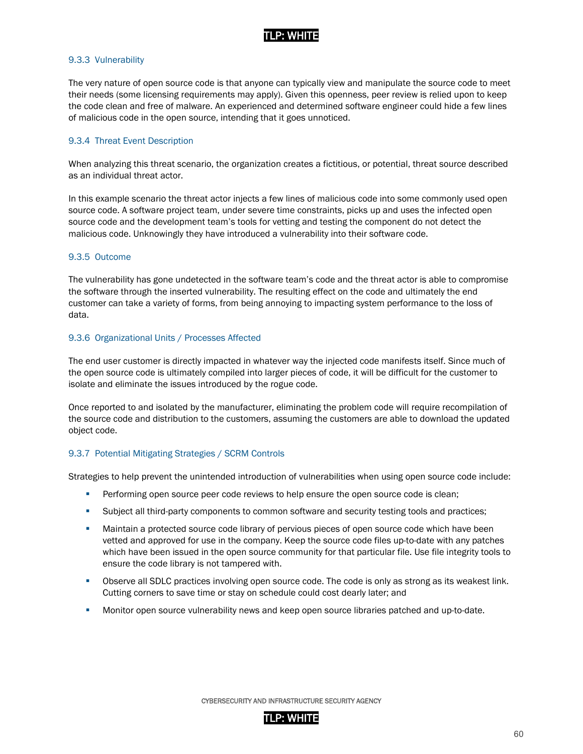#### 9.3.3 Vulnerability

The very nature of open source code is that anyone can typically view and manipulate the source code to meet their needs (some licensing requirements may apply). Given this openness, peer review is relied upon to keep the code clean and free of malware. An experienced and determined software engineer could hide a few lines of malicious code in the open source, intending that it goes unnoticed.

#### 9.3.4 Threat Event Description

When analyzing this threat scenario, the organization creates a fictitious, or potential, threat source described as an individual threat actor.

In this example scenario the threat actor injects a few lines of malicious code into some commonly used open source code. A software project team, under severe time constraints, picks up and uses the infected open source code and the development team's tools for vetting and testing the component do not detect the malicious code. Unknowingly they have introduced a vulnerability into their software code.

#### 9.3.5 Outcome

The vulnerability has gone undetected in the software team's code and the threat actor is able to compromise the software through the inserted vulnerability. The resulting effect on the code and ultimately the end customer can take a variety of forms, from being annoying to impacting system performance to the loss of data.

#### 9.3.6 Organizational Units / Processes Affected

The end user customer is directly impacted in whatever way the injected code manifests itself. Since much of the open source code is ultimately compiled into larger pieces of code, it will be difficult for the customer to isolate and eliminate the issues introduced by the rogue code.

Once reported to and isolated by the manufacturer, eliminating the problem code will require recompilation of the source code and distribution to the customers, assuming the customers are able to download the updated object code.

## 9.3.7 Potential Mitigating Strategies / SCRM Controls

Strategies to help prevent the unintended introduction of vulnerabilities when using open source code include:

- **Performing open source peer code reviews to help ensure the open source code is clean;**
- Subject all third-party components to common software and security testing tools and practices;
- **Maintain a protected source code library of pervious pieces of open source code which have been** vetted and approved for use in the company. Keep the source code files up-to-date with any patches which have been issued in the open source community for that particular file. Use file integrity tools to ensure the code library is not tampered with.
- Observe all SDLC practices involving open source code. The code is only as strong as its weakest link. Cutting corners to save time or stay on schedule could cost dearly later; and
- **Monitor open source vulnerability news and keep open source libraries patched and up-to-date.**

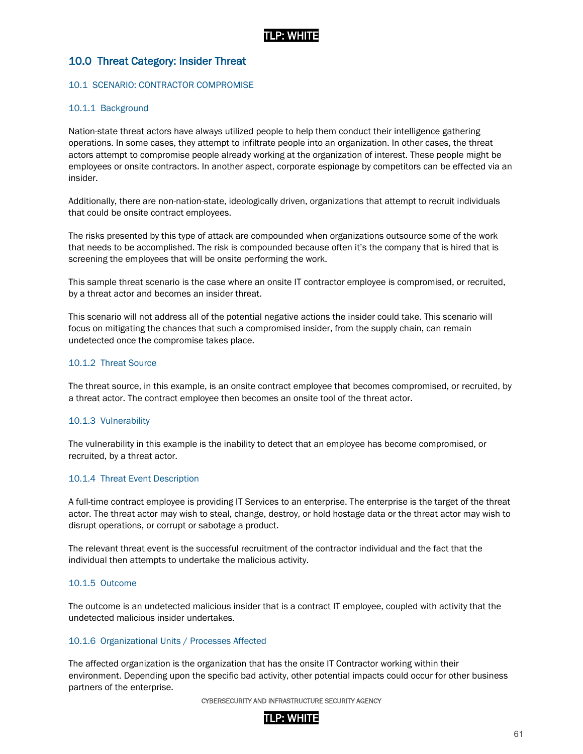## 10.0 Threat Category: Insider Threat

## 10.1 SCENARIO: CONTRACTOR COMPROMISE

## 10.1.1 Background

Nation-state threat actors have always utilized people to help them conduct their intelligence gathering operations. In some cases, they attempt to infiltrate people into an organization. In other cases, the threat actors attempt to compromise people already working at the organization of interest. These people might be employees or onsite contractors. In another aspect, corporate espionage by competitors can be effected via an insider.

Additionally, there are non-nation-state, ideologically driven, organizations that attempt to recruit individuals that could be onsite contract employees.

The risks presented by this type of attack are compounded when organizations outsource some of the work that needs to be accomplished. The risk is compounded because often it's the company that is hired that is screening the employees that will be onsite performing the work.

This sample threat scenario is the case where an onsite IT contractor employee is compromised, or recruited, by a threat actor and becomes an insider threat.

This scenario will not address all of the potential negative actions the insider could take. This scenario will focus on mitigating the chances that such a compromised insider, from the supply chain, can remain undetected once the compromise takes place.

#### 10.1.2 Threat Source

The threat source, in this example, is an onsite contract employee that becomes compromised, or recruited, by a threat actor. The contract employee then becomes an onsite tool of the threat actor.

#### 10.1.3 Vulnerability

The vulnerability in this example is the inability to detect that an employee has become compromised, or recruited, by a threat actor.

#### 10.1.4 Threat Event Description

A full-time contract employee is providing IT Services to an enterprise. The enterprise is the target of the threat actor. The threat actor may wish to steal, change, destroy, or hold hostage data or the threat actor may wish to disrupt operations, or corrupt or sabotage a product.

The relevant threat event is the successful recruitment of the contractor individual and the fact that the individual then attempts to undertake the malicious activity.

#### 10.1.5 Outcome

The outcome is an undetected malicious insider that is a contract IT employee, coupled with activity that the undetected malicious insider undertakes.

#### 10.1.6 Organizational Units / Processes Affected

The affected organization is the organization that has the onsite IT Contractor working within their environment. Depending upon the specific bad activity, other potential impacts could occur for other business partners of the enterprise.

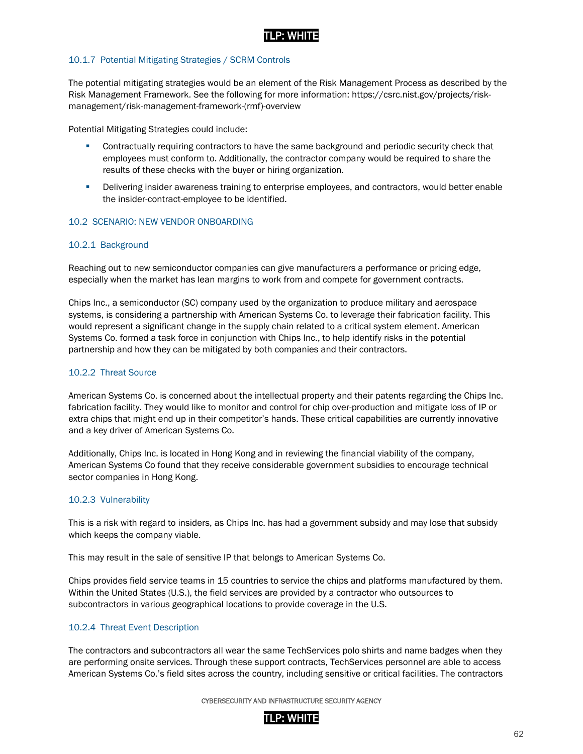## 10.1.7 Potential Mitigating Strategies / SCRM Controls

The potential mitigating strategies would be an element of the Risk Management Process as described by the Risk Management Framework. See the following for more information: https://csrc.nist.gov/projects/riskmanagement/risk-management-framework-(rmf)-overview

Potential Mitigating Strategies could include:

- **Contractually requiring contractors to have the same background and periodic security check that** employees must conform to. Additionally, the contractor company would be required to share the results of these checks with the buyer or hiring organization.
- **Delivering insider awareness training to enterprise employees, and contractors, would better enable** the insider-contract-employee to be identified.

#### 10.2 SCENARIO: NEW VENDOR ONBOARDING

#### 10.2.1 Background

Reaching out to new semiconductor companies can give manufacturers a performance or pricing edge, especially when the market has lean margins to work from and compete for government contracts.

Chips Inc., a semiconductor (SC) company used by the organization to produce military and aerospace systems, is considering a partnership with American Systems Co. to leverage their fabrication facility. This would represent a significant change in the supply chain related to a critical system element. American Systems Co. formed a task force in conjunction with Chips Inc., to help identify risks in the potential partnership and how they can be mitigated by both companies and their contractors.

#### 10.2.2 Threat Source

American Systems Co. is concerned about the intellectual property and their patents regarding the Chips Inc. fabrication facility. They would like to monitor and control for chip over-production and mitigate loss of IP or extra chips that might end up in their competitor's hands. These critical capabilities are currently innovative and a key driver of American Systems Co.

Additionally, Chips Inc. is located in Hong Kong and in reviewing the financial viability of the company, American Systems Co found that they receive considerable government subsidies to encourage technical sector companies in Hong Kong.

## 10.2.3 Vulnerability

This is a risk with regard to insiders, as Chips Inc. has had a government subsidy and may lose that subsidy which keeps the company viable.

This may result in the sale of sensitive IP that belongs to American Systems Co.

Chips provides field service teams in 15 countries to service the chips and platforms manufactured by them. Within the United States (U.S.), the field services are provided by a contractor who outsources to subcontractors in various geographical locations to provide coverage in the U.S.

## 10.2.4 Threat Event Description

The contractors and subcontractors all wear the same TechServices polo shirts and name badges when they are performing onsite services. Through these support contracts, TechServices personnel are able to access American Systems Co.'s field sites across the country, including sensitive or critical facilities. The contractors

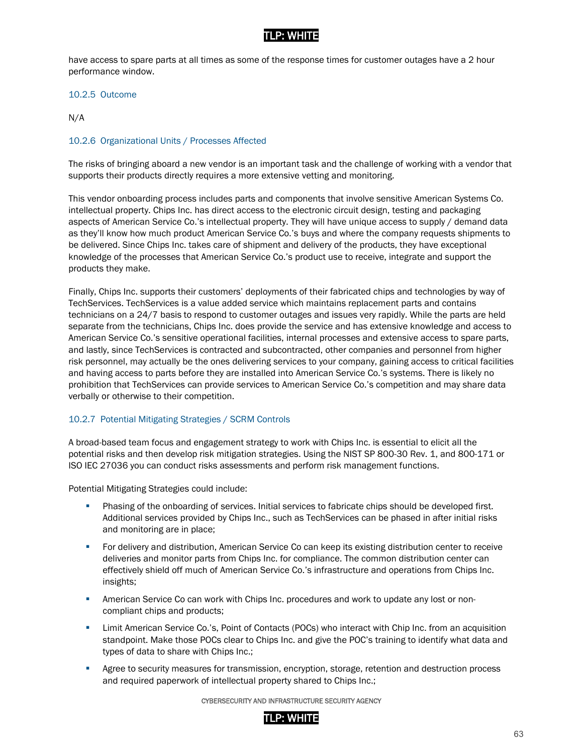have access to spare parts at all times as some of the response times for customer outages have a 2 hour performance window.

10.2.5 Outcome

N/A

## 10.2.6 Organizational Units / Processes Affected

The risks of bringing aboard a new vendor is an important task and the challenge of working with a vendor that supports their products directly requires a more extensive vetting and monitoring.

This vendor onboarding process includes parts and components that involve sensitive American Systems Co. intellectual property. Chips Inc. has direct access to the electronic circuit design, testing and packaging aspects of American Service Co.'s intellectual property. They will have unique access to supply / demand data as they'll know how much product American Service Co.'s buys and where the company requests shipments to be delivered. Since Chips Inc. takes care of shipment and delivery of the products, they have exceptional knowledge of the processes that American Service Co.'s product use to receive, integrate and support the products they make.

Finally, Chips Inc. supports their customers' deployments of their fabricated chips and technologies by way of TechServices. TechServices is a value added service which maintains replacement parts and contains technicians on a 24/7 basis to respond to customer outages and issues very rapidly. While the parts are held separate from the technicians, Chips Inc. does provide the service and has extensive knowledge and access to American Service Co.'s sensitive operational facilities, internal processes and extensive access to spare parts, and lastly, since TechServices is contracted and subcontracted, other companies and personnel from higher risk personnel, may actually be the ones delivering services to your company, gaining access to critical facilities and having access to parts before they are installed into American Service Co.'s systems. There is likely no prohibition that TechServices can provide services to American Service Co.'s competition and may share data verbally or otherwise to their competition.

## 10.2.7 Potential Mitigating Strategies / SCRM Controls

A broad-based team focus and engagement strategy to work with Chips Inc. is essential to elicit all the potential risks and then develop risk mitigation strategies. Using the NIST SP 800-30 Rev. 1, and 800-171 or ISO IEC 27036 you can conduct risks assessments and perform risk management functions.

Potential Mitigating Strategies could include:

- Phasing of the onboarding of services. Initial services to fabricate chips should be developed first. Additional services provided by Chips Inc., such as TechServices can be phased in after initial risks and monitoring are in place;
- For delivery and distribution, American Service Co can keep its existing distribution center to receive deliveries and monitor parts from Chips Inc. for compliance. The common distribution center can effectively shield off much of American Service Co.'s infrastructure and operations from Chips Inc. insights;
- **American Service Co can work with Chips Inc. procedures and work to update any lost or non**compliant chips and products;
- **EXECT 1** Limit American Service Co.'s, Point of Contacts (POCs) who interact with Chip Inc. from an acquisition standpoint. Make those POCs clear to Chips Inc. and give the POC's training to identify what data and types of data to share with Chips Inc.;
- **Agree to security measures for transmission, encryption, storage, retention and destruction process** and required paperwork of intellectual property shared to Chips Inc.;

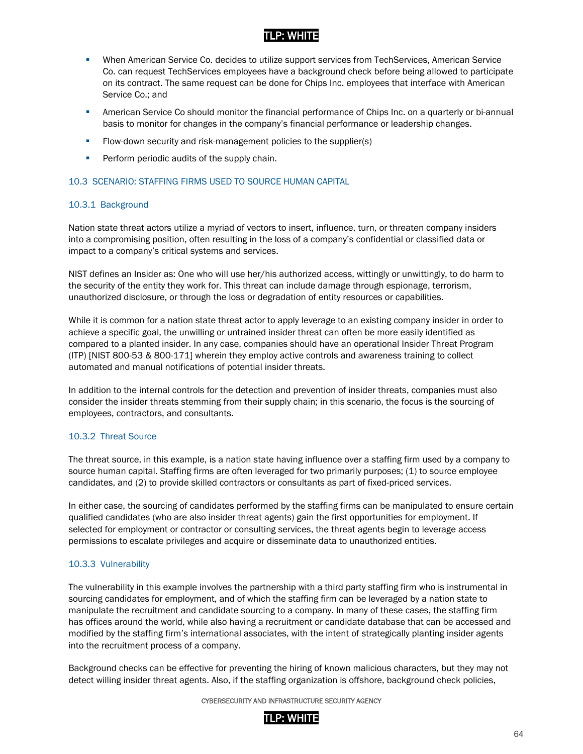- When American Service Co. decides to utilize support services from TechServices, American Service Co. can request TechServices employees have a background check before being allowed to participate on its contract. The same request can be done for Chips Inc. employees that interface with American Service Co.; and
- American Service Co should monitor the financial performance of Chips Inc. on a quarterly or bi-annual basis to monitor for changes in the company's financial performance or leadership changes.
- **Flow-down security and risk-management policies to the supplier(s)**
- **Perform periodic audits of the supply chain.**

## 10.3 SCENARIO: STAFFING FIRMS USED TO SOURCE HUMAN CAPITAL

#### 10.3.1 Background

Nation state threat actors utilize a myriad of vectors to insert, influence, turn, or threaten company insiders into a compromising position, often resulting in the loss of a company's confidential or classified data or impact to a company's critical systems and services.

NIST defines an Insider as: One who will use her/his authorized access, wittingly or unwittingly, to do harm to the security of the entity they work for. This threat can include damage through espionage, terrorism, unauthorized disclosure, or through the loss or degradation of entity resources or capabilities.

While it is common for a nation state threat actor to apply leverage to an existing company insider in order to achieve a specific goal, the unwilling or untrained insider threat can often be more easily identified as compared to a planted insider. In any case, companies should have an operational Insider Threat Program (ITP) [NIST 800-53 & 800-171] wherein they employ active controls and awareness training to collect automated and manual notifications of potential insider threats.

In addition to the internal controls for the detection and prevention of insider threats, companies must also consider the insider threats stemming from their supply chain; in this scenario, the focus is the sourcing of employees, contractors, and consultants.

#### 10.3.2 Threat Source

The threat source, in this example, is a nation state having influence over a staffing firm used by a company to source human capital. Staffing firms are often leveraged for two primarily purposes; (1) to source employee candidates, and (2) to provide skilled contractors or consultants as part of fixed-priced services.

In either case, the sourcing of candidates performed by the staffing firms can be manipulated to ensure certain qualified candidates (who are also insider threat agents) gain the first opportunities for employment. If selected for employment or contractor or consulting services, the threat agents begin to leverage access permissions to escalate privileges and acquire or disseminate data to unauthorized entities.

## 10.3.3 Vulnerability

The vulnerability in this example involves the partnership with a third party staffing firm who is instrumental in sourcing candidates for employment, and of which the staffing firm can be leveraged by a nation state to manipulate the recruitment and candidate sourcing to a company. In many of these cases, the staffing firm has offices around the world, while also having a recruitment or candidate database that can be accessed and modified by the staffing firm's international associates, with the intent of strategically planting insider agents into the recruitment process of a company.

Background checks can be effective for preventing the hiring of known malicious characters, but they may not detect willing insider threat agents. Also, if the staffing organization is offshore, background check policies,

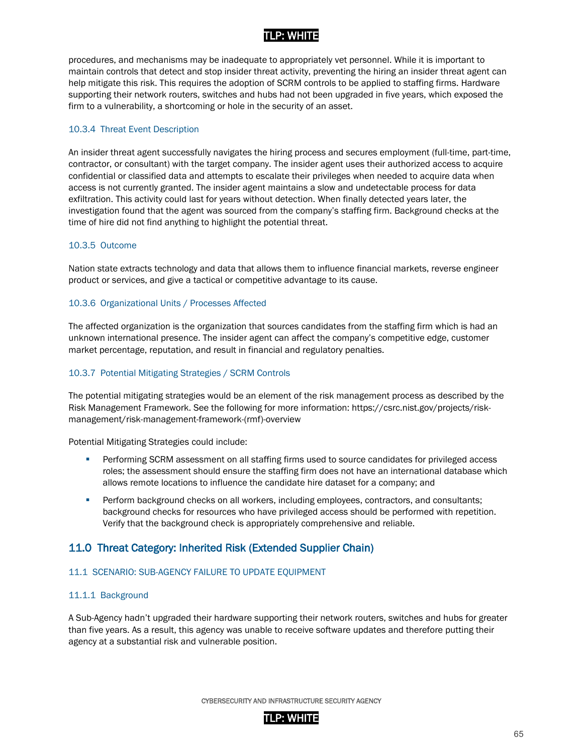procedures, and mechanisms may be inadequate to appropriately vet personnel. While it is important to maintain controls that detect and stop insider threat activity, preventing the hiring an insider threat agent can help mitigate this risk. This requires the adoption of SCRM controls to be applied to staffing firms. Hardware supporting their network routers, switches and hubs had not been upgraded in five years, which exposed the firm to a vulnerability, a shortcoming or hole in the security of an asset.

## 10.3.4 Threat Event Description

An insider threat agent successfully navigates the hiring process and secures employment (full-time, part-time, contractor, or consultant) with the target company. The insider agent uses their authorized access to acquire confidential or classified data and attempts to escalate their privileges when needed to acquire data when access is not currently granted. The insider agent maintains a slow and undetectable process for data exfiltration. This activity could last for years without detection. When finally detected years later, the investigation found that the agent was sourced from the company's staffing firm. Background checks at the time of hire did not find anything to highlight the potential threat.

#### 10.3.5 Outcome

Nation state extracts technology and data that allows them to influence financial markets, reverse engineer product or services, and give a tactical or competitive advantage to its cause.

#### 10.3.6 Organizational Units / Processes Affected

The affected organization is the organization that sources candidates from the staffing firm which is had an unknown international presence. The insider agent can affect the company's competitive edge, customer market percentage, reputation, and result in financial and regulatory penalties.

#### 10.3.7 Potential Mitigating Strategies / SCRM Controls

The potential mitigating strategies would be an element of the risk management process as described by the Risk Management Framework. See the following for more information: https://csrc.nist.gov/projects/riskmanagement/risk-management-framework-(rmf)-overview

Potential Mitigating Strategies could include:

- **Performing SCRM assessment on all staffing firms used to source candidates for privileged access** roles; the assessment should ensure the staffing firm does not have an international database which allows remote locations to influence the candidate hire dataset for a company; and
- **Perform background checks on all workers, including employees, contractors, and consultants;** background checks for resources who have privileged access should be performed with repetition. Verify that the background check is appropriately comprehensive and reliable.

## 11.0 Threat Category: Inherited Risk (Extended Supplier Chain)

## 11.1 SCENARIO: SUB-AGENCY FAILURE TO UPDATE EQUIPMENT

## 11.1.1 Background

A Sub-Agency hadn't upgraded their hardware supporting their network routers, switches and hubs for greater than five years. As a result, this agency was unable to receive software updates and therefore putting their agency at a substantial risk and vulnerable position.

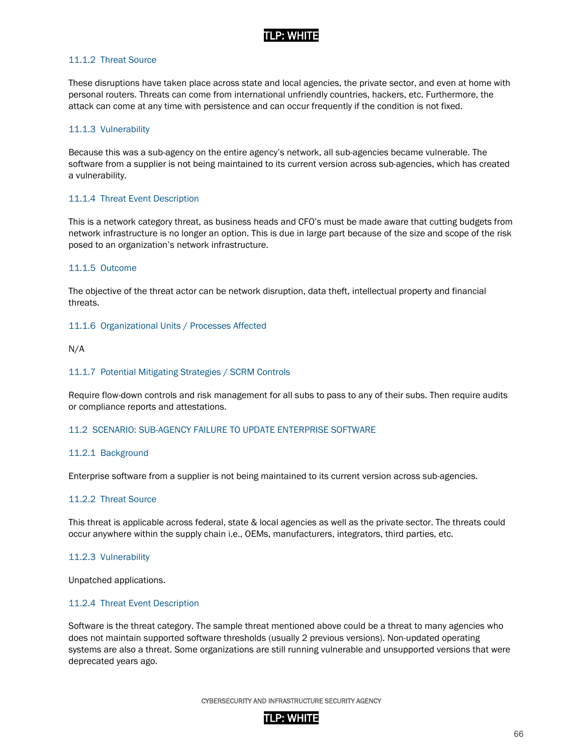#### 11.1.2 Threat Source

These disruptions have taken place across state and local agencies, the private sector, and even at home with personal routers. Threats can come from international unfriendly countries, hackers, etc. Furthermore, the attack can come at any time with persistence and can occur frequently if the condition is not fixed.

#### 11.1.3 Vulnerability

Because this was a sub-agency on the entire agency's network, all sub-agencies became vulnerable. The software from a supplier is not being maintained to its current version across sub-agencies, which has created a vulnerability.

#### 11.1.4 Threat Event Description

This is a network category threat, as business heads and CFO's must be made aware that cutting budgets from network infrastructure is no longer an option. This is due in large part because of the size and scope of the risk posed to an organization's network infrastructure.

#### 11.1.5 Outcome

The objective of the threat actor can be network disruption, data theft, intellectual property and financial threats.

#### 11.1.6 Organizational Units / Processes Affected

N/A

#### 11.1.7 Potential Mitigating Strategies / SCRM Controls

Require flow-down controls and risk management for all subs to pass to any of their subs. Then require audits or compliance reports and attestations.

#### 11.2 SCENARIO: SUB-AGENCY FAILURE TO UPDATE ENTERPRISE SOFTWARE

#### 11.2.1 Background

Enterprise software from a supplier is not being maintained to its current version across sub-agencies.

#### 11.2.2 Threat Source

This threat is applicable across federal, state & local agencies as well as the private sector. The threats could occur anywhere within the supply chain i.e., OEMs, manufacturers, integrators, third parties, etc.

#### 11.2.3 Vulnerability

Unpatched applications.

#### 11.2.4 Threat Event Description

Software is the threat category. The sample threat mentioned above could be a threat to many agencies who does not maintain supported software thresholds (usually 2 previous versions). Non-updated operating systems are also a threat. Some organizations are still running vulnerable and unsupported versions that were deprecated years ago.

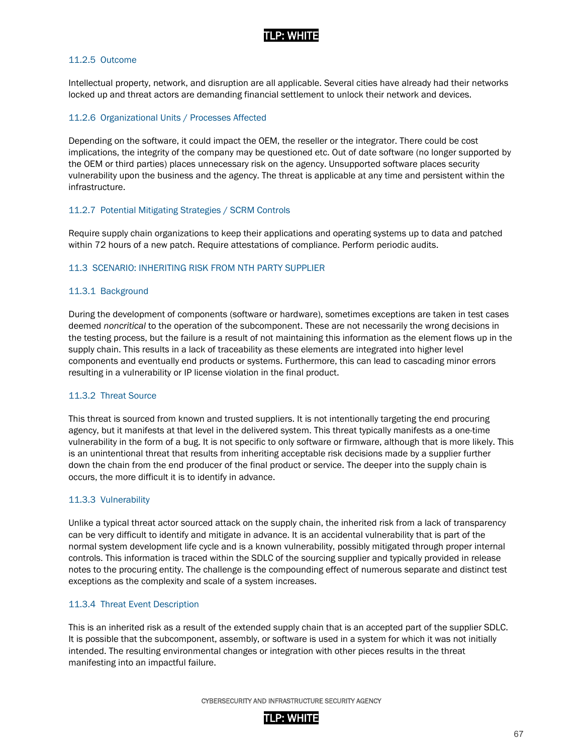#### 11.2.5 Outcome

Intellectual property, network, and disruption are all applicable. Several cities have already had their networks locked up and threat actors are demanding financial settlement to unlock their network and devices.

## 11.2.6 Organizational Units / Processes Affected

Depending on the software, it could impact the OEM, the reseller or the integrator. There could be cost implications, the integrity of the company may be questioned etc. Out of date software (no longer supported by the OEM or third parties) places unnecessary risk on the agency. Unsupported software places security vulnerability upon the business and the agency. The threat is applicable at any time and persistent within the infrastructure.

## 11.2.7 Potential Mitigating Strategies / SCRM Controls

Require supply chain organizations to keep their applications and operating systems up to data and patched within 72 hours of a new patch. Require attestations of compliance. Perform periodic audits.

#### 11.3 SCENARIO: INHERITING RISK FROM NTH PARTY SUPPLIER

#### 11.3.1 Background

During the development of components (software or hardware), sometimes exceptions are taken in test cases deemed *noncritical* to the operation of the subcomponent. These are not necessarily the wrong decisions in the testing process, but the failure is a result of not maintaining this information as the element flows up in the supply chain. This results in a lack of traceability as these elements are integrated into higher level components and eventually end products or systems. Furthermore, this can lead to cascading minor errors resulting in a vulnerability or IP license violation in the final product.

#### 11.3.2 Threat Source

This threat is sourced from known and trusted suppliers. It is not intentionally targeting the end procuring agency, but it manifests at that level in the delivered system. This threat typically manifests as a one-time vulnerability in the form of a bug. It is not specific to only software or firmware, although that is more likely. This is an unintentional threat that results from inheriting acceptable risk decisions made by a supplier further down the chain from the end producer of the final product or service. The deeper into the supply chain is occurs, the more difficult it is to identify in advance.

## 11.3.3 Vulnerability

Unlike a typical threat actor sourced attack on the supply chain, the inherited risk from a lack of transparency can be very difficult to identify and mitigate in advance. It is an accidental vulnerability that is part of the normal system development life cycle and is a known vulnerability, possibly mitigated through proper internal controls. This information is traced within the SDLC of the sourcing supplier and typically provided in release notes to the procuring entity. The challenge is the compounding effect of numerous separate and distinct test exceptions as the complexity and scale of a system increases.

#### 11.3.4 Threat Event Description

This is an inherited risk as a result of the extended supply chain that is an accepted part of the supplier SDLC. It is possible that the subcomponent, assembly, or software is used in a system for which it was not initially intended. The resulting environmental changes or integration with other pieces results in the threat manifesting into an impactful failure.

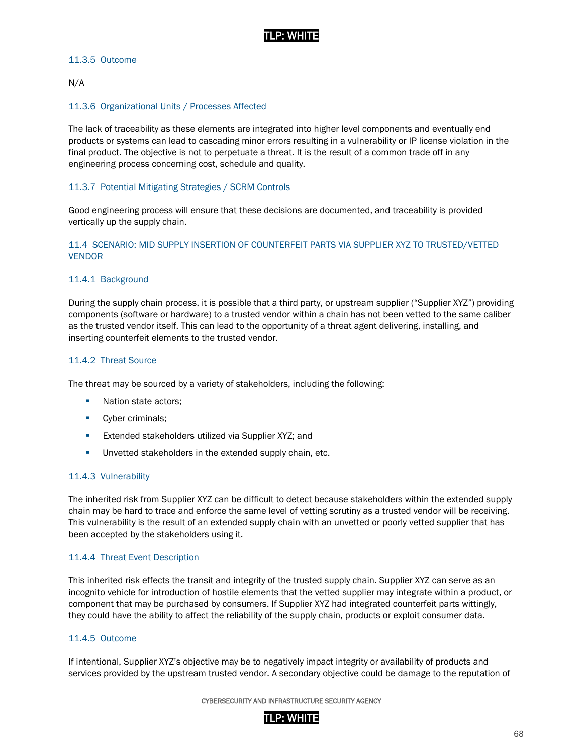### 11.3.5 Outcome

## N/A

## 11.3.6 Organizational Units / Processes Affected

The lack of traceability as these elements are integrated into higher level components and eventually end products or systems can lead to cascading minor errors resulting in a vulnerability or IP license violation in the final product. The objective is not to perpetuate a threat. It is the result of a common trade off in any engineering process concerning cost, schedule and quality.

#### 11.3.7 Potential Mitigating Strategies / SCRM Controls

Good engineering process will ensure that these decisions are documented, and traceability is provided vertically up the supply chain.

## 11.4 SCENARIO: MID SUPPLY INSERTION OF COUNTERFEIT PARTS VIA SUPPLIER XYZ TO TRUSTED/VETTED VENDOR

#### 11.4.1 Background

During the supply chain process, it is possible that a third party, or upstream supplier ("Supplier XYZ") providing components (software or hardware) to a trusted vendor within a chain has not been vetted to the same caliber as the trusted vendor itself. This can lead to the opportunity of a threat agent delivering, installing, and inserting counterfeit elements to the trusted vendor.

### 11.4.2 Threat Source

The threat may be sourced by a variety of stakeholders, including the following:

- Nation state actors;
- Cyber criminals;
- **Extended stakeholders utilized via Supplier XYZ; and**
- **Unvetted stakeholders in the extended supply chain, etc.**

#### 11.4.3 Vulnerability

The inherited risk from Supplier XYZ can be difficult to detect because stakeholders within the extended supply chain may be hard to trace and enforce the same level of vetting scrutiny as a trusted vendor will be receiving. This vulnerability is the result of an extended supply chain with an unvetted or poorly vetted supplier that has been accepted by the stakeholders using it.

#### 11.4.4 Threat Event Description

This inherited risk effects the transit and integrity of the trusted supply chain. Supplier XYZ can serve as an incognito vehicle for introduction of hostile elements that the vetted supplier may integrate within a product, or component that may be purchased by consumers. If Supplier XYZ had integrated counterfeit parts wittingly, they could have the ability to affect the reliability of the supply chain, products or exploit consumer data.

#### 11.4.5 Outcome

If intentional, Supplier XYZ's objective may be to negatively impact integrity or availability of products and services provided by the upstream trusted vendor. A secondary objective could be damage to the reputation of

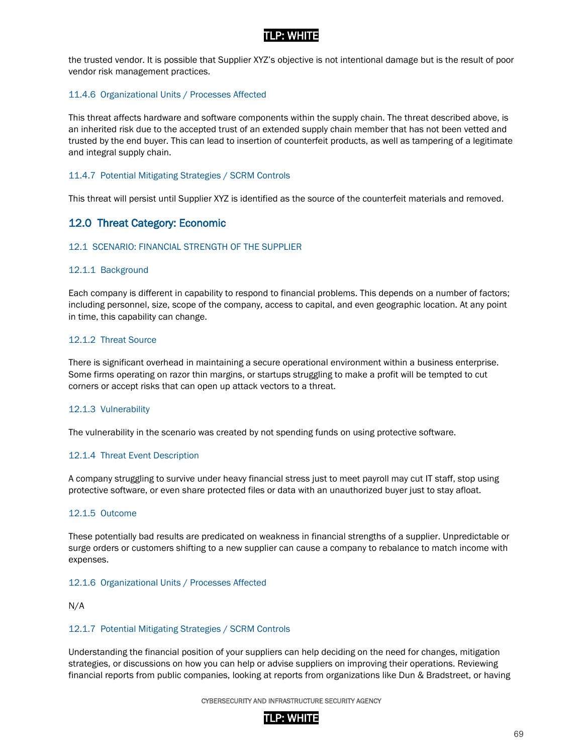the trusted vendor. It is possible that Supplier XYZ's objective is not intentional damage but is the result of poor vendor risk management practices.

## 11.4.6 Organizational Units / Processes Affected

This threat affects hardware and software components within the supply chain. The threat described above, is an inherited risk due to the accepted trust of an extended supply chain member that has not been vetted and trusted by the end buyer. This can lead to insertion of counterfeit products, as well as tampering of a legitimate and integral supply chain.

## 11.4.7 Potential Mitigating Strategies / SCRM Controls

This threat will persist until Supplier XYZ is identified as the source of the counterfeit materials and removed.

## 12.0 Threat Category: Economic

### 12.1 SCENARIO: FINANCIAL STRENGTH OF THE SUPPLIER

### 12.1.1 Background

Each company is different in capability to respond to financial problems. This depends on a number of factors; including personnel, size, scope of the company, access to capital, and even geographic location. At any point in time, this capability can change.

### 12.1.2 Threat Source

There is significant overhead in maintaining a secure operational environment within a business enterprise. Some firms operating on razor thin margins, or startups struggling to make a profit will be tempted to cut corners or accept risks that can open up attack vectors to a threat.

## 12.1.3 Vulnerability

The vulnerability in the scenario was created by not spending funds on using protective software.

## 12.1.4 Threat Event Description

A company struggling to survive under heavy financial stress just to meet payroll may cut IT staff, stop using protective software, or even share protected files or data with an unauthorized buyer just to stay afloat.

## 12.1.5 Outcome

These potentially bad results are predicated on weakness in financial strengths of a supplier. Unpredictable or surge orders or customers shifting to a new supplier can cause a company to rebalance to match income with expenses.

#### 12.1.6 Organizational Units / Processes Affected

N/A

## 12.1.7 Potential Mitigating Strategies / SCRM Controls

Understanding the financial position of your suppliers can help deciding on the need for changes, mitigation strategies, or discussions on how you can help or advise suppliers on improving their operations. Reviewing financial reports from public companies, looking at reports from organizations like Dun & Bradstreet, or having

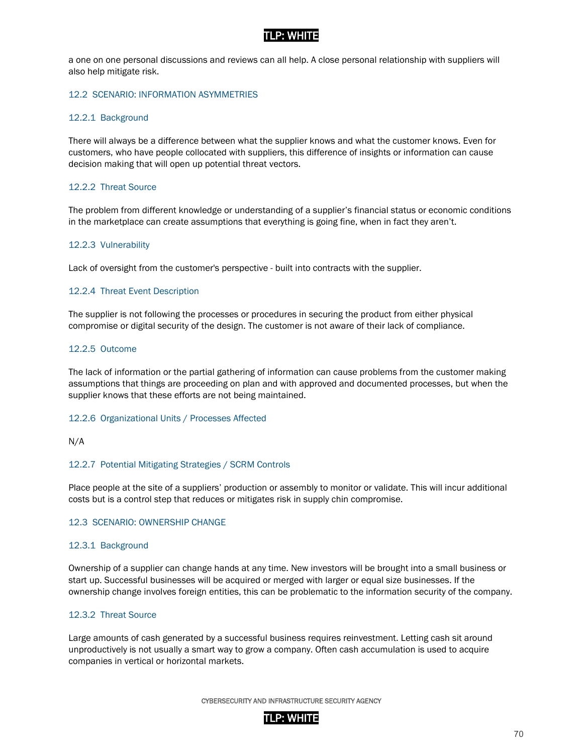a one on one personal discussions and reviews can all help. A close personal relationship with suppliers will also help mitigate risk.

## 12.2 SCENARIO: INFORMATION ASYMMETRIES

## 12.2.1 Background

There will always be a difference between what the supplier knows and what the customer knows. Even for customers, who have people collocated with suppliers, this difference of insights or information can cause decision making that will open up potential threat vectors.

## 12.2.2.2 Threat Source

The problem from different knowledge or understanding of a supplier's financial status or economic conditions in the marketplace can create assumptions that everything is going fine, when in fact they aren't.

### 12.2.3 Vulnerability

Lack of oversight from the customer's perspective - built into contracts with the supplier.

### 12.2.4 Threat Event Description

The supplier is not following the processes or procedures in securing the product from either physical compromise or digital security of the design. The customer is not aware of their lack of compliance.

#### 12.2.5 Outcome

The lack of information or the partial gathering of information can cause problems from the customer making assumptions that things are proceeding on plan and with approved and documented processes, but when the supplier knows that these efforts are not being maintained.

#### 12.2.6 Organizational Units / Processes Affected

N/A

## 12.2.7 Potential Mitigating Strategies / SCRM Controls

Place people at the site of a suppliers' production or assembly to monitor or validate. This will incur additional costs but is a control step that reduces or mitigates risk in supply chin compromise.

#### 12.3 SCENARIO: OWNERSHIP CHANGE

#### 12.3.1 Background

Ownership of a supplier can change hands at any time. New investors will be brought into a small business or start up. Successful businesses will be acquired or merged with larger or equal size businesses. If the ownership change involves foreign entities, this can be problematic to the information security of the company.

#### 12.3.2 Threat Source

Large amounts of cash generated by a successful business requires reinvestment. Letting cash sit around unproductively is not usually a smart way to grow a company. Often cash accumulation is used to acquire companies in vertical or horizontal markets.

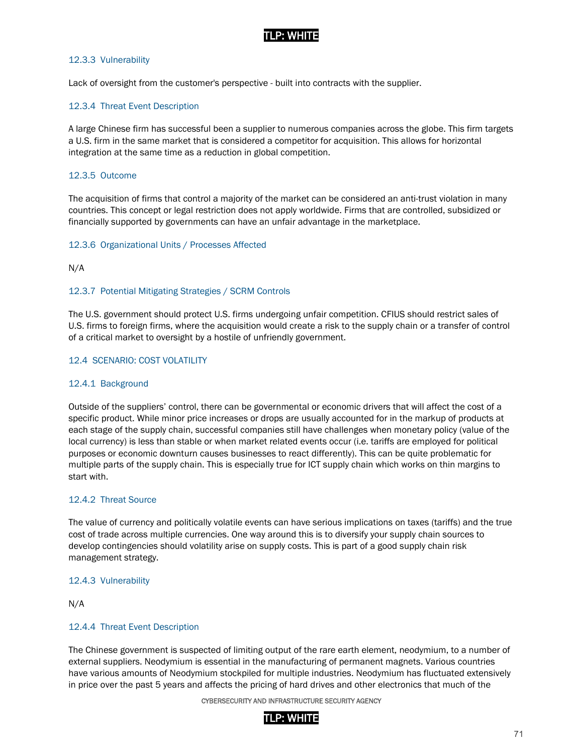### 12.3.3 Vulnerability

Lack of oversight from the customer's perspective - built into contracts with the supplier.

## 12.3.4 Threat Event Description

A large Chinese firm has successful been a supplier to numerous companies across the globe. This firm targets a U.S. firm in the same market that is considered a competitor for acquisition. This allows for horizontal integration at the same time as a reduction in global competition.

## 12.3.5 Outcome

The acquisition of firms that control a majority of the market can be considered an anti-trust violation in many countries. This concept or legal restriction does not apply worldwide. Firms that are controlled, subsidized or financially supported by governments can have an unfair advantage in the marketplace.

### 12.3.6 Organizational Units / Processes Affected

N/A

### 12.3.7 Potential Mitigating Strategies / SCRM Controls

The U.S. government should protect U.S. firms undergoing unfair competition. CFIUS should restrict sales of U.S. firms to foreign firms, where the acquisition would create a risk to the supply chain or a transfer of control of a critical market to oversight by a hostile of unfriendly government.

### 12.4 SCENARIO: COST VOLATILITY

#### 12.4.1 Background

Outside of the suppliers' control, there can be governmental or economic drivers that will affect the cost of a specific product. While minor price increases or drops are usually accounted for in the markup of products at each stage of the supply chain, successful companies still have challenges when monetary policy (value of the local currency) is less than stable or when market related events occur (i.e. tariffs are employed for political purposes or economic downturn causes businesses to react differently). This can be quite problematic for multiple parts of the supply chain. This is especially true for ICT supply chain which works on thin margins to start with.

#### 12.4.2 Threat Source

The value of currency and politically volatile events can have serious implications on taxes (tariffs) and the true cost of trade across multiple currencies. One way around this is to diversify your supply chain sources to develop contingencies should volatility arise on supply costs. This is part of a good supply chain risk management strategy.

#### 12.4.3 Vulnerability

N/A

#### 12.4.4 Threat Event Description

The Chinese government is suspected of limiting output of the rare earth element, neodymium, to a number of external suppliers. Neodymium is essential in the manufacturing of permanent magnets. Various countries have various amounts of Neodymium stockpiled for multiple industries. Neodymium has fluctuated extensively in price over the past 5 years and affects the pricing of hard drives and other electronics that much of the

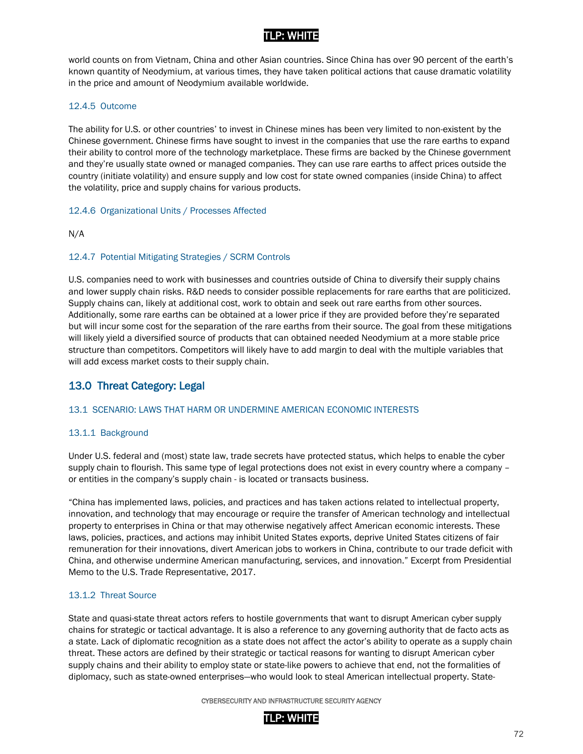world counts on from Vietnam, China and other Asian countries. Since China has over 90 percent of the earth's known quantity of Neodymium, at various times, they have taken political actions that cause dramatic volatility in the price and amount of Neodymium available worldwide.

## 12.4.5 Outcome

The ability for U.S. or other countries' to invest in Chinese mines has been very limited to non-existent by the Chinese government. Chinese firms have sought to invest in the companies that use the rare earths to expand their ability to control more of the technology marketplace. These firms are backed by the Chinese government and they're usually state owned or managed companies. They can use rare earths to affect prices outside the country (initiate volatility) and ensure supply and low cost for state owned companies (inside China) to affect the volatility, price and supply chains for various products.

## 12.4.6 Organizational Units / Processes Affected

### N/A

## 12.4.7 Potential Mitigating Strategies / SCRM Controls

U.S. companies need to work with businesses and countries outside of China to diversify their supply chains and lower supply chain risks. R&D needs to consider possible replacements for rare earths that are politicized. Supply chains can, likely at additional cost, work to obtain and seek out rare earths from other sources. Additionally, some rare earths can be obtained at a lower price if they are provided before they're separated but will incur some cost for the separation of the rare earths from their source. The goal from these mitigations will likely yield a diversified source of products that can obtained needed Neodymium at a more stable price structure than competitors. Competitors will likely have to add margin to deal with the multiple variables that will add excess market costs to their supply chain.

## 13.0 Threat Category: Legal

## 13.1 SCENARIO: LAWS THAT HARM OR UNDERMINE AMERICAN ECONOMIC INTERESTS

## 13.1.1 Background

Under U.S. federal and (most) state law, trade secrets have protected status, which helps to enable the cyber supply chain to flourish. This same type of legal protections does not exist in every country where a company – or entities in the company's supply chain - is located or transacts business.

"China has implemented laws, policies, and practices and has taken actions related to intellectual property, innovation, and technology that may encourage or require the transfer of American technology and intellectual property to enterprises in China or that may otherwise negatively affect American economic interests. These laws, policies, practices, and actions may inhibit United States exports, deprive United States citizens of fair remuneration for their innovations, divert American jobs to workers in China, contribute to our trade deficit with China, and otherwise undermine American manufacturing, services, and innovation." Excerpt from Presidential Memo to the U.S. Trade Representative, 2017.

## 13.1.2 Threat Source

State and quasi-state threat actors refers to hostile governments that want to disrupt American cyber supply chains for strategic or tactical advantage. It is also a reference to any governing authority that de facto acts as a state. Lack of diplomatic recognition as a state does not affect the actor's ability to operate as a supply chain threat. These actors are defined by their strategic or tactical reasons for wanting to disrupt American cyber supply chains and their ability to employ state or state-like powers to achieve that end, not the formalities of diplomacy, such as state-owned enterprises—who would look to steal American intellectual property. State-

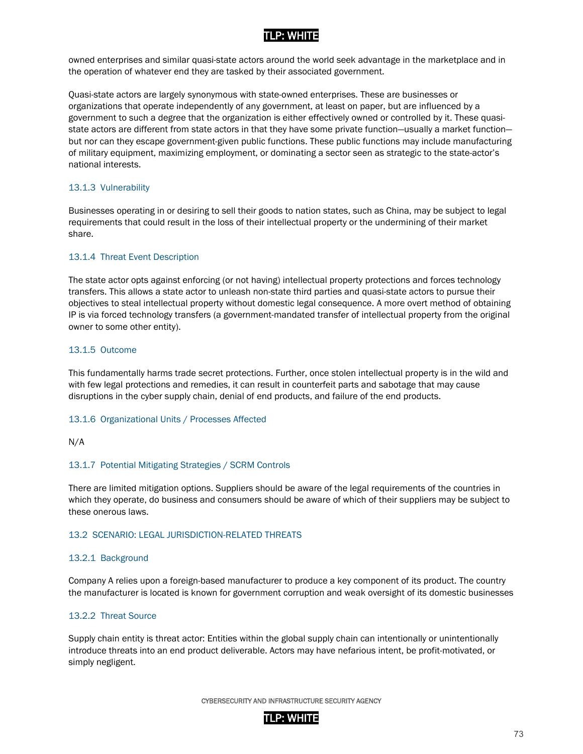owned enterprises and similar quasi-state actors around the world seek advantage in the marketplace and in the operation of whatever end they are tasked by their associated government.

Quasi-state actors are largely synonymous with state-owned enterprises. These are businesses or organizations that operate independently of any government, at least on paper, but are influenced by a government to such a degree that the organization is either effectively owned or controlled by it. These quasistate actors are different from state actors in that they have some private function—usually a market function but nor can they escape government-given public functions. These public functions may include manufacturing of military equipment, maximizing employment, or dominating a sector seen as strategic to the state-actor's national interests.

## 13.1.3 Vulnerability

Businesses operating in or desiring to sell their goods to nation states, such as China, may be subject to legal requirements that could result in the loss of their intellectual property or the undermining of their market share.

## 13.1.4 Threat Event Description

The state actor opts against enforcing (or not having) intellectual property protections and forces technology transfers. This allows a state actor to unleash non-state third parties and quasi-state actors to pursue their objectives to steal intellectual property without domestic legal consequence. A more overt method of obtaining IP is via forced technology transfers (a government-mandated transfer of intellectual property from the original owner to some other entity).

## 13.1.5 Outcome

This fundamentally harms trade secret protections. Further, once stolen intellectual property is in the wild and with few legal protections and remedies, it can result in counterfeit parts and sabotage that may cause disruptions in the cyber supply chain, denial of end products, and failure of the end products.

## 13.1.6 Organizational Units / Processes Affected

N/A

## 13.1.7 Potential Mitigating Strategies / SCRM Controls

There are limited mitigation options. Suppliers should be aware of the legal requirements of the countries in which they operate, do business and consumers should be aware of which of their suppliers may be subject to these onerous laws.

## 13.2 SCENARIO: LEGAL JURISDICTION-RELATED THREATS

## 13.2.1 Background

Company A relies upon a foreign-based manufacturer to produce a key component of its product. The country the manufacturer is located is known for government corruption and weak oversight of its domestic businesses

## 13.2.2 Threat Source

Supply chain entity is threat actor: Entities within the global supply chain can intentionally or unintentionally introduce threats into an end product deliverable. Actors may have nefarious intent, be profit-motivated, or simply negligent.

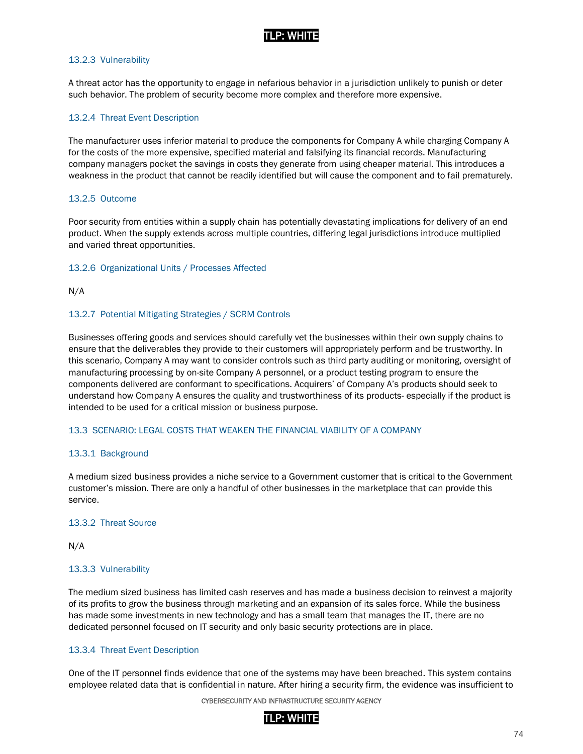## 13.2.3 Vulnerability

A threat actor has the opportunity to engage in nefarious behavior in a jurisdiction unlikely to punish or deter such behavior. The problem of security become more complex and therefore more expensive.

## 13.2.4 Threat Event Description

The manufacturer uses inferior material to produce the components for Company A while charging Company A for the costs of the more expensive, specified material and falsifying its financial records. Manufacturing company managers pocket the savings in costs they generate from using cheaper material. This introduces a weakness in the product that cannot be readily identified but will cause the component and to fail prematurely.

### 13.2.5 Outcome

Poor security from entities within a supply chain has potentially devastating implications for delivery of an end product. When the supply extends across multiple countries, differing legal jurisdictions introduce multiplied and varied threat opportunities.

### 13.2.6 Organizational Units / Processes Affected

N/A

### 13.2.7 Potential Mitigating Strategies / SCRM Controls

Businesses offering goods and services should carefully vet the businesses within their own supply chains to ensure that the deliverables they provide to their customers will appropriately perform and be trustworthy. In this scenario, Company A may want to consider controls such as third party auditing or monitoring, oversight of manufacturing processing by on-site Company A personnel, or a product testing program to ensure the components delivered are conformant to specifications. Acquirers' of Company A's products should seek to understand how Company A ensures the quality and trustworthiness of its products- especially if the product is intended to be used for a critical mission or business purpose.

## 13.3 SCENARIO: LEGAL COSTS THAT WEAKEN THE FINANCIAL VIABILITY OF A COMPANY

## 13.3.1 Background

A medium sized business provides a niche service to a Government customer that is critical to the Government customer's mission. There are only a handful of other businesses in the marketplace that can provide this service.

#### 13.3.2 Threat Source

N/A

#### 13.3.3 Vulnerability

The medium sized business has limited cash reserves and has made a business decision to reinvest a majority of its profits to grow the business through marketing and an expansion of its sales force. While the business has made some investments in new technology and has a small team that manages the IT, there are no dedicated personnel focused on IT security and only basic security protections are in place.

## 13.3.4 Threat Event Description

One of the IT personnel finds evidence that one of the systems may have been breached. This system contains employee related data that is confidential in nature. After hiring a security firm, the evidence was insufficient to

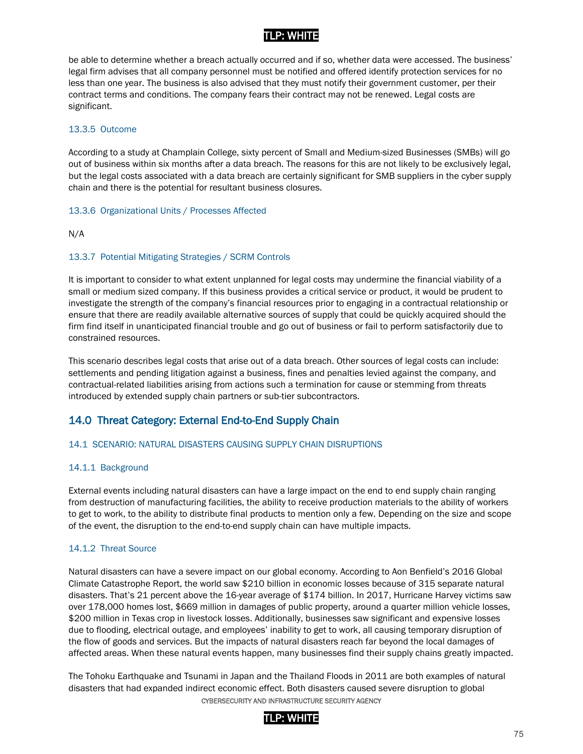be able to determine whether a breach actually occurred and if so, whether data were accessed. The business' legal firm advises that all company personnel must be notified and offered identify protection services for no less than one year. The business is also advised that they must notify their government customer, per their contract terms and conditions. The company fears their contract may not be renewed. Legal costs are significant.

## 13.3.5 Outcome

According to a study at Champlain College, sixty percent of Small and Medium-sized Businesses (SMBs) will go out of business within six months after a data breach. The reasons for this are not likely to be exclusively legal, but the legal costs associated with a data breach are certainly significant for SMB suppliers in the cyber supply chain and there is the potential for resultant business closures.

### 13.3.6 Organizational Units / Processes Affected

#### N/A

### 13.3.7 Potential Mitigating Strategies / SCRM Controls

It is important to consider to what extent unplanned for legal costs may undermine the financial viability of a small or medium sized company. If this business provides a critical service or product, it would be prudent to investigate the strength of the company's financial resources prior to engaging in a contractual relationship or ensure that there are readily available alternative sources of supply that could be quickly acquired should the firm find itself in unanticipated financial trouble and go out of business or fail to perform satisfactorily due to constrained resources.

This scenario describes legal costs that arise out of a data breach. Other sources of legal costs can include: settlements and pending litigation against a business, fines and penalties levied against the company, and contractual-related liabilities arising from actions such a termination for cause or stemming from threats introduced by extended supply chain partners or sub-tier subcontractors.

## 14.0 Threat Category: External End-to-End Supply Chain

## 14.1 SCENARIO: NATURAL DISASTERS CAUSING SUPPLY CHAIN DISRUPTIONS

#### 14.1.1 Background

External events including natural disasters can have a large impact on the end to end supply chain ranging from destruction of manufacturing facilities, the ability to receive production materials to the ability of workers to get to work, to the ability to distribute final products to mention only a few. Depending on the size and scope of the event, the disruption to the end-to-end supply chain can have multiple impacts.

#### 14.1.2 Threat Source

Natural disasters can have a severe impact on our global economy. According to Aon Benfield's 2016 Global Climate Catastrophe Report, the world saw \$210 billion in economic losses because of 315 separate natural disasters. That's 21 percent above the 16-year average of \$174 billion. In 2017, Hurricane Harvey victims saw over 178,000 homes lost, \$669 million in damages of public property, around a quarter million vehicle losses, \$200 million in Texas crop in livestock losses. Additionally, businesses saw significant and expensive losses due to flooding, electrical outage, and employees' inability to get to work, all causing temporary disruption of the flow of goods and services. But the impacts of natural disasters reach far beyond the local damages of affected areas. When these natural events happen, many businesses find their supply chains greatly impacted.

CYBERSECURITY AND INFRASTRUCTURE SECURITY AGENCY The Tohoku Earthquake and Tsunami in Japan and the Thailand Floods in 2011 are both examples of natural disasters that had expanded indirect economic effect. Both disasters caused severe disruption to global

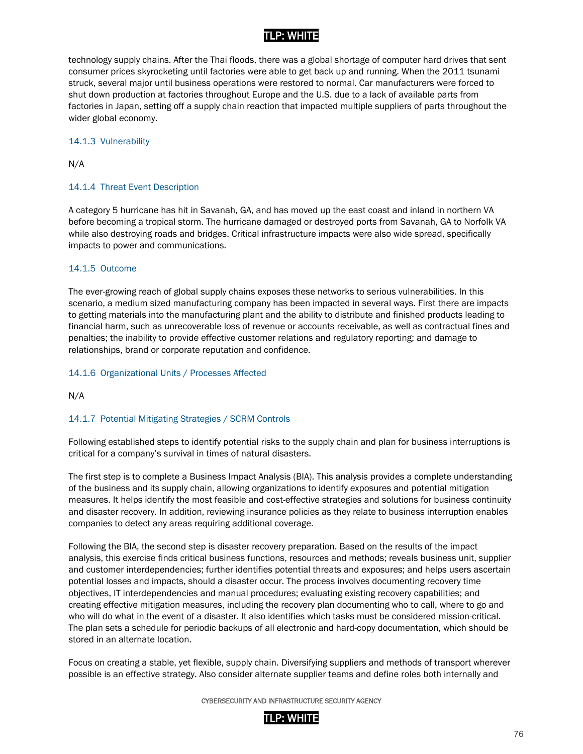technology supply chains. After the Thai floods, there was a global shortage of computer hard drives that sent consumer prices skyrocketing until factories were able to get back up and running. When the 2011 tsunami struck, several major until business operations were restored to normal. Car manufacturers were forced to shut down production at factories throughout Europe and the U.S. due to a lack of available parts from factories in Japan, setting off a supply chain reaction that impacted multiple suppliers of parts throughout the wider global economy.

## 14.1.3 Vulnerability

N/A

## 14.1.4 Threat Event Description

A category 5 hurricane has hit in Savanah, GA, and has moved up the east coast and inland in northern VA before becoming a tropical storm. The hurricane damaged or destroyed ports from Savanah, GA to Norfolk VA while also destroying roads and bridges. Critical infrastructure impacts were also wide spread, specifically impacts to power and communications.

## 14.1.5 Outcome

The ever-growing reach of global supply chains exposes these networks to serious vulnerabilities. In this scenario, a medium sized manufacturing company has been impacted in several ways. First there are impacts to getting materials into the manufacturing plant and the ability to distribute and finished products leading to financial harm, such as unrecoverable loss of revenue or accounts receivable, as well as contractual fines and penalties; the inability to provide effective customer relations and regulatory reporting; and damage to relationships, brand or corporate reputation and confidence.

## 14.1.6 Organizational Units / Processes Affected

N/A

## 14.1.7 Potential Mitigating Strategies / SCRM Controls

Following established steps to identify potential risks to the supply chain and plan for business interruptions is critical for a company's survival in times of natural disasters.

The first step is to complete a Business Impact Analysis (BIA). This analysis provides a complete understanding of the business and its supply chain, allowing organizations to identify exposures and potential mitigation measures. It helps identify the most feasible and cost-effective strategies and solutions for business continuity and disaster recovery. In addition, reviewing insurance policies as they relate to business interruption enables companies to detect any areas requiring additional coverage.

Following the BIA, the second step is disaster recovery preparation. Based on the results of the impact analysis, this exercise finds critical business functions, resources and methods; reveals business unit, supplier and customer interdependencies; further identifies potential threats and exposures; and helps users ascertain potential losses and impacts, should a disaster occur. The process involves documenting recovery time objectives, IT interdependencies and manual procedures; evaluating existing recovery capabilities; and creating effective mitigation measures, including the recovery plan documenting who to call, where to go and who will do what in the event of a disaster. It also identifies which tasks must be considered mission-critical. The plan sets a schedule for periodic backups of all electronic and hard-copy documentation, which should be stored in an alternate location.

Focus on creating a stable, yet flexible, supply chain. Diversifying suppliers and methods of transport wherever possible is an effective strategy. Also consider alternate supplier teams and define roles both internally and

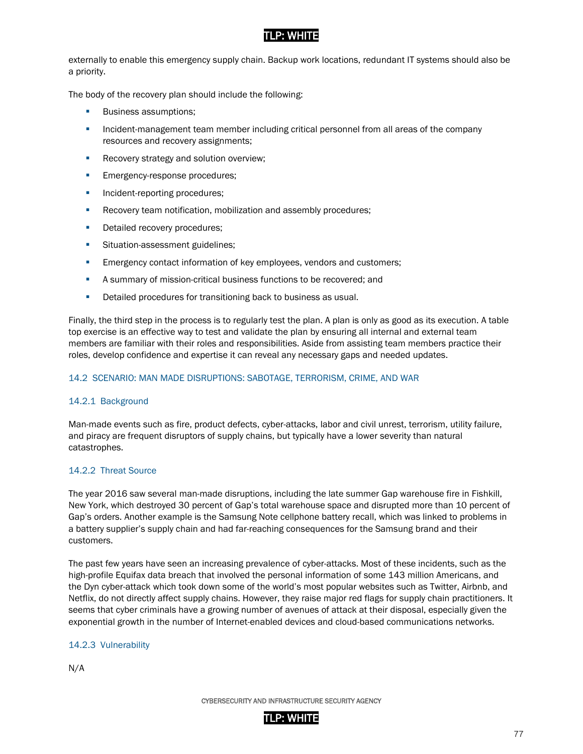externally to enable this emergency supply chain. Backup work locations, redundant IT systems should also be a priority.

The body of the recovery plan should include the following:

- **Business assumptions:**
- Incident-management team member including critical personnel from all areas of the company resources and recovery assignments;
- **Recovery strategy and solution overview;**
- **Emergency-response procedures;**
- **Incident-reporting procedures;**
- **Recovery team notification, mobilization and assembly procedures;**
- Detailed recovery procedures;
- **Situation-assessment guidelines;**
- **Emergency contact information of key employees, vendors and customers;**
- **A summary of mission-critical business functions to be recovered; and**
- **Detailed procedures for transitioning back to business as usual.**

Finally, the third step in the process is to regularly test the plan. A plan is only as good as its execution. A table top exercise is an effective way to test and validate the plan by ensuring all internal and external team members are familiar with their roles and responsibilities. Aside from assisting team members practice their roles, develop confidence and expertise it can reveal any necessary gaps and needed updates.

## 14.2 SCENARIO: MAN MADE DISRUPTIONS: SABOTAGE, TERRORISM, CRIME, AND WAR

## 14.2.1 Background

Man-made events such as fire, product defects, cyber-attacks, labor and civil unrest, terrorism, utility failure, and piracy are frequent disruptors of supply chains, but typically have a lower severity than natural catastrophes.

## 14.2.2 Threat Source

The year 2016 saw several man-made disruptions, including the late summer Gap warehouse fire in Fishkill, New York, which destroyed 30 percent of Gap's total warehouse space and disrupted more than 10 percent of Gap's orders. Another example is the Samsung Note cellphone battery recall, which was linked to problems in a battery supplier's supply chain and had far-reaching consequences for the Samsung brand and their customers.

The past few years have seen an increasing prevalence of cyber-attacks. Most of these incidents, such as the high-profile Equifax data breach that involved the personal information of some 143 million Americans, and the Dyn cyber-attack which took down some of the world's most popular websites such as Twitter, Airbnb, and Netflix, do not directly affect supply chains. However, they raise major red flags for supply chain practitioners. It seems that cyber criminals have a growing number of avenues of attack at their disposal, especially given the exponential growth in the number of Internet-enabled devices and cloud-based communications networks.

## 14.2.3 Vulnerability

N/A

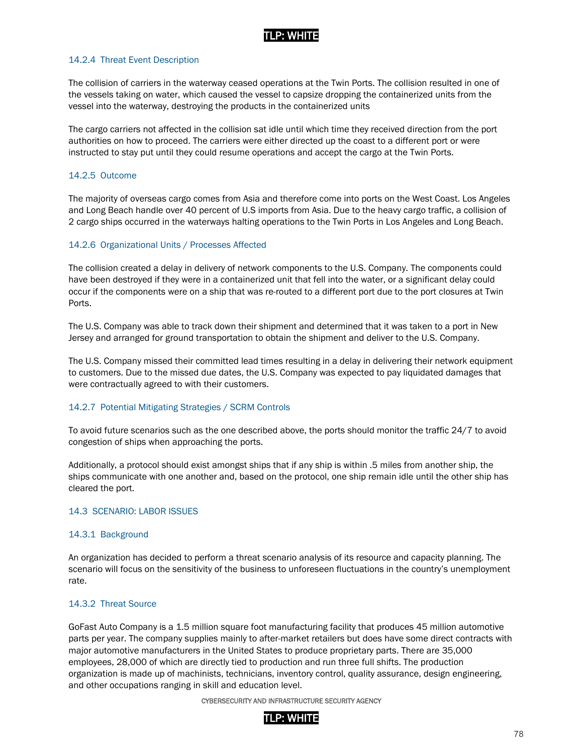### 14.2.4 Threat Event Description

The collision of carriers in the waterway ceased operations at the Twin Ports. The collision resulted in one of the vessels taking on water, which caused the vessel to capsize dropping the containerized units from the vessel into the waterway, destroying the products in the containerized units

The cargo carriers not affected in the collision sat idle until which time they received direction from the port authorities on how to proceed. The carriers were either directed up the coast to a different port or were instructed to stay put until they could resume operations and accept the cargo at the Twin Ports.

## 14.2.5 Outcome

The majority of overseas cargo comes from Asia and therefore come into ports on the West Coast. Los Angeles and Long Beach handle over 40 percent of U.S imports from Asia. Due to the heavy cargo traffic, a collision of 2 cargo ships occurred in the waterways halting operations to the Twin Ports in Los Angeles and Long Beach.

### 14.2.6 Organizational Units / Processes Affected

The collision created a delay in delivery of network components to the U.S. Company. The components could have been destroyed if they were in a containerized unit that fell into the water, or a significant delay could occur if the components were on a ship that was re-routed to a different port due to the port closures at Twin Ports.

The U.S. Company was able to track down their shipment and determined that it was taken to a port in New Jersey and arranged for ground transportation to obtain the shipment and deliver to the U.S. Company.

The U.S. Company missed their committed lead times resulting in a delay in delivering their network equipment to customers. Due to the missed due dates, the U.S. Company was expected to pay liquidated damages that were contractually agreed to with their customers.

## 14.2.7 Potential Mitigating Strategies / SCRM Controls

To avoid future scenarios such as the one described above, the ports should monitor the traffic 24/7 to avoid congestion of ships when approaching the ports.

Additionally, a protocol should exist amongst ships that if any ship is within .5 miles from another ship, the ships communicate with one another and, based on the protocol, one ship remain idle until the other ship has cleared the port.

#### 14.3 SCENARIO: LABOR ISSUES

#### 14.3.1 Background

An organization has decided to perform a threat scenario analysis of its resource and capacity planning. The scenario will focus on the sensitivity of the business to unforeseen fluctuations in the country's unemployment rate.

#### 14.3.2 Threat Source

GoFast Auto Company is a 1.5 million square foot manufacturing facility that produces 45 million automotive parts per year. The company supplies mainly to after-market retailers but does have some direct contracts with major automotive manufacturers in the United States to produce proprietary parts. There are 35,000 employees, 28,000 of which are directly tied to production and run three full shifts. The production organization is made up of machinists, technicians, inventory control, quality assurance, design engineering, and other occupations ranging in skill and education level.

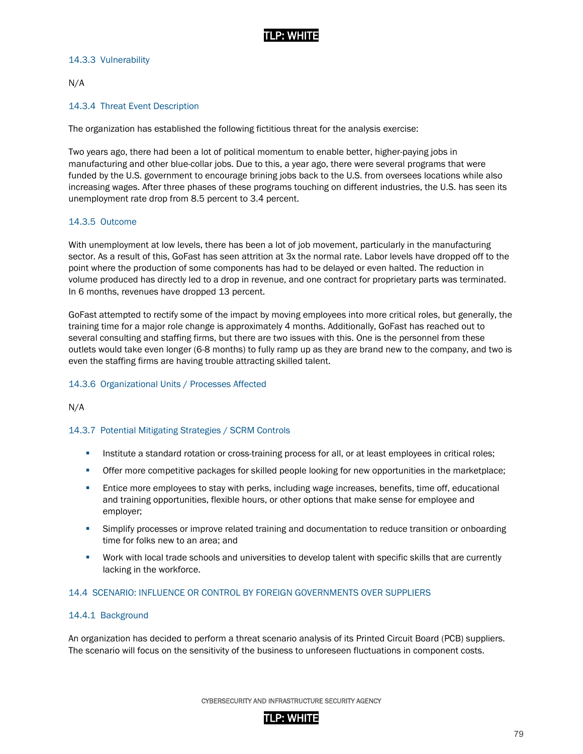## 14.3.3 Vulnerability

### N/A

### 14.3.4 Threat Event Description

The organization has established the following fictitious threat for the analysis exercise:

Two years ago, there had been a lot of political momentum to enable better, higher-paying jobs in manufacturing and other blue-collar jobs. Due to this, a year ago, there were several programs that were funded by the U.S. government to encourage brining jobs back to the U.S. from oversees locations while also increasing wages. After three phases of these programs touching on different industries, the U.S. has seen its unemployment rate drop from 8.5 percent to 3.4 percent.

### 14.3.5 Outcome

With unemployment at low levels, there has been a lot of job movement, particularly in the manufacturing sector. As a result of this, GoFast has seen attrition at 3x the normal rate. Labor levels have dropped off to the point where the production of some components has had to be delayed or even halted. The reduction in volume produced has directly led to a drop in revenue, and one contract for proprietary parts was terminated. In 6 months, revenues have dropped 13 percent.

GoFast attempted to rectify some of the impact by moving employees into more critical roles, but generally, the training time for a major role change is approximately 4 months. Additionally, GoFast has reached out to several consulting and staffing firms, but there are two issues with this. One is the personnel from these outlets would take even longer (6-8 months) to fully ramp up as they are brand new to the company, and two is even the staffing firms are having trouble attracting skilled talent.

## 14.3.6 Organizational Units / Processes Affected

N/A

## 14.3.7 Potential Mitigating Strategies / SCRM Controls

- **Institute a standard rotation or cross-training process for all, or at least employees in critical roles;**
- **Offer more competitive packages for skilled people looking for new opportunities in the marketplace;**
- **EXECT ENTIFY ENTIFY ENTIFY CONTENT** Entire more employees to stay with perks, including wage increases, benefits, time off, educational and training opportunities, flexible hours, or other options that make sense for employee and employer;
- **Simplify processes or improve related training and documentation to reduce transition or onboarding** time for folks new to an area; and
- Work with local trade schools and universities to develop talent with specific skills that are currently lacking in the workforce.

## 14.4 SCENARIO: INFLUENCE OR CONTROL BY FOREIGN GOVERNMENTS OVER SUPPLIERS

#### 14.4.1 Background

An organization has decided to perform a threat scenario analysis of its Printed Circuit Board (PCB) suppliers. The scenario will focus on the sensitivity of the business to unforeseen fluctuations in component costs.

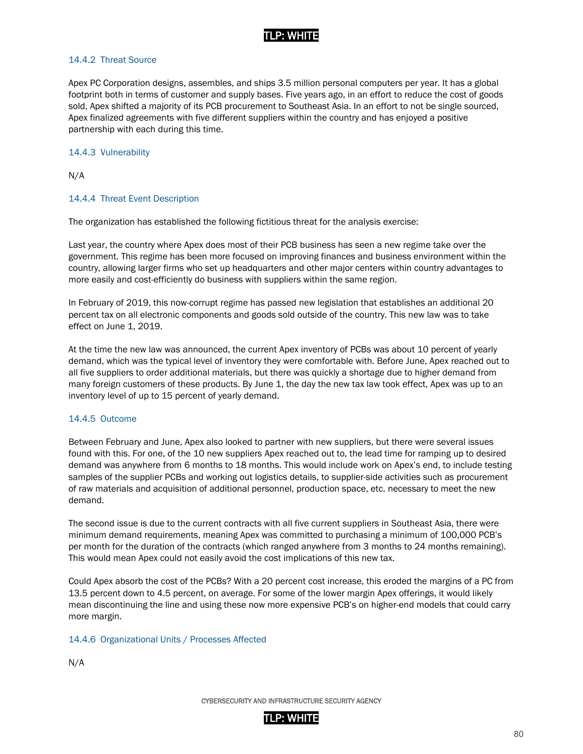#### 14.4.2 Threat Source

Apex PC Corporation designs, assembles, and ships 3.5 million personal computers per year. It has a global footprint both in terms of customer and supply bases. Five years ago, in an effort to reduce the cost of goods sold, Apex shifted a majority of its PCB procurement to Southeast Asia. In an effort to not be single sourced, Apex finalized agreements with five different suppliers within the country and has enjoyed a positive partnership with each during this time.

## 14.4.3 Vulnerability

N/A

### 14.4.4 Threat Event Description

The organization has established the following fictitious threat for the analysis exercise:

Last year, the country where Apex does most of their PCB business has seen a new regime take over the government. This regime has been more focused on improving finances and business environment within the country, allowing larger firms who set up headquarters and other major centers within country advantages to more easily and cost-efficiently do business with suppliers within the same region.

In February of 2019, this now-corrupt regime has passed new legislation that establishes an additional 20 percent tax on all electronic components and goods sold outside of the country. This new law was to take effect on June 1, 2019.

At the time the new law was announced, the current Apex inventory of PCBs was about 10 percent of yearly demand, which was the typical level of inventory they were comfortable with. Before June, Apex reached out to all five suppliers to order additional materials, but there was quickly a shortage due to higher demand from many foreign customers of these products. By June 1, the day the new tax law took effect, Apex was up to an inventory level of up to 15 percent of yearly demand.

#### 14.4.5 Outcome

Between February and June, Apex also looked to partner with new suppliers, but there were several issues found with this. For one, of the 10 new suppliers Apex reached out to, the lead time for ramping up to desired demand was anywhere from 6 months to 18 months. This would include work on Apex's end, to include testing samples of the supplier PCBs and working out logistics details, to supplier-side activities such as procurement of raw materials and acquisition of additional personnel, production space, etc. necessary to meet the new demand.

The second issue is due to the current contracts with all five current suppliers in Southeast Asia, there were minimum demand requirements, meaning Apex was committed to purchasing a minimum of 100,000 PCB's per month for the duration of the contracts (which ranged anywhere from 3 months to 24 months remaining). This would mean Apex could not easily avoid the cost implications of this new tax.

Could Apex absorb the cost of the PCBs? With a 20 percent cost increase, this eroded the margins of a PC from 13.5 percent down to 4.5 percent, on average. For some of the lower margin Apex offerings, it would likely mean discontinuing the line and using these now more expensive PCB's on higher-end models that could carry more margin.

## 14.4.6 Organizational Units / Processes Affected

N/A

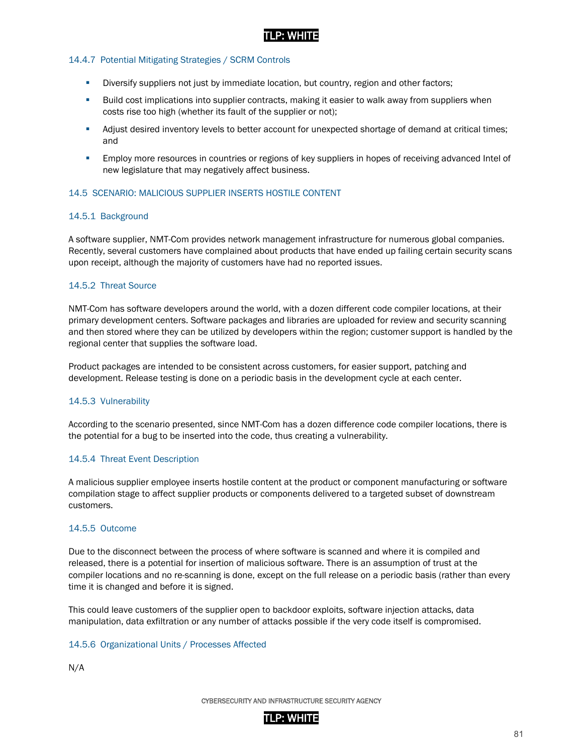#### 14.4.7 Potential Mitigating Strategies / SCRM Controls

- **Diversify suppliers not just by immediate location, but country, region and other factors;**
- **Build cost implications into supplier contracts, making it easier to walk away from suppliers when** costs rise too high (whether its fault of the supplier or not);
- Adjust desired inventory levels to better account for unexpected shortage of demand at critical times; and
- **Employ more resources in countries or regions of key suppliers in hopes of receiving advanced Intel of** new legislature that may negatively affect business.

### 14.5 SCENARIO: MALICIOUS SUPPLIER INSERTS HOSTILE CONTENT

### 14.5.1 Background

A software supplier, NMT-Com provides network management infrastructure for numerous global companies. Recently, several customers have complained about products that have ended up failing certain security scans upon receipt, although the majority of customers have had no reported issues.

### 14.5.2 Threat Source

NMT-Com has software developers around the world, with a dozen different code compiler locations, at their primary development centers. Software packages and libraries are uploaded for review and security scanning and then stored where they can be utilized by developers within the region; customer support is handled by the regional center that supplies the software load.

Product packages are intended to be consistent across customers, for easier support, patching and development. Release testing is done on a periodic basis in the development cycle at each center.

#### 14.5.3 Vulnerability

According to the scenario presented, since NMT-Com has a dozen difference code compiler locations, there is the potential for a bug to be inserted into the code, thus creating a vulnerability.

#### 14.5.4 Threat Event Description

A malicious supplier employee inserts hostile content at the product or component manufacturing or software compilation stage to affect supplier products or components delivered to a targeted subset of downstream customers.

#### 14.5.5 Outcome

Due to the disconnect between the process of where software is scanned and where it is compiled and released, there is a potential for insertion of malicious software. There is an assumption of trust at the compiler locations and no re-scanning is done, except on the full release on a periodic basis (rather than every time it is changed and before it is signed.

This could leave customers of the supplier open to backdoor exploits, software injection attacks, data manipulation, data exfiltration or any number of attacks possible if the very code itself is compromised.

#### 14.5.6 Organizational Units / Processes Affected

## N/A